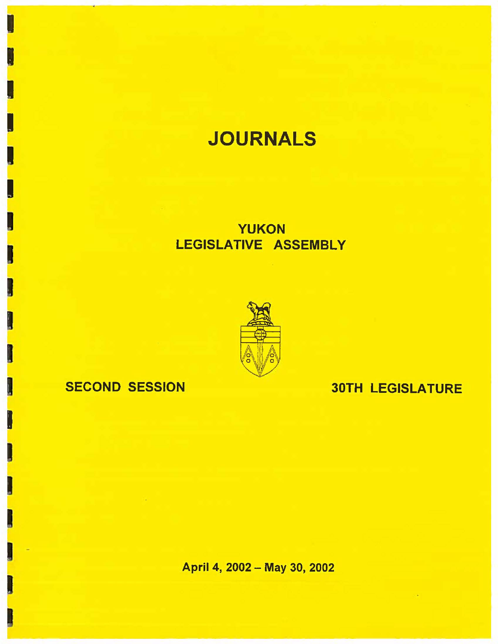# **JOURNALS**

## YUKON LEGISLATIVE ASSEMBLY



## SECOND SESSION 30TH LEGISLATURE

I

I

I

I

I

I

I

I

I

I

I

I

I

I

I

I

April 4, 2002 - May 30, 2002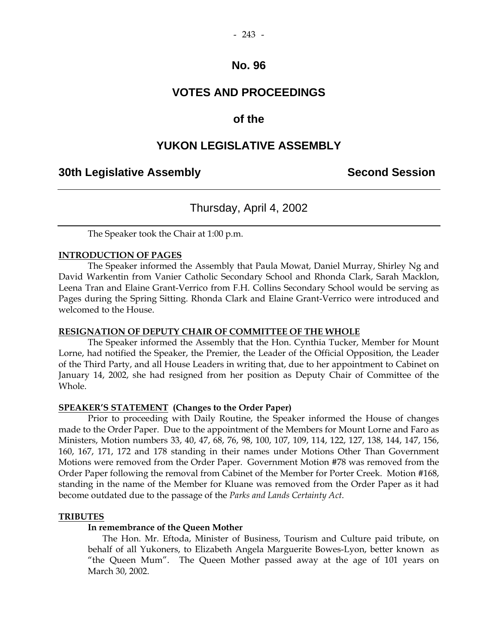### **VOTES AND PROCEEDINGS**

### **of the**

### **YUKON LEGISLATIVE ASSEMBLY**

### **30th Legislative Assembly Second Session**

### Thursday, April 4, 2002

The Speaker took the Chair at 1:00 p.m.

#### **INTRODUCTION OF PAGES**

 The Speaker informed the Assembly that Paula Mowat, Daniel Murray, Shirley Ng and David Warkentin from Vanier Catholic Secondary School and Rhonda Clark, Sarah Macklon, Leena Tran and Elaine Grant-Verrico from F.H. Collins Secondary School would be serving as Pages during the Spring Sitting. Rhonda Clark and Elaine Grant-Verrico were introduced and welcomed to the House.

#### **RESIGNATION OF DEPUTY CHAIR OF COMMITTEE OF THE WHOLE**

 The Speaker informed the Assembly that the Hon. Cynthia Tucker, Member for Mount Lorne, had notified the Speaker, the Premier, the Leader of the Official Opposition, the Leader of the Third Party, and all House Leaders in writing that, due to her appointment to Cabinet on January 14, 2002, she had resigned from her position as Deputy Chair of Committee of the Whole.

#### **SPEAKER'S STATEMENT (Changes to the Order Paper)**

 Prior to proceeding with Daily Routine, the Speaker informed the House of changes made to the Order Paper. Due to the appointment of the Members for Mount Lorne and Faro as Ministers, Motion numbers 33, 40, 47, 68, 76, 98, 100, 107, 109, 114, 122, 127, 138, 144, 147, 156, 160, 167, 171, 172 and 178 standing in their names under Motions Other Than Government Motions were removed from the Order Paper. Government Motion #78 was removed from the Order Paper following the removal from Cabinet of the Member for Porter Creek. Motion #168, standing in the name of the Member for Kluane was removed from the Order Paper as it had become outdated due to the passage of the *Parks and Lands Certainty Act*.

#### **TRIBUTES**

### **In remembrance of the Queen Mother**

The Hon. Mr. Eftoda, Minister of Business, Tourism and Culture paid tribute, on behalf of all Yukoners, to Elizabeth Angela Marguerite Bowes-Lyon, better known as "the Queen Mum". The Queen Mother passed away at the age of 101 years on March 30, 2002.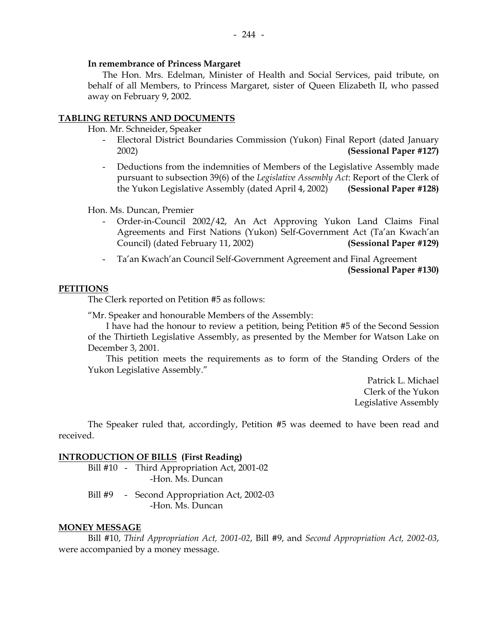#### **In remembrance of Princess Margaret**

 The Hon. Mrs. Edelman, Minister of Health and Social Services, paid tribute, on behalf of all Members, to Princess Margaret, sister of Queen Elizabeth II, who passed away on February 9, 2002.

#### **TABLING RETURNS AND DOCUMENTS**

Hon. Mr. Schneider, Speaker

- Electoral District Boundaries Commission (Yukon) Final Report (dated January 2002) **(Sessional Paper #127)**
- Deductions from the indemnities of Members of the Legislative Assembly made pursuant to subsection 39(6) of the *Legislative Assembly Act*: Report of the Clerk of the Yukon Legislative Assembly (dated April 4, 2002) **(Sessional Paper #128)**

Hon. Ms. Duncan, Premier

- Order-in-Council 2002/42, An Act Approving Yukon Land Claims Final Agreements and First Nations (Yukon) Self-Government Act (Ta'an Kwach'an Council) (dated February 11, 2002) **(Sessional Paper #129)**
- Ta'an Kwach'an Council Self-Government Agreement and Final Agreement **(Sessional Paper #130)**

#### **PETITIONS**

The Clerk reported on Petition #5 as follows:

"Mr. Speaker and honourable Members of the Assembly:

 I have had the honour to review a petition, being Petition #5 of the Second Session of the Thirtieth Legislative Assembly, as presented by the Member for Watson Lake on December 3, 2001.

 This petition meets the requirements as to form of the Standing Orders of the Yukon Legislative Assembly."

> Patrick L. Michael Clerk of the Yukon Legislative Assembly

The Speaker ruled that, accordingly, Petition #5 was deemed to have been read and received.

#### **INTRODUCTION OF BILLS (First Reading)**

 Bill #10 - Third Appropriation Act, 2001-02 -Hon. Ms. Duncan

Bill #9 - Second Appropriation Act, 2002-03 -Hon. Ms. Duncan

#### **MONEY MESSAGE**

 Bill #10, *Third Appropriation Act, 2001-02*, Bill #9, and *Second Appropriation Act, 2002-03*, were accompanied by a money message.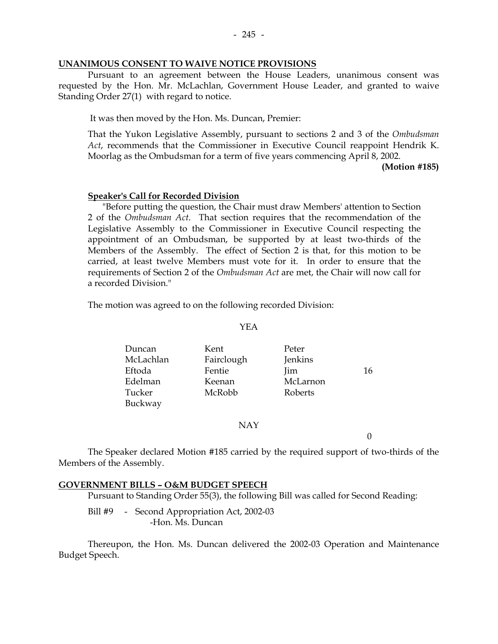#### **UNANIMOUS CONSENT TO WAIVE NOTICE PROVISIONS**

 Pursuant to an agreement between the House Leaders, unanimous consent was requested by the Hon. Mr. McLachlan, Government House Leader, and granted to waive Standing Order 27(1) with regard to notice.

It was then moved by the Hon. Ms. Duncan, Premier:

 That the Yukon Legislative Assembly, pursuant to sections 2 and 3 of the *Ombudsman Act*, recommends that the Commissioner in Executive Council reappoint Hendrik K. Moorlag as the Ombudsman for a term of five years commencing April 8, 2002.

**(Motion #185)** 

#### **Speaker's Call for Recorded Division**

 "Before putting the question, the Chair must draw Members' attention to Section 2 of the *Ombudsman Act*. That section requires that the recommendation of the Legislative Assembly to the Commissioner in Executive Council respecting the appointment of an Ombudsman, be supported by at least two-thirds of the Members of the Assembly. The effect of Section 2 is that, for this motion to be carried, at least twelve Members must vote for it. In order to ensure that the requirements of Section 2 of the *Ombudsman Act* are met, the Chair will now call for a recorded Division."

The motion was agreed to on the following recorded Division:

#### YEA

| Duncan    | Kent       | Peter    |    |
|-----------|------------|----------|----|
| McLachlan | Fairclough | Jenkins  |    |
| Eftoda    | Fentie     | Jim      | 16 |
| Edelman   | Keenan     | McLarnon |    |
| Tucker    | McRobb     | Roberts  |    |
| Buckway   |            |          |    |

#### NAY

 $\Omega$ 

 The Speaker declared Motion #185 carried by the required support of two-thirds of the Members of the Assembly.

#### **GOVERNMENT BILLS – O&M BUDGET SPEECH**

Pursuant to Standing Order 55(3), the following Bill was called for Second Reading:

Bill #9 - Second Appropriation Act, 2002-03 -Hon. Ms. Duncan

 Thereupon, the Hon. Ms. Duncan delivered the 2002-03 Operation and Maintenance Budget Speech.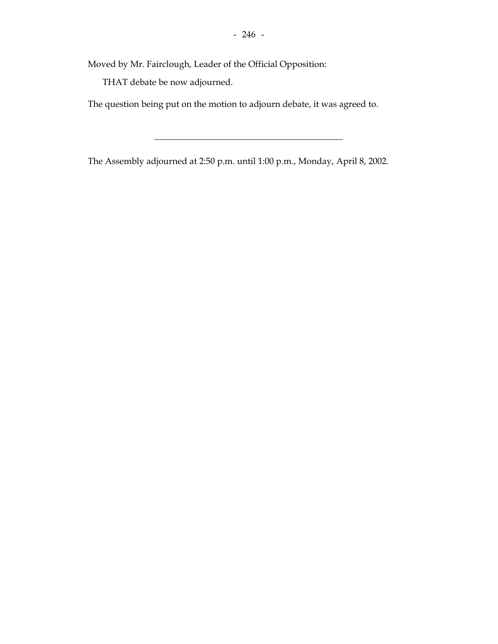Moved by Mr. Fairclough, Leader of the Official Opposition:

THAT debate be now adjourned.

The question being put on the motion to adjourn debate, it was agreed to.

The Assembly adjourned at 2:50 p.m. until 1:00 p.m., Monday, April 8, 2002.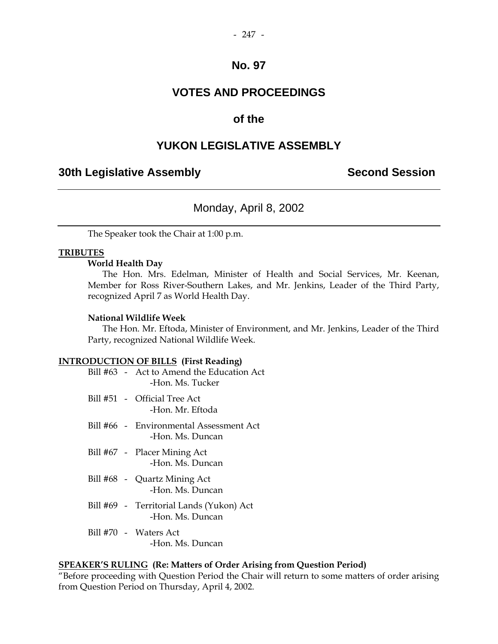### **VOTES AND PROCEEDINGS**

### **of the**

### **YUKON LEGISLATIVE ASSEMBLY**

### **30th Legislative Assembly Second Session**

### Monday, April 8, 2002

The Speaker took the Chair at 1:00 p.m.

#### **TRIBUTES**

#### **World Health Day**

The Hon. Mrs. Edelman, Minister of Health and Social Services, Mr. Keenan, Member for Ross River-Southern Lakes, and Mr. Jenkins, Leader of the Third Party, recognized April 7 as World Health Day.

#### **National Wildlife Week**

 The Hon. Mr. Eftoda, Minister of Environment, and Mr. Jenkins, Leader of the Third Party, recognized National Wildlife Week.

#### **INTRODUCTION OF BILLS (First Reading)**

|  | Bill #63 - Act to Amend the Education Act<br>-Hon. Ms. Tucker |
|--|---------------------------------------------------------------|
|  | Bill #51 - Official Tree Act<br>-Hon. Mr. Eftoda              |
|  | Bill #66 - Environmental Assessment Act<br>-Hon. Ms. Duncan   |
|  | Bill #67 - Placer Mining Act<br>-Hon. Ms. Duncan              |
|  | Bill #68 - Quartz Mining Act<br>-Hon. Ms. Duncan              |
|  | Bill #69 - Territorial Lands (Yukon) Act<br>-Hon. Ms. Duncan  |
|  | Bill #70 - Waters Act<br>-Hon. Ms. Duncan                     |
|  |                                                               |

#### **SPEAKER'S RULING (Re: Matters of Order Arising from Question Period)**

"Before proceeding with Question Period the Chair will return to some matters of order arising from Question Period on Thursday, April 4, 2002.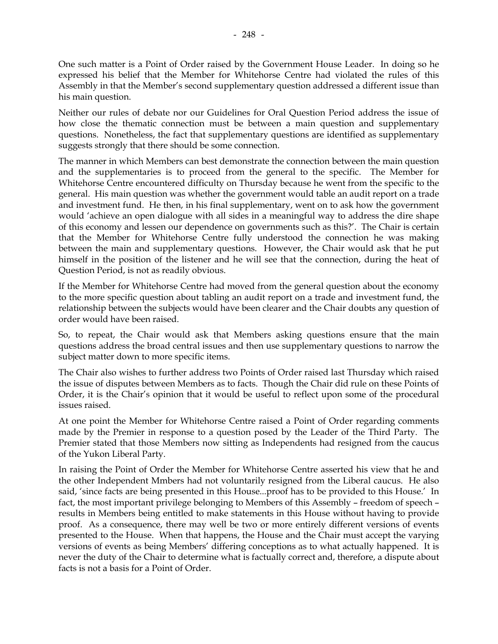One such matter is a Point of Order raised by the Government House Leader. In doing so he expressed his belief that the Member for Whitehorse Centre had violated the rules of this Assembly in that the Member's second supplementary question addressed a different issue than his main question.

Neither our rules of debate nor our Guidelines for Oral Question Period address the issue of how close the thematic connection must be between a main question and supplementary questions. Nonetheless, the fact that supplementary questions are identified as supplementary suggests strongly that there should be some connection.

The manner in which Members can best demonstrate the connection between the main question and the supplementaries is to proceed from the general to the specific. The Member for Whitehorse Centre encountered difficulty on Thursday because he went from the specific to the general. His main question was whether the government would table an audit report on a trade and investment fund. He then, in his final supplementary, went on to ask how the government would 'achieve an open dialogue with all sides in a meaningful way to address the dire shape of this economy and lessen our dependence on governments such as this?'. The Chair is certain that the Member for Whitehorse Centre fully understood the connection he was making between the main and supplementary questions. However, the Chair would ask that he put himself in the position of the listener and he will see that the connection, during the heat of Question Period, is not as readily obvious.

If the Member for Whitehorse Centre had moved from the general question about the economy to the more specific question about tabling an audit report on a trade and investment fund, the relationship between the subjects would have been clearer and the Chair doubts any question of order would have been raised.

So, to repeat, the Chair would ask that Members asking questions ensure that the main questions address the broad central issues and then use supplementary questions to narrow the subject matter down to more specific items.

The Chair also wishes to further address two Points of Order raised last Thursday which raised the issue of disputes between Members as to facts. Though the Chair did rule on these Points of Order, it is the Chair's opinion that it would be useful to reflect upon some of the procedural issues raised.

At one point the Member for Whitehorse Centre raised a Point of Order regarding comments made by the Premier in response to a question posed by the Leader of the Third Party. The Premier stated that those Members now sitting as Independents had resigned from the caucus of the Yukon Liberal Party.

In raising the Point of Order the Member for Whitehorse Centre asserted his view that he and the other Independent Mmbers had not voluntarily resigned from the Liberal caucus. He also said, 'since facts are being presented in this House...proof has to be provided to this House.' In fact, the most important privilege belonging to Members of this Assembly – freedom of speech – results in Members being entitled to make statements in this House without having to provide proof. As a consequence, there may well be two or more entirely different versions of events presented to the House. When that happens, the House and the Chair must accept the varying versions of events as being Members' differing conceptions as to what actually happened. It is never the duty of the Chair to determine what is factually correct and, therefore, a dispute about facts is not a basis for a Point of Order.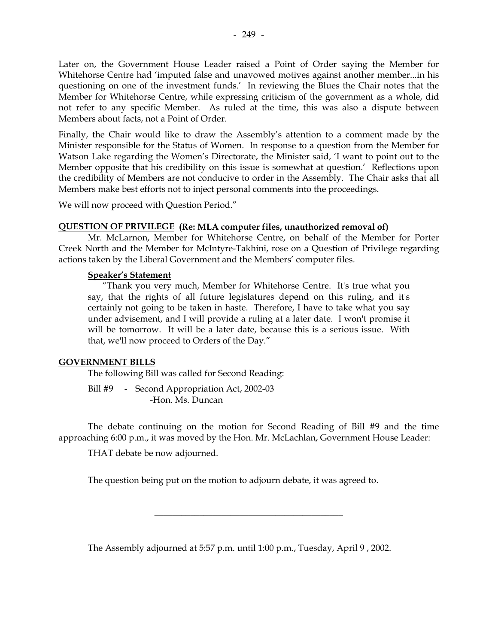Later on, the Government House Leader raised a Point of Order saying the Member for Whitehorse Centre had 'imputed false and unavowed motives against another member...in his questioning on one of the investment funds.' In reviewing the Blues the Chair notes that the Member for Whitehorse Centre, while expressing criticism of the government as a whole, did not refer to any specific Member. As ruled at the time, this was also a dispute between Members about facts, not a Point of Order.

Finally, the Chair would like to draw the Assembly's attention to a comment made by the Minister responsible for the Status of Women. In response to a question from the Member for Watson Lake regarding the Women's Directorate, the Minister said, 'I want to point out to the Member opposite that his credibility on this issue is somewhat at question.' Reflections upon the credibility of Members are not conducive to order in the Assembly. The Chair asks that all Members make best efforts not to inject personal comments into the proceedings.

We will now proceed with Question Period."

#### **QUESTION OF PRIVILEGE (Re: MLA computer files, unauthorized removal of)**

 Mr. McLarnon, Member for Whitehorse Centre, on behalf of the Member for Porter Creek North and the Member for McIntyre-Takhini, rose on a Question of Privilege regarding actions taken by the Liberal Government and the Members' computer files.

#### **Speaker's Statement**

 "Thank you very much, Member for Whitehorse Centre. It's true what you say, that the rights of all future legislatures depend on this ruling, and it's certainly not going to be taken in haste. Therefore, I have to take what you say under advisement, and I will provide a ruling at a later date. I won't promise it will be tomorrow. It will be a later date, because this is a serious issue. With that, we'll now proceed to Orders of the Day."

### **GOVERNMENT BILLS**

The following Bill was called for Second Reading:

Bill #9 - Second Appropriation Act, 2002-03 -Hon. Ms. Duncan

 The debate continuing on the motion for Second Reading of Bill #9 and the time approaching 6:00 p.m., it was moved by the Hon. Mr. McLachlan, Government House Leader:

\_\_\_\_\_\_\_\_\_\_\_\_\_\_\_\_\_\_\_\_\_\_\_\_\_\_\_\_\_\_\_\_\_\_\_\_\_\_\_\_\_\_

THAT debate be now adjourned.

The question being put on the motion to adjourn debate, it was agreed to.

The Assembly adjourned at 5:57 p.m. until 1:00 p.m., Tuesday, April 9 , 2002.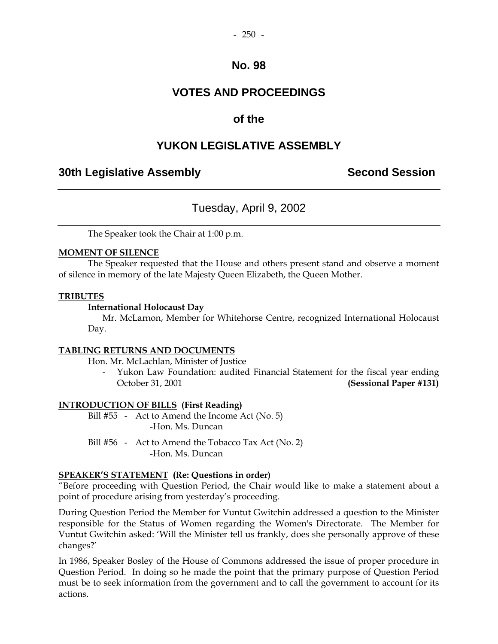### **VOTES AND PROCEEDINGS**

### **of the**

### **YUKON LEGISLATIVE ASSEMBLY**

### **30th Legislative Assembly Second Session**

### Tuesday, April 9, 2002

The Speaker took the Chair at 1:00 p.m.

#### **MOMENT OF SILENCE**

 The Speaker requested that the House and others present stand and observe a moment of silence in memory of the late Majesty Queen Elizabeth, the Queen Mother.

#### **TRIBUTES**

#### **International Holocaust Day**

Mr. McLarnon, Member for Whitehorse Centre, recognized International Holocaust Day.

#### **TABLING RETURNS AND DOCUMENTS**

Hon. Mr. McLachlan, Minister of Justice

Yukon Law Foundation: audited Financial Statement for the fiscal year ending October 31, 2001 **(Sessional Paper #131)** 

### **INTRODUCTION OF BILLS (First Reading)**

Bill #55 - Act to Amend the Income Act (No. 5) -Hon. Ms. Duncan

Bill #56 - Act to Amend the Tobacco Tax Act (No. 2) -Hon. Ms. Duncan

#### **SPEAKER'S STATEMENT (Re: Questions in order)**

"Before proceeding with Question Period, the Chair would like to make a statement about a point of procedure arising from yesterday's proceeding.

During Question Period the Member for Vuntut Gwitchin addressed a question to the Minister responsible for the Status of Women regarding the Women's Directorate. The Member for Vuntut Gwitchin asked: 'Will the Minister tell us frankly, does she personally approve of these changes?'

In 1986, Speaker Bosley of the House of Commons addressed the issue of proper procedure in Question Period. In doing so he made the point that the primary purpose of Question Period must be to seek information from the government and to call the government to account for its actions.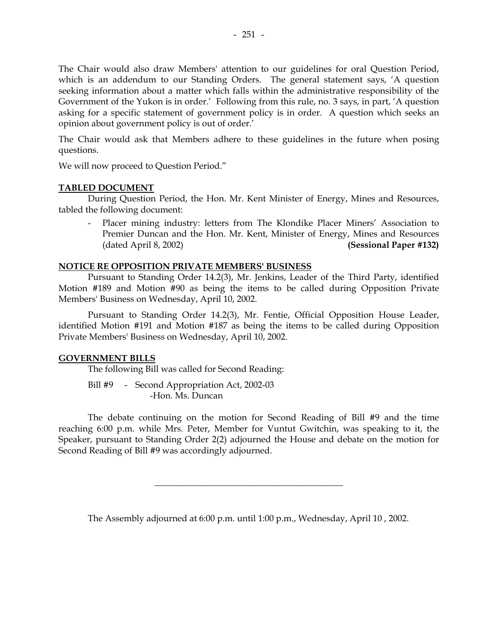The Chair would also draw Members' attention to our guidelines for oral Question Period, which is an addendum to our Standing Orders. The general statement says, 'A question seeking information about a matter which falls within the administrative responsibility of the Government of the Yukon is in order.' Following from this rule, no. 3 says, in part, 'A question asking for a specific statement of government policy is in order. A question which seeks an opinion about government policy is out of order.'

The Chair would ask that Members adhere to these guidelines in the future when posing questions.

We will now proceed to Question Period."

#### **TABLED DOCUMENT**

 During Question Period, the Hon. Mr. Kent Minister of Energy, Mines and Resources, tabled the following document:

Placer mining industry: letters from The Klondike Placer Miners' Association to Premier Duncan and the Hon. Mr. Kent, Minister of Energy, Mines and Resources (dated April 8, 2002) **(Sessional Paper #132)** 

#### **NOTICE RE OPPOSITION PRIVATE MEMBERS' BUSINESS**

 Pursuant to Standing Order 14.2(3), Mr. Jenkins, Leader of the Third Party, identified Motion #189 and Motion #90 as being the items to be called during Opposition Private Members' Business on Wednesday, April 10, 2002.

 Pursuant to Standing Order 14.2(3), Mr. Fentie, Official Opposition House Leader, identified Motion #191 and Motion #187 as being the items to be called during Opposition Private Members' Business on Wednesday, April 10, 2002.

#### **GOVERNMENT BILLS**

The following Bill was called for Second Reading:

Bill #9 - Second Appropriation Act, 2002-03 -Hon. Ms. Duncan

 The debate continuing on the motion for Second Reading of Bill #9 and the time reaching 6:00 p.m. while Mrs. Peter, Member for Vuntut Gwitchin, was speaking to it, the Speaker, pursuant to Standing Order 2(2) adjourned the House and debate on the motion for Second Reading of Bill #9 was accordingly adjourned.

The Assembly adjourned at 6:00 p.m. until 1:00 p.m., Wednesday, April 10 , 2002.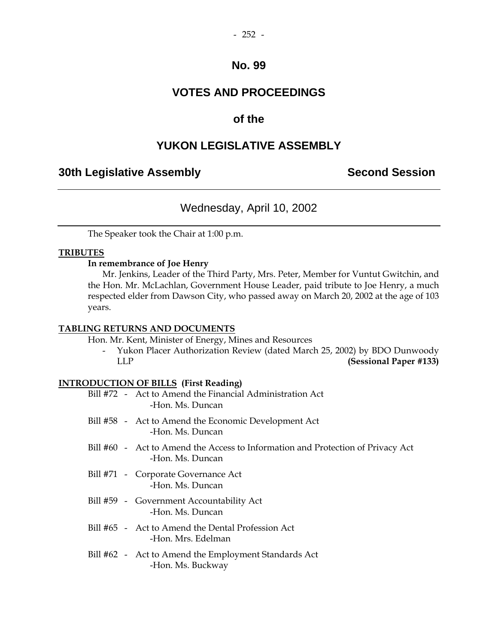### **VOTES AND PROCEEDINGS**

### **of the**

### **YUKON LEGISLATIVE ASSEMBLY**

### **30th Legislative Assembly Second Session**

### Wednesday, April 10, 2002

The Speaker took the Chair at 1:00 p.m.

#### **TRIBUTES**

#### **In remembrance of Joe Henry**

Mr. Jenkins, Leader of the Third Party, Mrs. Peter, Member for Vuntut Gwitchin, and the Hon. Mr. McLachlan, Government House Leader, paid tribute to Joe Henry, a much respected elder from Dawson City, who passed away on March 20, 2002 at the age of 103 years.

#### **TABLING RETURNS AND DOCUMENTS**

Hon. Mr. Kent, Minister of Energy, Mines and Resources

 - Yukon Placer Authorization Review (dated March 25, 2002) by BDO Dunwoody LLP **(Sessional Paper #133)** 

### **INTRODUCTION OF BILLS (First Reading)**

|  | Bill #72 - Act to Amend the Financial Administration Act<br>-Hon. Ms. Duncan                        |
|--|-----------------------------------------------------------------------------------------------------|
|  | Bill #58 - Act to Amend the Economic Development Act<br>-Hon. Ms. Duncan                            |
|  | Bill #60 - Act to Amend the Access to Information and Protection of Privacy Act<br>-Hon. Ms. Duncan |
|  | Bill #71 - Corporate Governance Act<br>-Hon. Ms. Duncan                                             |
|  | Bill #59 - Government Accountability Act<br>-Hon. Ms. Duncan                                        |
|  | Bill #65 - Act to Amend the Dental Profession Act<br>-Hon. Mrs. Edelman                             |
|  | Bill #62 - Act to Amend the Employment Standards Act<br>-Hon. Ms. Buckway                           |
|  |                                                                                                     |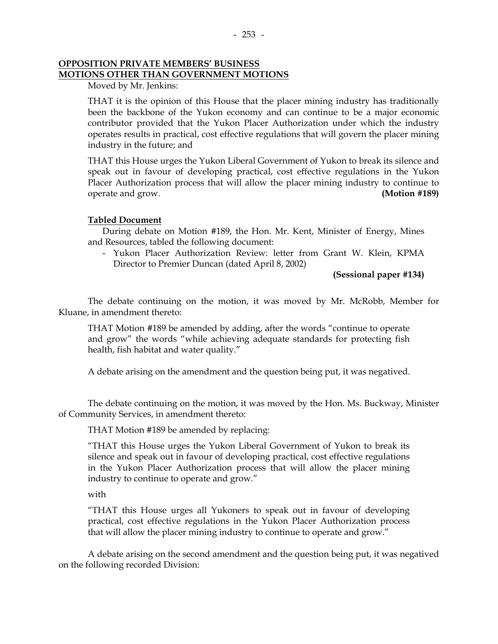#### **OPPOSITION PRIVATE MEMBERS' BUSINESS MOTIONS OTHER THAN GOVERNMENT MOTIONS**

Moved by Mr. Jenkins:

 THAT it is the opinion of this House that the placer mining industry has traditionally been the backbone of the Yukon economy and can continue to be a major economic contributor provided that the Yukon Placer Authorization under which the industry operates results in practical, cost effective regulations that will govern the placer mining industry in the future; and

 THAT this House urges the Yukon Liberal Government of Yukon to break its silence and speak out in favour of developing practical, cost effective regulations in the Yukon Placer Authorization process that will allow the placer mining industry to continue to operate and grow. **(Motion #189)** 

#### **Tabled Document**

 During debate on Motion #189, the Hon. Mr. Kent, Minister of Energy, Mines and Resources, tabled the following document:

 - Yukon Placer Authorization Review: letter from Grant W. Klein, KPMA Director to Premier Duncan (dated April 8, 2002)

**(Sessional paper #134)** 

 The debate continuing on the motion, it was moved by Mr. McRobb, Member for Kluane, in amendment thereto:

 THAT Motion #189 be amended by adding, after the words "continue to operate and grow" the words "while achieving adequate standards for protecting fish health, fish habitat and water quality."

A debate arising on the amendment and the question being put, it was negatived.

 The debate continuing on the motion, it was moved by the Hon. Ms. Buckway, Minister of Community Services, in amendment thereto:

THAT Motion #189 be amended by replacing:

 "THAT this House urges the Yukon Liberal Government of Yukon to break its silence and speak out in favour of developing practical, cost effective regulations in the Yukon Placer Authorization process that will allow the placer mining industry to continue to operate and grow."

with

 "THAT this House urges all Yukoners to speak out in favour of developing practical, cost effective regulations in the Yukon Placer Authorization process that will allow the placer mining industry to continue to operate and grow."

 A debate arising on the second amendment and the question being put, it was negatived on the following recorded Division: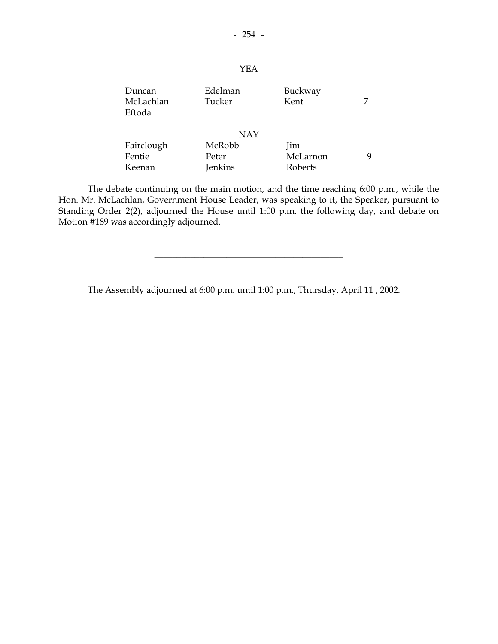### YEA

| Duncan     | Edelman    | Buckway  |   |
|------------|------------|----------|---|
| McLachlan  | Tucker     | Kent     | 7 |
| Eftoda     |            |          |   |
|            |            |          |   |
|            | <b>NAY</b> |          |   |
| Fairclough | McRobb     | Jim      |   |
| Fentie     | Peter      | McLarnon | 9 |
| Keenan     | Jenkins    | Roberts  |   |

 The debate continuing on the main motion, and the time reaching 6:00 p.m., while the Hon. Mr. McLachlan, Government House Leader, was speaking to it, the Speaker, pursuant to Standing Order 2(2), adjourned the House until 1:00 p.m. the following day, and debate on Motion #189 was accordingly adjourned.

\_\_\_\_\_\_\_\_\_\_\_\_\_\_\_\_\_\_\_\_\_\_\_\_\_\_\_\_\_\_\_\_\_\_\_\_\_\_\_\_\_\_

The Assembly adjourned at 6:00 p.m. until 1:00 p.m., Thursday, April 11 , 2002.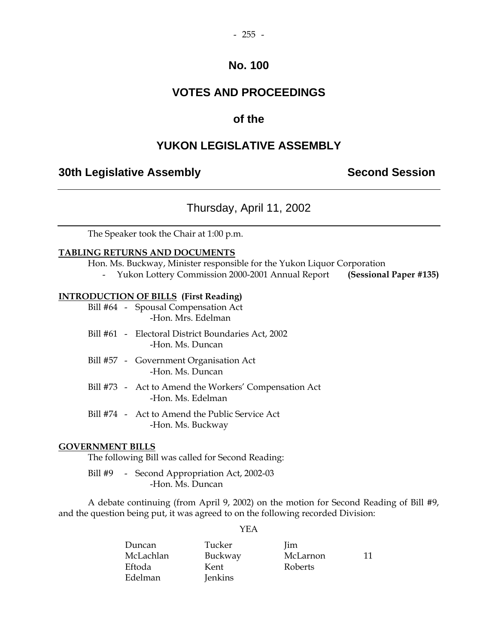### **VOTES AND PROCEEDINGS**

### **of the**

### **YUKON LEGISLATIVE ASSEMBLY**

### **30th Legislative Assembly Second Session**

### Thursday, April 11, 2002

The Speaker took the Chair at 1:00 p.m.

#### **TABLING RETURNS AND DOCUMENTS**

Hon. Ms. Buckway, Minister responsible for the Yukon Liquor Corporation

- Yukon Lottery Commission 2000-2001 Annual Report **(Sessional Paper #135)** 

#### **INTRODUCTION OF BILLS (First Reading)**

 Bill #64 - Spousal Compensation Act -Hon. Mrs. Edelman

- Bill #61 Electoral District Boundaries Act, 2002 -Hon. Ms. Duncan
- Bill #57 Government Organisation Act -Hon. Ms. Duncan
- Bill #73 Act to Amend the Workers' Compensation Act -Hon. Ms. Edelman
- Bill #74 Act to Amend the Public Service Act -Hon. Ms. Buckway

#### **GOVERNMENT BILLS**

The following Bill was called for Second Reading:

Bill #9 - Second Appropriation Act, 2002-03 -Hon. Ms. Duncan

 A debate continuing (from April 9, 2002) on the motion for Second Reading of Bill #9, and the question being put, it was agreed to on the following recorded Division:

### YEA

| Duncan    | Tucker         | lim            |    |
|-----------|----------------|----------------|----|
| McLachlan | Buckway        | McLarnon       | 11 |
| Eftoda    | Kent           | <b>Roberts</b> |    |
| Edelman   | <b>Jenkins</b> |                |    |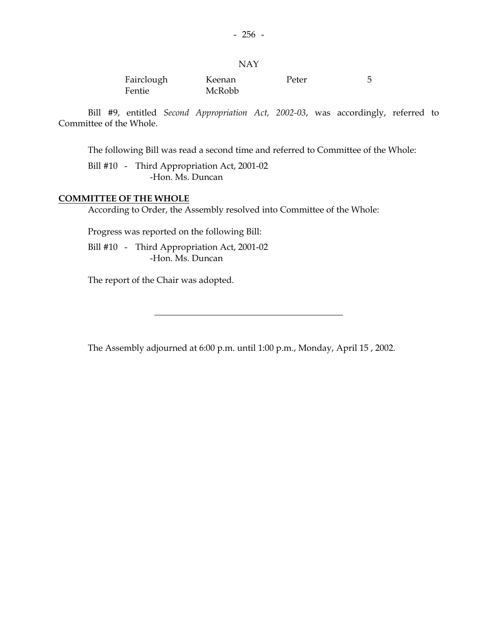#### NAY

| Fairclough | Keenan | Peter |  |
|------------|--------|-------|--|
| Fentie     | McRobb |       |  |

 Bill #9, entitled *Second Appropriation Act, 2002-03*, was accordingly, referred to Committee of the Whole.

The following Bill was read a second time and referred to Committee of the Whole:

 Bill #10 - Third Appropriation Act, 2001-02 -Hon. Ms. Duncan

#### **COMMITTEE OF THE WHOLE**

According to Order, the Assembly resolved into Committee of the Whole:

Progress was reported on the following Bill:

 Bill #10 - Third Appropriation Act, 2001-02 -Hon. Ms. Duncan

The report of the Chair was adopted.

The Assembly adjourned at 6:00 p.m. until 1:00 p.m., Monday, April 15 , 2002.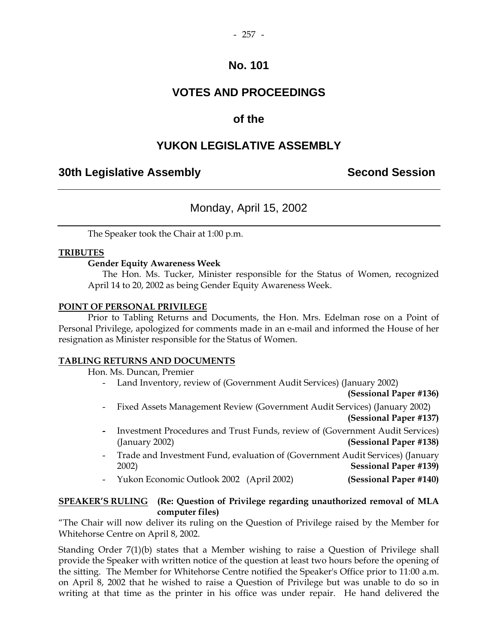### **VOTES AND PROCEEDINGS**

### **of the**

### **YUKON LEGISLATIVE ASSEMBLY**

### **30th Legislative Assembly Second Session**

### Monday, April 15, 2002

The Speaker took the Chair at 1:00 p.m.

#### **TRIBUTES**

#### **Gender Equity Awareness Week**

 The Hon. Ms. Tucker, Minister responsible for the Status of Women, recognized April 14 to 20, 2002 as being Gender Equity Awareness Week.

#### **POINT OF PERSONAL PRIVILEGE**

 Prior to Tabling Returns and Documents, the Hon. Mrs. Edelman rose on a Point of Personal Privilege, apologized for comments made in an e-mail and informed the House of her resignation as Minister responsible for the Status of Women.

#### **TABLING RETURNS AND DOCUMENTS**

Hon. Ms. Duncan, Premier

Land Inventory, review of (Government Audit Services) (January 2002)

**(Sessional Paper #136)** 

- Fixed Assets Management Review (Government Audit Services) (January 2002) **(Sessional Paper #137)**
- Investment Procedures and Trust Funds, review of (Government Audit Services) (January 2002) **(Sessional Paper #138)**
- Trade and Investment Fund, evaluation of (Government Audit Services) (January 2002) **Sessional Paper #139)**
- Yukon Economic Outlook 2002 (April 2002) **(Sessional Paper #140)**

### **SPEAKER'S RULING (Re: Question of Privilege regarding unauthorized removal of MLA computer files)**

"The Chair will now deliver its ruling on the Question of Privilege raised by the Member for Whitehorse Centre on April 8, 2002.

Standing Order 7(1)(b) states that a Member wishing to raise a Question of Privilege shall provide the Speaker with written notice of the question at least two hours before the opening of the sitting. The Member for Whitehorse Centre notified the Speaker's Office prior to 11:00 a.m. on April 8, 2002 that he wished to raise a Question of Privilege but was unable to do so in writing at that time as the printer in his office was under repair. He hand delivered the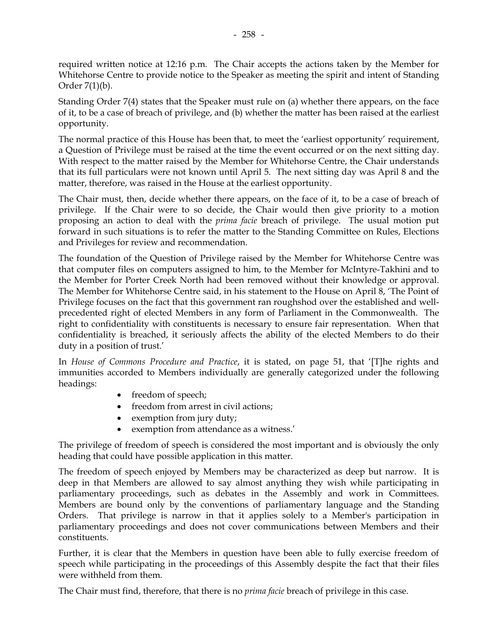required written notice at 12:16 p.m. The Chair accepts the actions taken by the Member for Whitehorse Centre to provide notice to the Speaker as meeting the spirit and intent of Standing Order 7(1)(b).

Standing Order 7(4) states that the Speaker must rule on (a) whether there appears, on the face of it, to be a case of breach of privilege, and (b) whether the matter has been raised at the earliest opportunity.

The normal practice of this House has been that, to meet the 'earliest opportunity' requirement, a Question of Privilege must be raised at the time the event occurred or on the next sitting day. With respect to the matter raised by the Member for Whitehorse Centre, the Chair understands that its full particulars were not known until April 5. The next sitting day was April 8 and the matter, therefore, was raised in the House at the earliest opportunity.

The Chair must, then, decide whether there appears, on the face of it, to be a case of breach of privilege. If the Chair were to so decide, the Chair would then give priority to a motion proposing an action to deal with the *prima facie* breach of privilege. The usual motion put forward in such situations is to refer the matter to the Standing Committee on Rules, Elections and Privileges for review and recommendation.

The foundation of the Question of Privilege raised by the Member for Whitehorse Centre was that computer files on computers assigned to him, to the Member for McIntyre-Takhini and to the Member for Porter Creek North had been removed without their knowledge or approval. The Member for Whitehorse Centre said, in his statement to the House on April 8, 'The Point of Privilege focuses on the fact that this government ran roughshod over the established and wellprecedented right of elected Members in any form of Parliament in the Commonwealth. The right to confidentiality with constituents is necessary to ensure fair representation. When that confidentiality is breached, it seriously affects the ability of the elected Members to do their duty in a position of trust.'

In *House of Commons Procedure and Practice*, it is stated, on page 51, that '[T]he rights and immunities accorded to Members individually are generally categorized under the following headings:

- freedom of speech;
- freedom from arrest in civil actions;
- exemption from jury duty;
- exemption from attendance as a witness.'

The privilege of freedom of speech is considered the most important and is obviously the only heading that could have possible application in this matter.

The freedom of speech enjoyed by Members may be characterized as deep but narrow. It is deep in that Members are allowed to say almost anything they wish while participating in parliamentary proceedings, such as debates in the Assembly and work in Committees. Members are bound only by the conventions of parliamentary language and the Standing Orders. That privilege is narrow in that it applies solely to a Member's participation in parliamentary proceedings and does not cover communications between Members and their constituents.

Further, it is clear that the Members in question have been able to fully exercise freedom of speech while participating in the proceedings of this Assembly despite the fact that their files were withheld from them.

The Chair must find, therefore, that there is no *prima facie* breach of privilege in this case.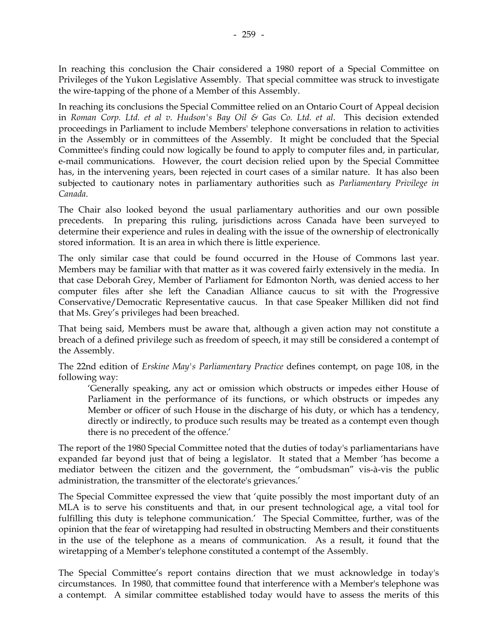In reaching this conclusion the Chair considered a 1980 report of a Special Committee on Privileges of the Yukon Legislative Assembly. That special committee was struck to investigate the wire-tapping of the phone of a Member of this Assembly.

In reaching its conclusions the Special Committee relied on an Ontario Court of Appeal decision in *Roman Corp. Ltd. et al v. Hudson's Bay Oil & Gas Co. Ltd. et al*. This decision extended proceedings in Parliament to include Members' telephone conversations in relation to activities in the Assembly or in committees of the Assembly. It might be concluded that the Special Committee's finding could now logically be found to apply to computer files and, in particular, e-mail communications. However, the court decision relied upon by the Special Committee has, in the intervening years, been rejected in court cases of a similar nature. It has also been subjected to cautionary notes in parliamentary authorities such as *Parliamentary Privilege in Canada*.

The Chair also looked beyond the usual parliamentary authorities and our own possible precedents. In preparing this ruling, jurisdictions across Canada have been surveyed to determine their experience and rules in dealing with the issue of the ownership of electronically stored information. It is an area in which there is little experience.

The only similar case that could be found occurred in the House of Commons last year. Members may be familiar with that matter as it was covered fairly extensively in the media. In that case Deborah Grey, Member of Parliament for Edmonton North, was denied access to her computer files after she left the Canadian Alliance caucus to sit with the Progressive Conservative/Democratic Representative caucus. In that case Speaker Milliken did not find that Ms. Grey's privileges had been breached.

That being said, Members must be aware that, although a given action may not constitute a breach of a defined privilege such as freedom of speech, it may still be considered a contempt of the Assembly.

The 22nd edition of *Erskine May's Parliamentary Practice* defines contempt, on page 108, in the following way:

 'Generally speaking, any act or omission which obstructs or impedes either House of Parliament in the performance of its functions, or which obstructs or impedes any Member or officer of such House in the discharge of his duty, or which has a tendency, directly or indirectly, to produce such results may be treated as a contempt even though there is no precedent of the offence.'

The report of the 1980 Special Committee noted that the duties of today's parliamentarians have expanded far beyond just that of being a legislator. It stated that a Member 'has become a mediator between the citizen and the government, the "ombudsman" vis-à-vis the public administration, the transmitter of the electorate's grievances.'

The Special Committee expressed the view that 'quite possibly the most important duty of an MLA is to serve his constituents and that, in our present technological age, a vital tool for fulfilling this duty is telephone communication.' The Special Committee, further, was of the opinion that the fear of wiretapping had resulted in obstructing Members and their constituents in the use of the telephone as a means of communication. As a result, it found that the wiretapping of a Member's telephone constituted a contempt of the Assembly.

The Special Committee's report contains direction that we must acknowledge in today's circumstances. In 1980, that committee found that interference with a Member's telephone was a contempt. A similar committee established today would have to assess the merits of this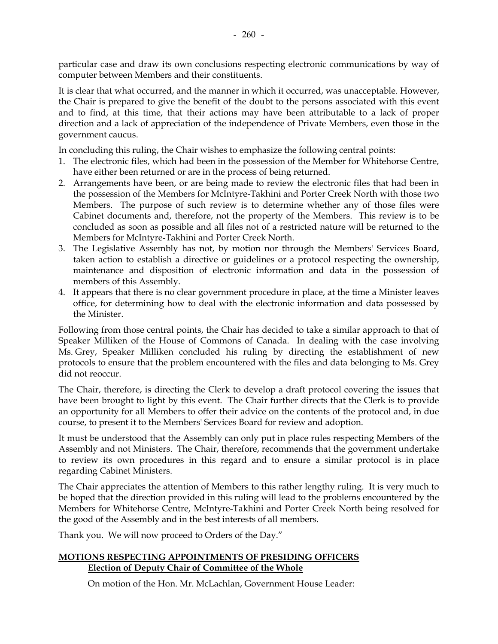particular case and draw its own conclusions respecting electronic communications by way of computer between Members and their constituents.

It is clear that what occurred, and the manner in which it occurred, was unacceptable. However, the Chair is prepared to give the benefit of the doubt to the persons associated with this event and to find, at this time, that their actions may have been attributable to a lack of proper direction and a lack of appreciation of the independence of Private Members, even those in the government caucus.

In concluding this ruling, the Chair wishes to emphasize the following central points:

- 1. The electronic files, which had been in the possession of the Member for Whitehorse Centre, have either been returned or are in the process of being returned.
- 2. Arrangements have been, or are being made to review the electronic files that had been in the possession of the Members for McIntyre-Takhini and Porter Creek North with those two Members. The purpose of such review is to determine whether any of those files were Cabinet documents and, therefore, not the property of the Members. This review is to be concluded as soon as possible and all files not of a restricted nature will be returned to the Members for McIntyre-Takhini and Porter Creek North.
- 3. The Legislative Assembly has not, by motion nor through the Members' Services Board, taken action to establish a directive or guidelines or a protocol respecting the ownership, maintenance and disposition of electronic information and data in the possession of members of this Assembly.
- 4. It appears that there is no clear government procedure in place, at the time a Minister leaves office, for determining how to deal with the electronic information and data possessed by the Minister.

Following from those central points, the Chair has decided to take a similar approach to that of Speaker Milliken of the House of Commons of Canada. In dealing with the case involving Ms. Grey, Speaker Milliken concluded his ruling by directing the establishment of new protocols to ensure that the problem encountered with the files and data belonging to Ms. Grey did not reoccur.

The Chair, therefore, is directing the Clerk to develop a draft protocol covering the issues that have been brought to light by this event. The Chair further directs that the Clerk is to provide an opportunity for all Members to offer their advice on the contents of the protocol and, in due course, to present it to the Members' Services Board for review and adoption.

It must be understood that the Assembly can only put in place rules respecting Members of the Assembly and not Ministers. The Chair, therefore, recommends that the government undertake to review its own procedures in this regard and to ensure a similar protocol is in place regarding Cabinet Ministers.

The Chair appreciates the attention of Members to this rather lengthy ruling. It is very much to be hoped that the direction provided in this ruling will lead to the problems encountered by the Members for Whitehorse Centre, McIntyre-Takhini and Porter Creek North being resolved for the good of the Assembly and in the best interests of all members.

Thank you. We will now proceed to Orders of the Day."

### **MOTIONS RESPECTING APPOINTMENTS OF PRESIDING OFFICERS Election of Deputy Chair of Committee of the Whole**

On motion of the Hon. Mr. McLachlan, Government House Leader: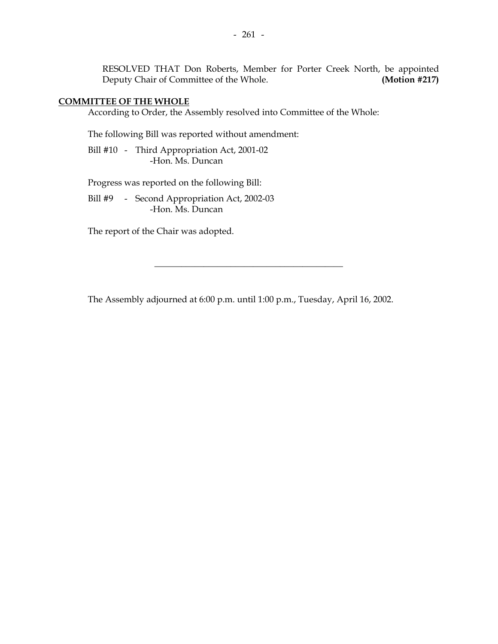RESOLVED THAT Don Roberts, Member for Porter Creek North, be appointed Deputy Chair of Committee of the Whole. **(Motion #217)** 

#### **COMMITTEE OF THE WHOLE**

According to Order, the Assembly resolved into Committee of the Whole:

The following Bill was reported without amendment:

 Bill #10 - Third Appropriation Act, 2001-02 -Hon. Ms. Duncan

Progress was reported on the following Bill:

Bill #9 - Second Appropriation Act, 2002-03 -Hon. Ms. Duncan

The report of the Chair was adopted.

The Assembly adjourned at 6:00 p.m. until 1:00 p.m., Tuesday, April 16, 2002.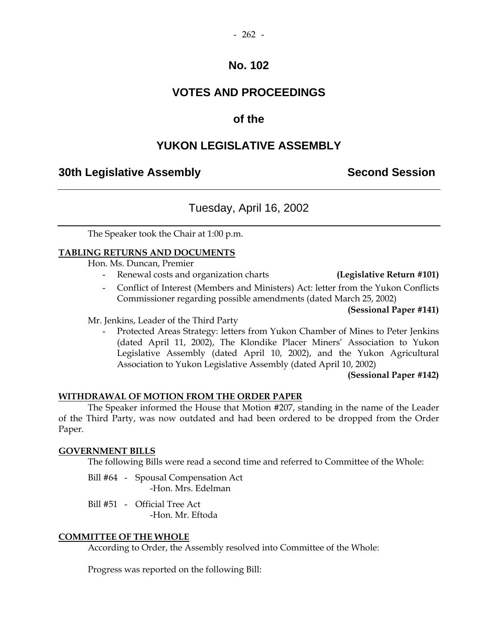### **VOTES AND PROCEEDINGS**

### **of the**

### **YUKON LEGISLATIVE ASSEMBLY**

### **30th Legislative Assembly Second Session**

### Tuesday, April 16, 2002

The Speaker took the Chair at 1:00 p.m.

#### **TABLING RETURNS AND DOCUMENTS**

Hon. Ms. Duncan, Premier

- Renewal costs and organization charts **(Legislative Return #101)**
- Conflict of Interest (Members and Ministers) Act: letter from the Yukon Conflicts Commissioner regarding possible amendments (dated March 25, 2002)

**(Sessional Paper #141)** 

Mr. Jenkins, Leader of the Third Party

Protected Areas Strategy: letters from Yukon Chamber of Mines to Peter Jenkins (dated April 11, 2002), The Klondike Placer Miners' Association to Yukon Legislative Assembly (dated April 10, 2002), and the Yukon Agricultural Association to Yukon Legislative Assembly (dated April 10, 2002)

**(Sessional Paper #142)** 

#### **WITHDRAWAL OF MOTION FROM THE ORDER PAPER**

 The Speaker informed the House that Motion #207, standing in the name of the Leader of the Third Party, was now outdated and had been ordered to be dropped from the Order Paper.

#### **GOVERNMENT BILLS**

The following Bills were read a second time and referred to Committee of the Whole:

- Bill #64 Spousal Compensation Act -Hon. Mrs. Edelman
- Bill #51 Official Tree Act -Hon. Mr. Eftoda

#### **COMMITTEE OF THE WHOLE**

According to Order, the Assembly resolved into Committee of the Whole:

Progress was reported on the following Bill: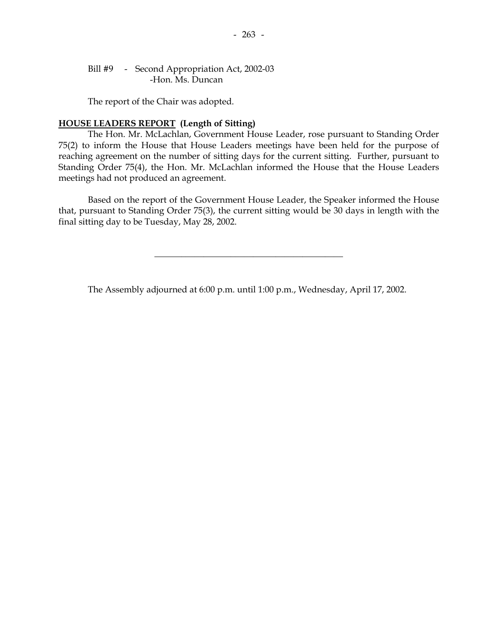#### Bill #9 - Second Appropriation Act, 2002-03 -Hon. Ms. Duncan

The report of the Chair was adopted.

#### **HOUSE LEADERS REPORT (Length of Sitting)**

 The Hon. Mr. McLachlan, Government House Leader, rose pursuant to Standing Order 75(2) to inform the House that House Leaders meetings have been held for the purpose of reaching agreement on the number of sitting days for the current sitting. Further, pursuant to Standing Order 75(4), the Hon. Mr. McLachlan informed the House that the House Leaders meetings had not produced an agreement.

 Based on the report of the Government House Leader, the Speaker informed the House that, pursuant to Standing Order 75(3), the current sitting would be 30 days in length with the final sitting day to be Tuesday, May 28, 2002.

\_\_\_\_\_\_\_\_\_\_\_\_\_\_\_\_\_\_\_\_\_\_\_\_\_\_\_\_\_\_\_\_\_\_\_\_\_\_\_\_\_\_

The Assembly adjourned at 6:00 p.m. until 1:00 p.m., Wednesday, April 17, 2002.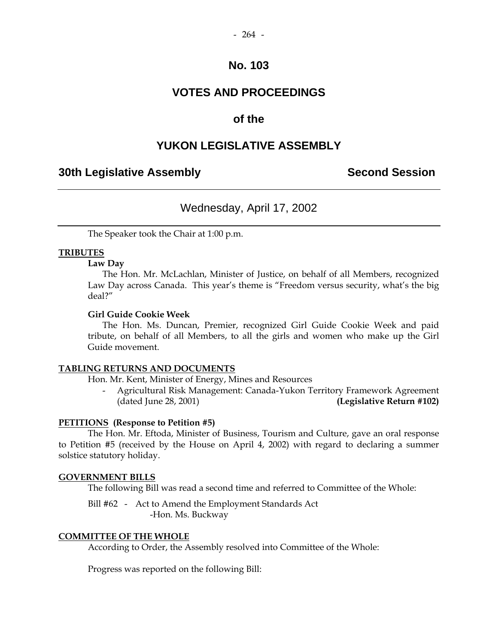### **VOTES AND PROCEEDINGS**

### **of the**

### **YUKON LEGISLATIVE ASSEMBLY**

### **30th Legislative Assembly Second Session**

### Wednesday, April 17, 2002

The Speaker took the Chair at 1:00 p.m.

#### **TRIBUTES**

#### **Law Day**

 The Hon. Mr. McLachlan, Minister of Justice, on behalf of all Members, recognized Law Day across Canada. This year's theme is "Freedom versus security, what's the big deal?"

#### **Girl Guide Cookie Week**

 The Hon. Ms. Duncan, Premier, recognized Girl Guide Cookie Week and paid tribute, on behalf of all Members, to all the girls and women who make up the Girl Guide movement.

#### **TABLING RETURNS AND DOCUMENTS**

Hon. Mr. Kent, Minister of Energy, Mines and Resources

 - Agricultural Risk Management: Canada-Yukon Territory Framework Agreement (dated June 28, 2001) **(Legislative Return #102)** 

#### **PETITIONS (Response to Petition #5)**

 The Hon. Mr. Eftoda, Minister of Business, Tourism and Culture, gave an oral response to Petition #5 (received by the House on April 4, 2002) with regard to declaring a summer solstice statutory holiday.

#### **GOVERNMENT BILLS**

The following Bill was read a second time and referred to Committee of the Whole:

 Bill #62 - Act to Amend the Employment Standards Act -Hon. Ms. Buckway

#### **COMMITTEE OF THE WHOLE**

According to Order, the Assembly resolved into Committee of the Whole:

Progress was reported on the following Bill: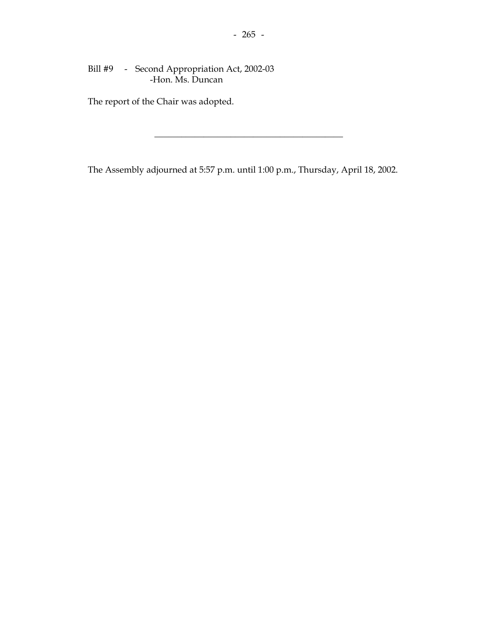### Bill #9 - Second Appropriation Act, 2002-03 -Hon. Ms. Duncan

The report of the Chair was adopted.

The Assembly adjourned at 5:57 p.m. until 1:00 p.m., Thursday, April 18, 2002.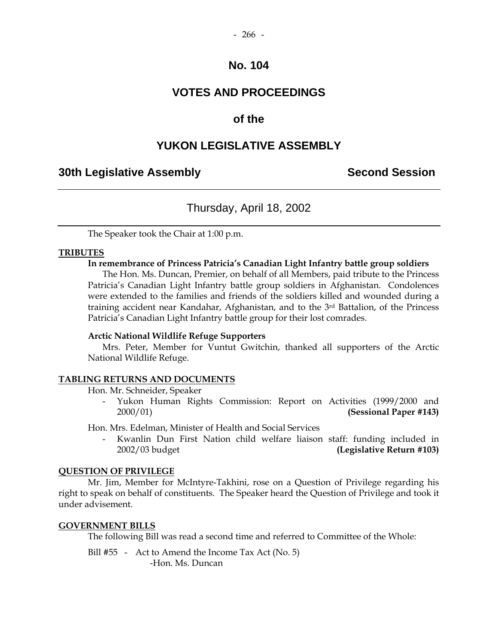### **VOTES AND PROCEEDINGS**

### **of the**

### **YUKON LEGISLATIVE ASSEMBLY**

### **30th Legislative Assembly Second Session**

### Thursday, April 18, 2002

The Speaker took the Chair at 1:00 p.m.

#### **TRIBUTES**

#### **In remembrance of Princess Patricia's Canadian Light Infantry battle group soldiers**

 The Hon. Ms. Duncan, Premier, on behalf of all Members, paid tribute to the Princess Patricia's Canadian Light Infantry battle group soldiers in Afghanistan. Condolences were extended to the families and friends of the soldiers killed and wounded during a training accident near Kandahar, Afghanistan, and to the 3rd Battalion, of the Princess Patricia's Canadian Light Infantry battle group for their lost comrades.

#### **Arctic National Wildlife Refuge Supporters**

 Mrs. Peter, Member for Vuntut Gwitchin, thanked all supporters of the Arctic National Wildlife Refuge.

### **TABLING RETURNS AND DOCUMENTS**

Hon. Mr. Schneider, Speaker

 - Yukon Human Rights Commission: Report on Activities (1999/2000 and 2000/01) **(Sessional Paper #143)** 

Hon. Mrs. Edelman, Minister of Health and Social Services

 - Kwanlin Dun First Nation child welfare liaison staff: funding included in 2002/03 budget **(Legislative Return #103)** 

#### **QUESTION OF PRIVILEGE**

 Mr. Jim, Member for McIntyre-Takhini, rose on a Question of Privilege regarding his right to speak on behalf of constituents. The Speaker heard the Question of Privilege and took it under advisement.

#### **GOVERNMENT BILLS**

The following Bill was read a second time and referred to Committee of the Whole:

Bill #55 - Act to Amend the Income Tax Act (No. 5) -Hon. Ms. Duncan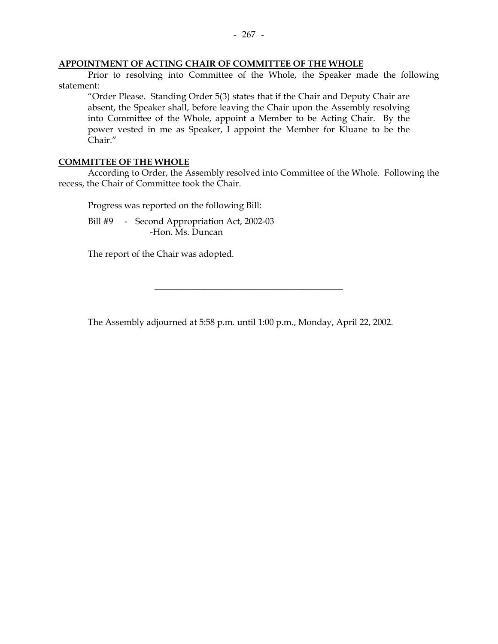#### **APPOINTMENT OF ACTING CHAIR OF COMMITTEE OF THE WHOLE**

 Prior to resolving into Committee of the Whole, the Speaker made the following statement:

 "Order Please. Standing Order 5(3) states that if the Chair and Deputy Chair are absent, the Speaker shall, before leaving the Chair upon the Assembly resolving into Committee of the Whole, appoint a Member to be Acting Chair. By the power vested in me as Speaker, I appoint the Member for Kluane to be the Chair."

#### **COMMITTEE OF THE WHOLE**

 According to Order, the Assembly resolved into Committee of the Whole. Following the recess, the Chair of Committee took the Chair.

Progress was reported on the following Bill:

Bill #9 - Second Appropriation Act, 2002-03 -Hon. Ms. Duncan

The report of the Chair was adopted.

The Assembly adjourned at 5:58 p.m. until 1:00 p.m., Monday, April 22, 2002.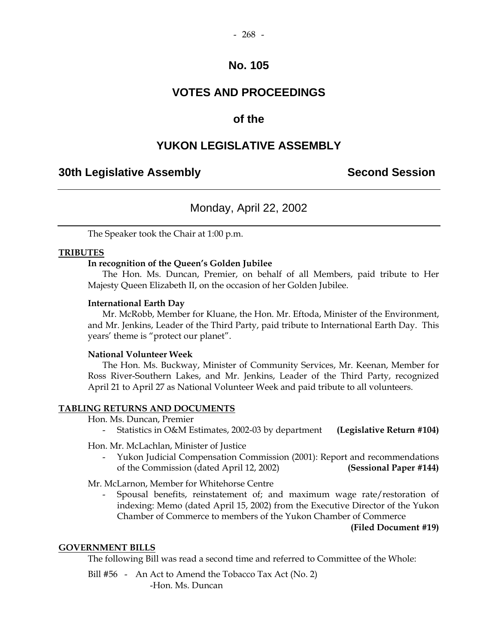### **VOTES AND PROCEEDINGS**

### **of the**

### **YUKON LEGISLATIVE ASSEMBLY**

### **30th Legislative Assembly Second Session**

### Monday, April 22, 2002

The Speaker took the Chair at 1:00 p.m.

#### **TRIBUTES**

#### **In recognition of the Queen's Golden Jubilee**

 The Hon. Ms. Duncan, Premier, on behalf of all Members, paid tribute to Her Majesty Queen Elizabeth II, on the occasion of her Golden Jubilee.

#### **International Earth Day**

 Mr. McRobb, Member for Kluane, the Hon. Mr. Eftoda, Minister of the Environment, and Mr. Jenkins, Leader of the Third Party, paid tribute to International Earth Day. This years' theme is "protect our planet".

#### **National Volunteer Week**

 The Hon. Ms. Buckway, Minister of Community Services, Mr. Keenan, Member for Ross River-Southern Lakes, and Mr. Jenkins, Leader of the Third Party, recognized April 21 to April 27 as National Volunteer Week and paid tribute to all volunteers.

#### **TABLING RETURNS AND DOCUMENTS**

Hon. Ms. Duncan, Premier

- Statistics in O&M Estimates, 2002-03 by department **(Legislative Return #104)** 

Hon. Mr. McLachlan, Minister of Justice

 - Yukon Judicial Compensation Commission (2001): Report and recommendations of the Commission (dated April 12, 2002) **(Sessional Paper #144)** 

Mr. McLarnon, Member for Whitehorse Centre

 - Spousal benefits, reinstatement of; and maximum wage rate/restoration of indexing: Memo (dated April 15, 2002) from the Executive Director of the Yukon Chamber of Commerce to members of the Yukon Chamber of Commerce

#### **(Filed Document #19)**

#### **GOVERNMENT BILLS**

The following Bill was read a second time and referred to Committee of the Whole:

Bill #56 - An Act to Amend the Tobacco Tax Act (No. 2) -Hon. Ms. Duncan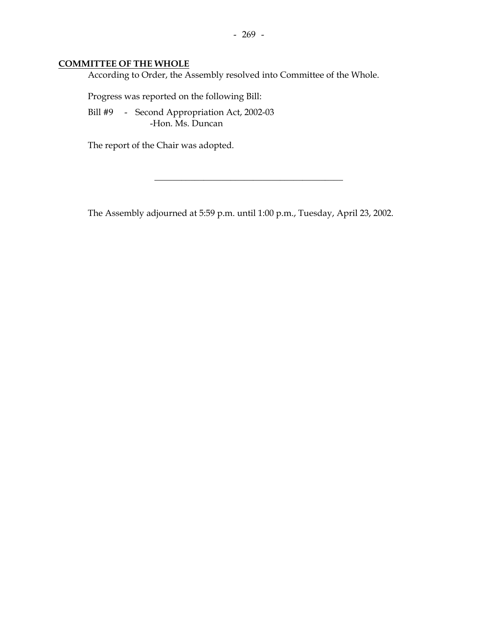### **COMMITTEE OF THE WHOLE**

According to Order, the Assembly resolved into Committee of the Whole.

Progress was reported on the following Bill:

 Bill #9 - Second Appropriation Act, 2002-03 -Hon. Ms. Duncan

The report of the Chair was adopted.

The Assembly adjourned at 5:59 p.m. until 1:00 p.m., Tuesday, April 23, 2002.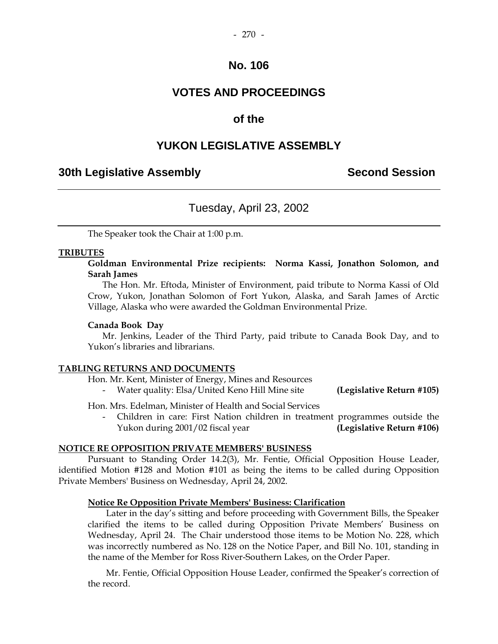### **VOTES AND PROCEEDINGS**

### **of the**

### **YUKON LEGISLATIVE ASSEMBLY**

### **30th Legislative Assembly Second Session**

### Tuesday, April 23, 2002

The Speaker took the Chair at 1:00 p.m.

#### **TRIBUTES**

#### **Goldman Environmental Prize recipients: Norma Kassi, Jonathon Solomon, and Sarah James**

 The Hon. Mr. Eftoda, Minister of Environment, paid tribute to Norma Kassi of Old Crow, Yukon, Jonathan Solomon of Fort Yukon, Alaska, and Sarah James of Arctic Village, Alaska who were awarded the Goldman Environmental Prize.

#### **Canada Book Day**

 Mr. Jenkins, Leader of the Third Party, paid tribute to Canada Book Day, and to Yukon's libraries and librarians.

#### **TABLING RETURNS AND DOCUMENTS**

Hon. Mr. Kent, Minister of Energy, Mines and Resources

- Water quality: Elsa/United Keno Hill Mine site **(Legislative Return #105)** 

Hon. Mrs. Edelman, Minister of Health and Social Services

 - Children in care: First Nation children in treatment programmes outside the Yukon during 2001/02 fiscal year **(Legislative Return #106)** 

#### **NOTICE RE OPPOSITION PRIVATE MEMBERS' BUSINESS**

 Pursuant to Standing Order 14.2(3), Mr. Fentie, Official Opposition House Leader, identified Motion #128 and Motion #101 as being the items to be called during Opposition Private Members' Business on Wednesday, April 24, 2002.

#### **Notice Re Opposition Private Members' Business: Clarification**

 Later in the day's sitting and before proceeding with Government Bills, the Speaker clarified the items to be called during Opposition Private Members' Business on Wednesday, April 24. The Chair understood those items to be Motion No. 228, which was incorrectly numbered as No. 128 on the Notice Paper, and Bill No. 101, standing in the name of the Member for Ross River-Southern Lakes, on the Order Paper.

 Mr. Fentie, Official Opposition House Leader, confirmed the Speaker's correction of the record.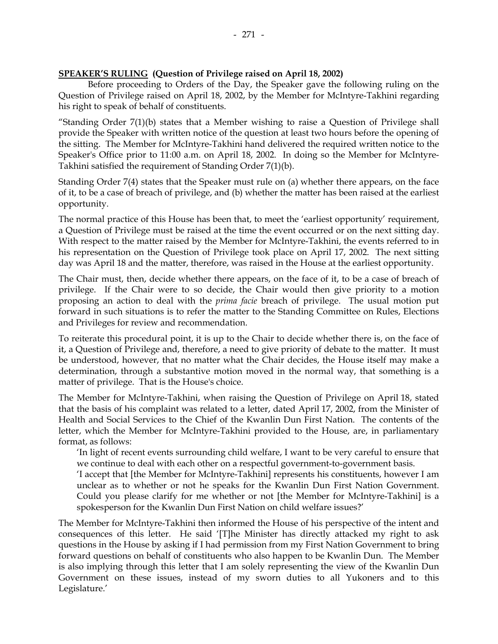#### **SPEAKER'S RULING (Question of Privilege raised on April 18, 2002)**

 Before proceeding to Orders of the Day, the Speaker gave the following ruling on the Question of Privilege raised on April 18, 2002, by the Member for McIntyre-Takhini regarding his right to speak of behalf of constituents.

"Standing Order  $7(1)(b)$  states that a Member wishing to raise a Question of Privilege shall provide the Speaker with written notice of the question at least two hours before the opening of the sitting. The Member for McIntyre-Takhini hand delivered the required written notice to the Speaker's Office prior to 11:00 a.m. on April 18, 2002. In doing so the Member for McIntyre-Takhini satisfied the requirement of Standing Order 7(1)(b).

Standing Order 7(4) states that the Speaker must rule on (a) whether there appears, on the face of it, to be a case of breach of privilege, and (b) whether the matter has been raised at the earliest opportunity.

The normal practice of this House has been that, to meet the 'earliest opportunity' requirement, a Question of Privilege must be raised at the time the event occurred or on the next sitting day. With respect to the matter raised by the Member for McIntyre-Takhini, the events referred to in his representation on the Question of Privilege took place on April 17, 2002. The next sitting day was April 18 and the matter, therefore, was raised in the House at the earliest opportunity.

The Chair must, then, decide whether there appears, on the face of it, to be a case of breach of privilege. If the Chair were to so decide, the Chair would then give priority to a motion proposing an action to deal with the *prima facie* breach of privilege. The usual motion put forward in such situations is to refer the matter to the Standing Committee on Rules, Elections and Privileges for review and recommendation.

To reiterate this procedural point, it is up to the Chair to decide whether there is, on the face of it, a Question of Privilege and, therefore, a need to give priority of debate to the matter. It must be understood, however, that no matter what the Chair decides, the House itself may make a determination, through a substantive motion moved in the normal way, that something is a matter of privilege. That is the House's choice.

The Member for McIntyre-Takhini, when raising the Question of Privilege on April 18, stated that the basis of his complaint was related to a letter, dated April 17, 2002, from the Minister of Health and Social Services to the Chief of the Kwanlin Dun First Nation. The contents of the letter, which the Member for McIntyre-Takhini provided to the House, are, in parliamentary format, as follows:

 'In light of recent events surrounding child welfare, I want to be very careful to ensure that we continue to deal with each other on a respectful government-to-government basis.

 'I accept that [the Member for McIntyre-Takhini] represents his constituents, however I am unclear as to whether or not he speaks for the Kwanlin Dun First Nation Government. Could you please clarify for me whether or not [the Member for McIntyre-Takhini] is a spokesperson for the Kwanlin Dun First Nation on child welfare issues?'

The Member for McIntyre-Takhini then informed the House of his perspective of the intent and consequences of this letter. He said '[T]he Minister has directly attacked my right to ask questions in the House by asking if I had permission from my First Nation Government to bring forward questions on behalf of constituents who also happen to be Kwanlin Dun. The Member is also implying through this letter that I am solely representing the view of the Kwanlin Dun Government on these issues, instead of my sworn duties to all Yukoners and to this Legislature.'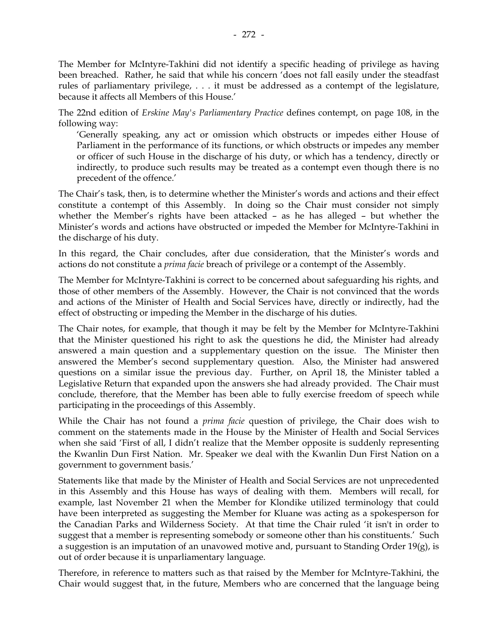The Member for McIntyre-Takhini did not identify a specific heading of privilege as having been breached. Rather, he said that while his concern 'does not fall easily under the steadfast rules of parliamentary privilege, . . . it must be addressed as a contempt of the legislature, because it affects all Members of this House.'

The 22nd edition of *Erskine May's Parliamentary Practice* defines contempt, on page 108, in the following way:

 'Generally speaking, any act or omission which obstructs or impedes either House of Parliament in the performance of its functions, or which obstructs or impedes any member or officer of such House in the discharge of his duty, or which has a tendency, directly or indirectly, to produce such results may be treated as a contempt even though there is no precedent of the offence.'

The Chair's task, then, is to determine whether the Minister's words and actions and their effect constitute a contempt of this Assembly. In doing so the Chair must consider not simply whether the Member's rights have been attacked – as he has alleged – but whether the Minister's words and actions have obstructed or impeded the Member for McIntyre-Takhini in the discharge of his duty.

In this regard, the Chair concludes, after due consideration, that the Minister's words and actions do not constitute a *prima facie* breach of privilege or a contempt of the Assembly.

The Member for McIntyre-Takhini is correct to be concerned about safeguarding his rights, and those of other members of the Assembly. However, the Chair is not convinced that the words and actions of the Minister of Health and Social Services have, directly or indirectly, had the effect of obstructing or impeding the Member in the discharge of his duties.

The Chair notes, for example, that though it may be felt by the Member for McIntyre-Takhini that the Minister questioned his right to ask the questions he did, the Minister had already answered a main question and a supplementary question on the issue. The Minister then answered the Member's second supplementary question. Also, the Minister had answered questions on a similar issue the previous day. Further, on April 18, the Minister tabled a Legislative Return that expanded upon the answers she had already provided. The Chair must conclude, therefore, that the Member has been able to fully exercise freedom of speech while participating in the proceedings of this Assembly.

While the Chair has not found a *prima facie* question of privilege, the Chair does wish to comment on the statements made in the House by the Minister of Health and Social Services when she said 'First of all, I didn't realize that the Member opposite is suddenly representing the Kwanlin Dun First Nation. Mr. Speaker we deal with the Kwanlin Dun First Nation on a government to government basis.'

Statements like that made by the Minister of Health and Social Services are not unprecedented in this Assembly and this House has ways of dealing with them. Members will recall, for example, last November 21 when the Member for Klondike utilized terminology that could have been interpreted as suggesting the Member for Kluane was acting as a spokesperson for the Canadian Parks and Wilderness Society. At that time the Chair ruled 'it isn't in order to suggest that a member is representing somebody or someone other than his constituents.' Such a suggestion is an imputation of an unavowed motive and, pursuant to Standing Order 19(g), is out of order because it is unparliamentary language.

Therefore, in reference to matters such as that raised by the Member for McIntyre-Takhini, the Chair would suggest that, in the future, Members who are concerned that the language being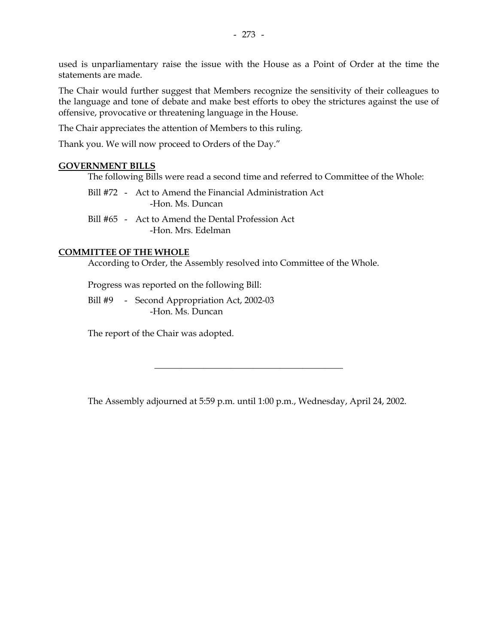used is unparliamentary raise the issue with the House as a Point of Order at the time the statements are made.

The Chair would further suggest that Members recognize the sensitivity of their colleagues to the language and tone of debate and make best efforts to obey the strictures against the use of offensive, provocative or threatening language in the House.

The Chair appreciates the attention of Members to this ruling.

Thank you. We will now proceed to Orders of the Day."

#### **GOVERNMENT BILLS**

The following Bills were read a second time and referred to Committee of the Whole:

|  | Bill #72 - Act to Amend the Financial Administration Act |
|--|----------------------------------------------------------|
|  | -Hon. Ms. Duncan                                         |

 Bill #65 - Act to Amend the Dental Profession Act -Hon. Mrs. Edelman

#### **COMMITTEE OF THE WHOLE**

According to Order, the Assembly resolved into Committee of the Whole.

Progress was reported on the following Bill:

Bill #9 - Second Appropriation Act, 2002-03 -Hon. Ms. Duncan

The report of the Chair was adopted.

The Assembly adjourned at 5:59 p.m. until 1:00 p.m., Wednesday, April 24, 2002.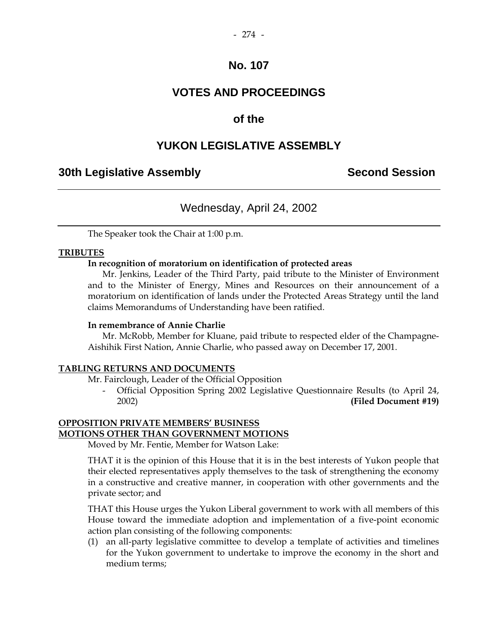### **VOTES AND PROCEEDINGS**

### **of the**

### **YUKON LEGISLATIVE ASSEMBLY**

### **30th Legislative Assembly Second Session**

### Wednesday, April 24, 2002

The Speaker took the Chair at 1:00 p.m.

#### **TRIBUTES**

#### **In recognition of moratorium on identification of protected areas**

 Mr. Jenkins, Leader of the Third Party, paid tribute to the Minister of Environment and to the Minister of Energy, Mines and Resources on their announcement of a moratorium on identification of lands under the Protected Areas Strategy until the land claims Memorandums of Understanding have been ratified.

#### **In remembrance of Annie Charlie**

 Mr. McRobb, Member for Kluane, paid tribute to respected elder of the Champagne-Aishihik First Nation, Annie Charlie, who passed away on December 17, 2001.

#### **TABLING RETURNS AND DOCUMENTS**

Mr. Fairclough, Leader of the Official Opposition

 - Official Opposition Spring 2002 Legislative Questionnaire Results (to April 24, 2002) **(Filed Document #19)** 

#### **OPPOSITION PRIVATE MEMBERS' BUSINESS MOTIONS OTHER THAN GOVERNMENT MOTIONS**

Moved by Mr. Fentie, Member for Watson Lake:

THAT it is the opinion of this House that it is in the best interests of Yukon people that their elected representatives apply themselves to the task of strengthening the economy in a constructive and creative manner, in cooperation with other governments and the private sector; and

THAT this House urges the Yukon Liberal government to work with all members of this House toward the immediate adoption and implementation of a five-point economic action plan consisting of the following components:

(1) an all-party legislative committee to develop a template of activities and timelines for the Yukon government to undertake to improve the economy in the short and medium terms;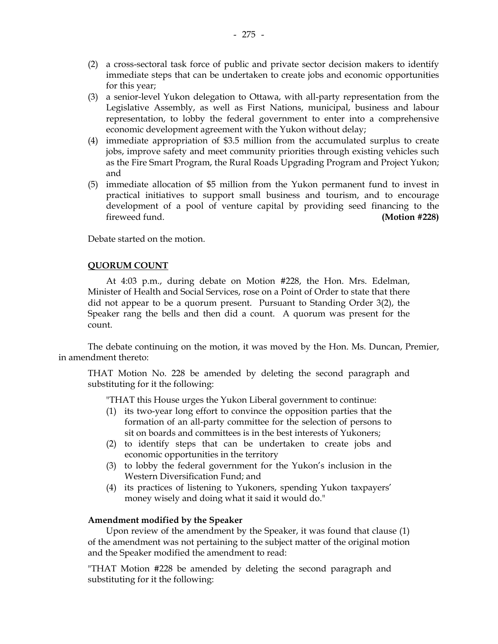- (2) a cross-sectoral task force of public and private sector decision makers to identify immediate steps that can be undertaken to create jobs and economic opportunities for this year;
- (3) a senior-level Yukon delegation to Ottawa, with all-party representation from the Legislative Assembly, as well as First Nations, municipal, business and labour representation, to lobby the federal government to enter into a comprehensive economic development agreement with the Yukon without delay;
- (4) immediate appropriation of \$3.5 million from the accumulated surplus to create jobs, improve safety and meet community priorities through existing vehicles such as the Fire Smart Program, the Rural Roads Upgrading Program and Project Yukon; and
- (5) immediate allocation of \$5 million from the Yukon permanent fund to invest in practical initiatives to support small business and tourism, and to encourage development of a pool of venture capital by providing seed financing to the fireweed fund. **(Motion #228)**

Debate started on the motion.

#### **QUORUM COUNT**

 At 4:03 p.m., during debate on Motion #228, the Hon. Mrs. Edelman, Minister of Health and Social Services, rose on a Point of Order to state that there did not appear to be a quorum present. Pursuant to Standing Order 3(2), the Speaker rang the bells and then did a count. A quorum was present for the count.

 The debate continuing on the motion, it was moved by the Hon. Ms. Duncan, Premier, in amendment thereto:

 THAT Motion No. 228 be amended by deleting the second paragraph and substituting for it the following:

"THAT this House urges the Yukon Liberal government to continue:

- (1) its two-year long effort to convince the opposition parties that the formation of an all-party committee for the selection of persons to sit on boards and committees is in the best interests of Yukoners;
- (2) to identify steps that can be undertaken to create jobs and economic opportunities in the territory
- (3) to lobby the federal government for the Yukon's inclusion in the Western Diversification Fund; and
- (4) its practices of listening to Yukoners, spending Yukon taxpayers' money wisely and doing what it said it would do."

### **Amendment modified by the Speaker**

Upon review of the amendment by the Speaker, it was found that clause (1) of the amendment was not pertaining to the subject matter of the original motion and the Speaker modified the amendment to read:

 "THAT Motion #228 be amended by deleting the second paragraph and substituting for it the following: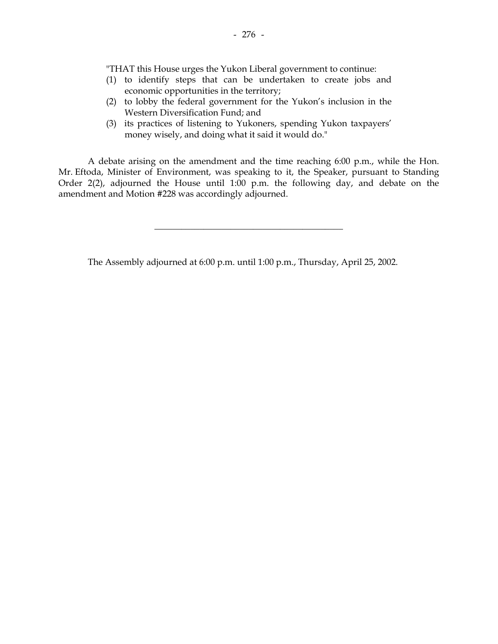"THAT this House urges the Yukon Liberal government to continue:

- (1) to identify steps that can be undertaken to create jobs and economic opportunities in the territory;
- (2) to lobby the federal government for the Yukon's inclusion in the Western Diversification Fund; and
- (3) its practices of listening to Yukoners, spending Yukon taxpayers' money wisely, and doing what it said it would do."

 A debate arising on the amendment and the time reaching 6:00 p.m., while the Hon. Mr. Eftoda, Minister of Environment, was speaking to it, the Speaker, pursuant to Standing Order 2(2), adjourned the House until 1:00 p.m. the following day, and debate on the amendment and Motion #228 was accordingly adjourned.

\_\_\_\_\_\_\_\_\_\_\_\_\_\_\_\_\_\_\_\_\_\_\_\_\_\_\_\_\_\_\_\_\_\_\_\_\_\_\_\_\_\_

The Assembly adjourned at 6:00 p.m. until 1:00 p.m., Thursday, April 25, 2002.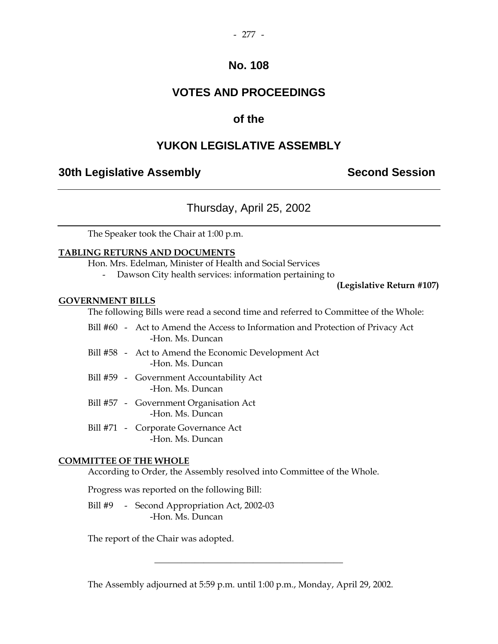## **VOTES AND PROCEEDINGS**

### **of the**

### **YUKON LEGISLATIVE ASSEMBLY**

### **30th Legislative Assembly Second Session**

### Thursday, April 25, 2002

The Speaker took the Chair at 1:00 p.m.

### **TABLING RETURNS AND DOCUMENTS**

Hon. Mrs. Edelman, Minister of Health and Social Services

Dawson City health services: information pertaining to

**(Legislative Return #107)** 

#### **GOVERNMENT BILLS**

The following Bills were read a second time and referred to Committee of the Whole:

- Bill #60 Act to Amend the Access to Information and Protection of Privacy Act -Hon. Ms. Duncan
- Bill #58 Act to Amend the Economic Development Act -Hon. Ms. Duncan
- Bill #59 Government Accountability Act -Hon. Ms. Duncan
- Bill #57 Government Organisation Act -Hon. Ms. Duncan
- Bill #71 Corporate Governance Act -Hon. Ms. Duncan

### **COMMITTEE OF THE WHOLE**

According to Order, the Assembly resolved into Committee of the Whole.

Progress was reported on the following Bill:

Bill #9 - Second Appropriation Act, 2002-03 -Hon. Ms. Duncan

The report of the Chair was adopted.

The Assembly adjourned at 5:59 p.m. until 1:00 p.m., Monday, April 29, 2002.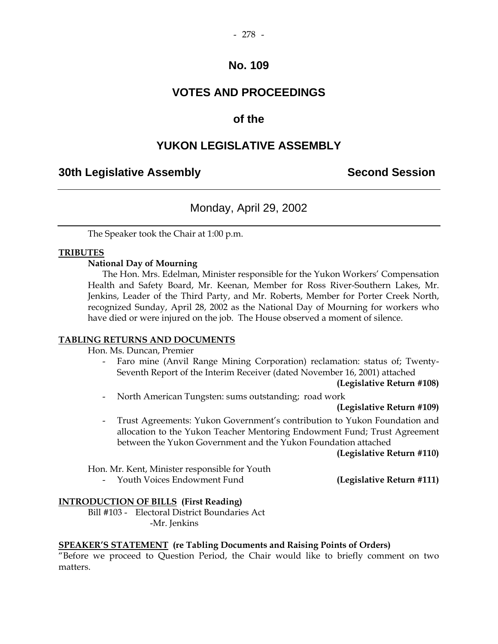# **VOTES AND PROCEEDINGS**

# **of the**

# **YUKON LEGISLATIVE ASSEMBLY**

# **30th Legislative Assembly Second Session**

# Monday, April 29, 2002

The Speaker took the Chair at 1:00 p.m.

## **TRIBUTES**

## **National Day of Mourning**

The Hon. Mrs. Edelman, Minister responsible for the Yukon Workers' Compensation Health and Safety Board, Mr. Keenan, Member for Ross River-Southern Lakes, Mr. Jenkins, Leader of the Third Party, and Mr. Roberts, Member for Porter Creek North, recognized Sunday, April 28, 2002 as the National Day of Mourning for workers who have died or were injured on the job. The House observed a moment of silence.

#### **TABLING RETURNS AND DOCUMENTS**

Hon. Ms. Duncan, Premier

Faro mine (Anvil Range Mining Corporation) reclamation: status of; Twenty-Seventh Report of the Interim Receiver (dated November 16, 2001) attached

**(Legislative Return #108)** 

- North American Tungsten: sums outstanding; road work

## **(Legislative Return #109)**

 - Trust Agreements: Yukon Government's contribution to Yukon Foundation and allocation to the Yukon Teacher Mentoring Endowment Fund; Trust Agreement between the Yukon Government and the Yukon Foundation attached

**(Legislative Return #110)** 

Hon. Mr. Kent, Minister responsible for Youth

Youth Voices Endowment Fund **(Legislative Return #111)** 

## **INTRODUCTION OF BILLS (First Reading)**

 Bill #103 - Electoral District Boundaries Act -Mr. Jenkins

## **SPEAKER'S STATEMENT (re Tabling Documents and Raising Points of Orders)**

"Before we proceed to Question Period, the Chair would like to briefly comment on two matters.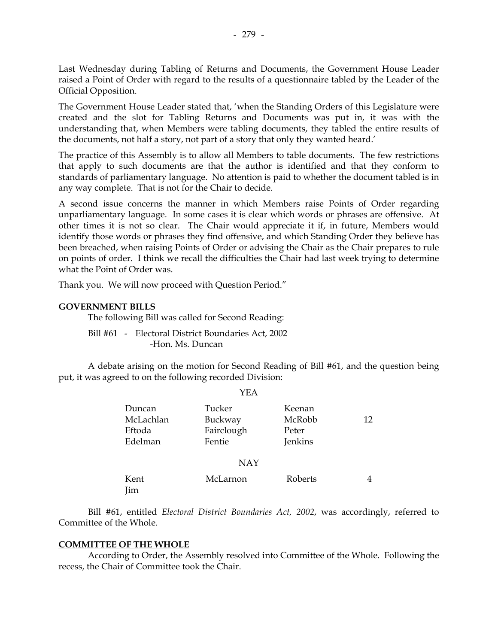Last Wednesday during Tabling of Returns and Documents, the Government House Leader raised a Point of Order with regard to the results of a questionnaire tabled by the Leader of the Official Opposition.

The Government House Leader stated that, 'when the Standing Orders of this Legislature were created and the slot for Tabling Returns and Documents was put in, it was with the understanding that, when Members were tabling documents, they tabled the entire results of the documents, not half a story, not part of a story that only they wanted heard.'

The practice of this Assembly is to allow all Members to table documents. The few restrictions that apply to such documents are that the author is identified and that they conform to standards of parliamentary language. No attention is paid to whether the document tabled is in any way complete. That is not for the Chair to decide.

A second issue concerns the manner in which Members raise Points of Order regarding unparliamentary language. In some cases it is clear which words or phrases are offensive. At other times it is not so clear. The Chair would appreciate it if, in future, Members would identify those words or phrases they find offensive, and which Standing Order they believe has been breached, when raising Points of Order or advising the Chair as the Chair prepares to rule on points of order. I think we recall the difficulties the Chair had last week trying to determine what the Point of Order was.

Thank you. We will now proceed with Question Period."

#### **GOVERNMENT BILLS**

The following Bill was called for Second Reading:

 Bill #61 - Electoral District Boundaries Act, 2002 -Hon. Ms. Duncan

 A debate arising on the motion for Second Reading of Bill #61, and the question being put, it was agreed to on the following recorded Division:

YEA

|             | 1 1 <i>1 1</i> 1 |         |    |
|-------------|------------------|---------|----|
| Duncan      | Tucker           | Keenan  |    |
| McLachlan   | Buckway          | McRobb  | 12 |
| Eftoda      | Fairclough       | Peter   |    |
| Edelman     | Fentie           | Jenkins |    |
|             |                  |         |    |
|             | <b>NAY</b>       |         |    |
| Kent<br>Jim | McLarnon         | Roberts |    |

 Bill #61, entitled *Electoral District Boundaries Act, 2002*, was accordingly, referred to Committee of the Whole.

#### **COMMITTEE OF THE WHOLE**

 According to Order, the Assembly resolved into Committee of the Whole. Following the recess, the Chair of Committee took the Chair.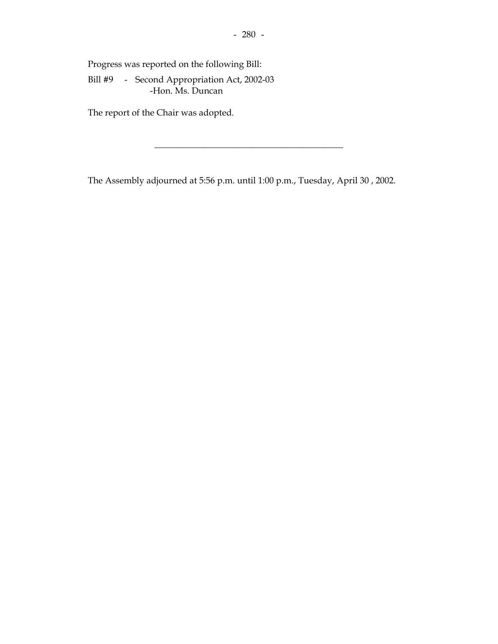Progress was reported on the following Bill:

 Bill #9 - Second Appropriation Act, 2002-03 -Hon. Ms. Duncan

The report of the Chair was adopted.

The Assembly adjourned at 5:56 p.m. until 1:00 p.m., Tuesday, April 30 , 2002.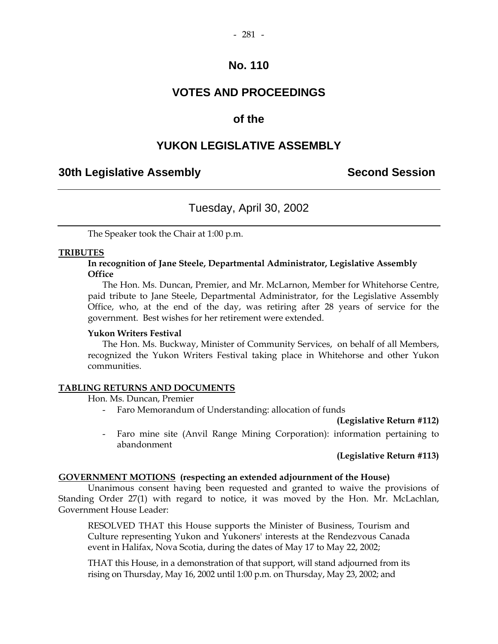# **VOTES AND PROCEEDINGS**

## **of the**

# **YUKON LEGISLATIVE ASSEMBLY**

## **30th Legislative Assembly Second Session**

# Tuesday, April 30, 2002

The Speaker took the Chair at 1:00 p.m.

#### **TRIBUTES**

## **In recognition of Jane Steele, Departmental Administrator, Legislative Assembly Office**

The Hon. Ms. Duncan, Premier, and Mr. McLarnon, Member for Whitehorse Centre, paid tribute to Jane Steele, Departmental Administrator, for the Legislative Assembly Office, who, at the end of the day, was retiring after 28 years of service for the government. Best wishes for her retirement were extended.

#### **Yukon Writers Festival**

 The Hon. Ms. Buckway, Minister of Community Services, on behalf of all Members, recognized the Yukon Writers Festival taking place in Whitehorse and other Yukon communities.

#### **TABLING RETURNS AND DOCUMENTS**

Hon. Ms. Duncan, Premier

- Faro Memorandum of Understanding: allocation of funds

**(Legislative Return #112)** 

 - Faro mine site (Anvil Range Mining Corporation): information pertaining to abandonment

## **(Legislative Return #113)**

## **GOVERNMENT MOTIONS (respecting an extended adjournment of the House)**

 Unanimous consent having been requested and granted to waive the provisions of Standing Order 27(1) with regard to notice, it was moved by the Hon. Mr. McLachlan, Government House Leader:

RESOLVED THAT this House supports the Minister of Business, Tourism and Culture representing Yukon and Yukoners' interests at the Rendezvous Canada event in Halifax, Nova Scotia, during the dates of May 17 to May 22, 2002;

THAT this House, in a demonstration of that support, will stand adjourned from its rising on Thursday, May 16, 2002 until 1:00 p.m. on Thursday, May 23, 2002; and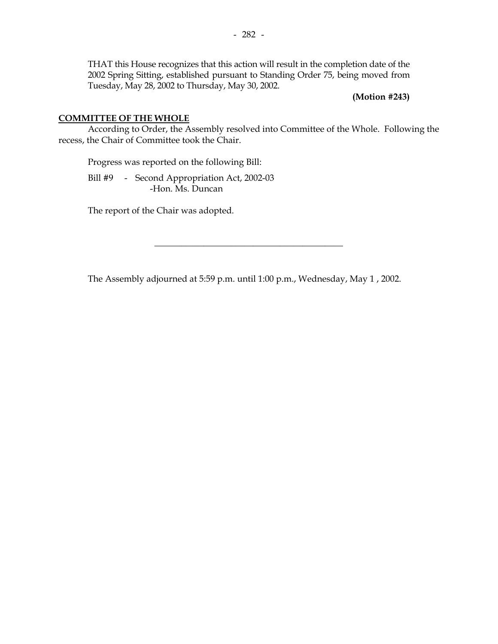THAT this House recognizes that this action will result in the completion date of the 2002 Spring Sitting, established pursuant to Standing Order 75, being moved from Tuesday, May 28, 2002 to Thursday, May 30, 2002.

**(Motion #243)** 

## **COMMITTEE OF THE WHOLE**

 According to Order, the Assembly resolved into Committee of the Whole. Following the recess, the Chair of Committee took the Chair.

Progress was reported on the following Bill:

Bill #9 - Second Appropriation Act, 2002-03 -Hon. Ms. Duncan

The report of the Chair was adopted.

The Assembly adjourned at 5:59 p.m. until 1:00 p.m., Wednesday, May 1 , 2002.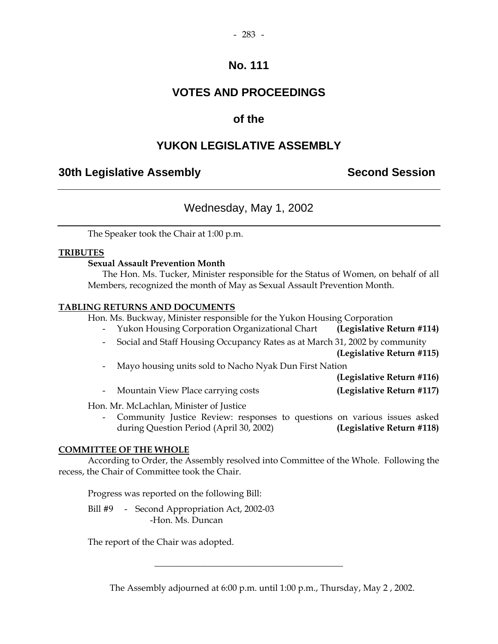# **VOTES AND PROCEEDINGS**

# **of the**

# **YUKON LEGISLATIVE ASSEMBLY**

# **30th Legislative Assembly Second Session**

# Wednesday, May 1, 2002

The Speaker took the Chair at 1:00 p.m.

## **TRIBUTES**

## **Sexual Assault Prevention Month**

The Hon. Ms. Tucker, Minister responsible for the Status of Women, on behalf of all Members, recognized the month of May as Sexual Assault Prevention Month.

## **TABLING RETURNS AND DOCUMENTS**

Hon. Ms. Buckway, Minister responsible for the Yukon Housing Corporation

- Yukon Housing Corporation Organizational Chart **(Legislative Return #114)**
- Social and Staff Housing Occupancy Rates as at March 31, 2002 by community

**(Legislative Return #115)** 

| Mayo housing units sold to Nacho Nyak Dun First Nation |
|--------------------------------------------------------|
|--------------------------------------------------------|

**(Legislative Return #116)** 

- Mountain View Place carrying costs **(Legislative Return #117)** 

Hon. Mr. McLachlan, Minister of Justice

 - Community Justice Review: responses to questions on various issues asked during Question Period (April 30, 2002) **(Legislative Return #118)** 

## **COMMITTEE OF THE WHOLE**

 According to Order, the Assembly resolved into Committee of the Whole. Following the recess, the Chair of Committee took the Chair.

Progress was reported on the following Bill:

Bill #9 - Second Appropriation Act, 2002-03 -Hon. Ms. Duncan

The report of the Chair was adopted.

The Assembly adjourned at 6:00 p.m. until 1:00 p.m., Thursday, May 2 , 2002.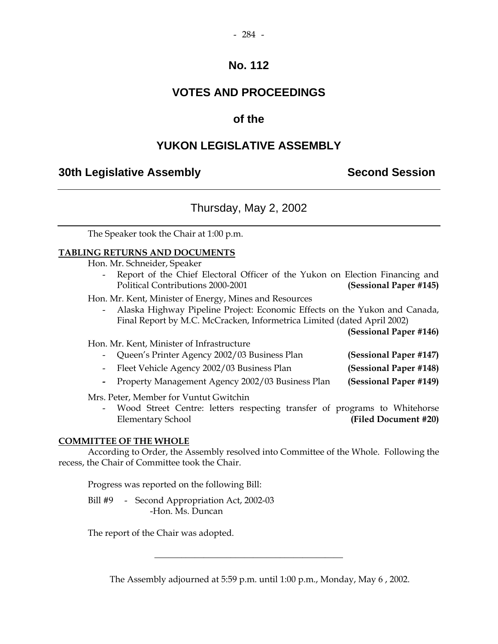# **VOTES AND PROCEEDINGS**

# **of the**

# **YUKON LEGISLATIVE ASSEMBLY**

# **30th Legislative Assembly Second Session**

# Thursday, May 2, 2002

The Speaker took the Chair at 1:00 p.m.

## **TABLING RETURNS AND DOCUMENTS**

Hon. Mr. Schneider, Speaker

Report of the Chief Electoral Officer of the Yukon on Election Financing and Political Contributions 2000-2001 **(Sessional Paper #145)** 

Hon. Mr. Kent, Minister of Energy, Mines and Resources

 - Alaska Highway Pipeline Project: Economic Effects on the Yukon and Canada, Final Report by M.C. McCracken, Informetrica Limited (dated April 2002)

**(Sessional Paper #146)** 

## Hon. Mr. Kent, Minister of Infrastructure

| - Queen's Printer Agency 2002/03 Business Plan | (Sessional Paper #147) |
|------------------------------------------------|------------------------|
| Fleet Vehicle Agency 2002/03 Business Plan     | (Sessional Paper #148) |

 **-** Property Management Agency 2002/03 Business Plan **(Sessional Paper #149)** 

Mrs. Peter, Member for Vuntut Gwitchin

Wood Street Centre: letters respecting transfer of programs to Whitehorse Elementary School **(Filed Document #20)** 

## **COMMITTEE OF THE WHOLE**

 According to Order, the Assembly resolved into Committee of the Whole. Following the recess, the Chair of Committee took the Chair.

Progress was reported on the following Bill:

Bill #9 - Second Appropriation Act, 2002-03 -Hon. Ms. Duncan

The report of the Chair was adopted.

The Assembly adjourned at 5:59 p.m. until 1:00 p.m., Monday, May 6 , 2002.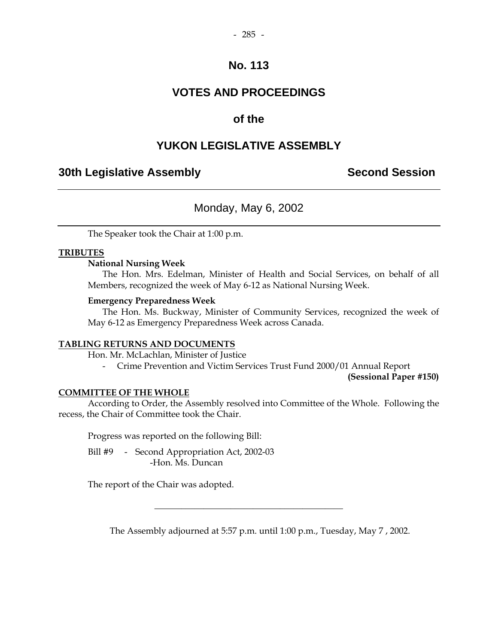# **VOTES AND PROCEEDINGS**

# **of the**

# **YUKON LEGISLATIVE ASSEMBLY**

# **30th Legislative Assembly Second Session**

# Monday, May 6, 2002

The Speaker took the Chair at 1:00 p.m.

## **TRIBUTES**

## **National Nursing Week**

 The Hon. Mrs. Edelman, Minister of Health and Social Services, on behalf of all Members, recognized the week of May 6-12 as National Nursing Week.

## **Emergency Preparedness Week**

 The Hon. Ms. Buckway, Minister of Community Services, recognized the week of May 6-12 as Emergency Preparedness Week across Canada.

## **TABLING RETURNS AND DOCUMENTS**

Hon. Mr. McLachlan, Minister of Justice

- Crime Prevention and Victim Services Trust Fund 2000/01 Annual Report

**(Sessional Paper #150)** 

## **COMMITTEE OF THE WHOLE**

 According to Order, the Assembly resolved into Committee of the Whole. Following the recess, the Chair of Committee took the Chair.

Progress was reported on the following Bill:

 Bill #9 - Second Appropriation Act, 2002-03 -Hon. Ms. Duncan

The report of the Chair was adopted.

The Assembly adjourned at 5:57 p.m. until 1:00 p.m., Tuesday, May 7 , 2002.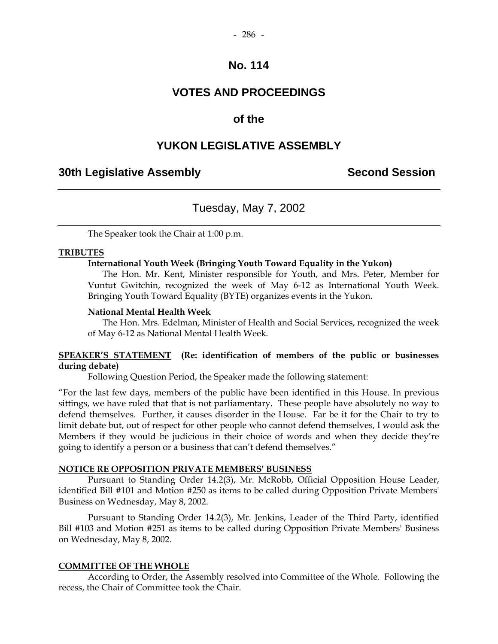# **VOTES AND PROCEEDINGS**

## **of the**

## **YUKON LEGISLATIVE ASSEMBLY**

## **30th Legislative Assembly Second Session**

## Tuesday, May 7, 2002

The Speaker took the Chair at 1:00 p.m.

#### **TRIBUTES**

#### **International Youth Week (Bringing Youth Toward Equality in the Yukon)**

 The Hon. Mr. Kent, Minister responsible for Youth, and Mrs. Peter, Member for Vuntut Gwitchin, recognized the week of May 6-12 as International Youth Week. Bringing Youth Toward Equality (BYTE) organizes events in the Yukon.

#### **National Mental Health Week**

 The Hon. Mrs. Edelman, Minister of Health and Social Services, recognized the week of May 6-12 as National Mental Health Week.

## **SPEAKER'S STATEMENT (Re: identification of members of the public or businesses during debate)**

Following Question Period, the Speaker made the following statement:

"For the last few days, members of the public have been identified in this House. In previous sittings, we have ruled that that is not parliamentary. These people have absolutely no way to defend themselves. Further, it causes disorder in the House. Far be it for the Chair to try to limit debate but, out of respect for other people who cannot defend themselves, I would ask the Members if they would be judicious in their choice of words and when they decide they're going to identify a person or a business that can't defend themselves."

#### **NOTICE RE OPPOSITION PRIVATE MEMBERS' BUSINESS**

 Pursuant to Standing Order 14.2(3), Mr. McRobb, Official Opposition House Leader, identified Bill #101 and Motion #250 as items to be called during Opposition Private Members' Business on Wednesday, May 8, 2002.

 Pursuant to Standing Order 14.2(3), Mr. Jenkins, Leader of the Third Party, identified Bill #103 and Motion #251 as items to be called during Opposition Private Members' Business on Wednesday, May 8, 2002.

#### **COMMITTEE OF THE WHOLE**

 According to Order, the Assembly resolved into Committee of the Whole. Following the recess, the Chair of Committee took the Chair.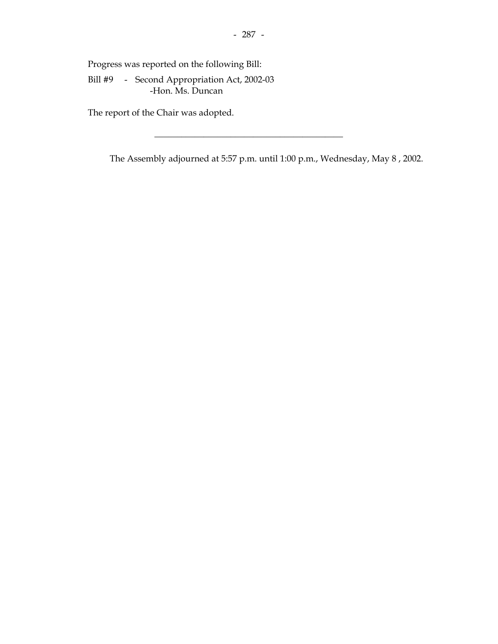Progress was reported on the following Bill:

 Bill #9 - Second Appropriation Act, 2002-03 -Hon. Ms. Duncan

The report of the Chair was adopted.

The Assembly adjourned at 5:57 p.m. until 1:00 p.m., Wednesday, May 8 , 2002.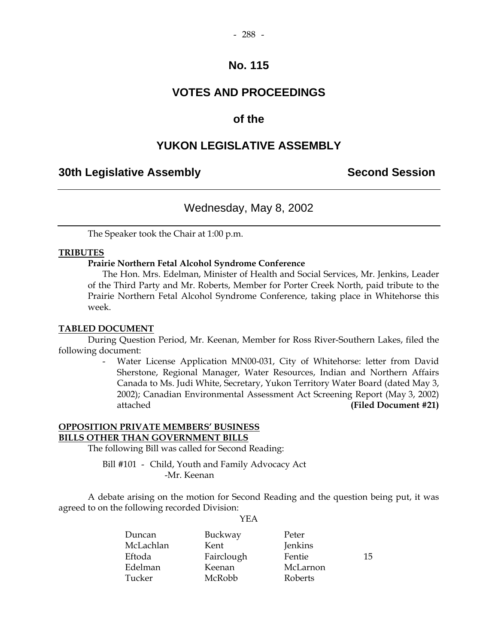# **VOTES AND PROCEEDINGS**

# **of the**

# **YUKON LEGISLATIVE ASSEMBLY**

# **30th Legislative Assembly Second Session**

# Wednesday, May 8, 2002

The Speaker took the Chair at 1:00 p.m.

## **TRIBUTES**

## **Prairie Northern Fetal Alcohol Syndrome Conference**

 The Hon. Mrs. Edelman, Minister of Health and Social Services, Mr. Jenkins, Leader of the Third Party and Mr. Roberts, Member for Porter Creek North, paid tribute to the Prairie Northern Fetal Alcohol Syndrome Conference, taking place in Whitehorse this week.

## **TABLED DOCUMENT**

 During Question Period, Mr. Keenan, Member for Ross River-Southern Lakes, filed the following document:

> Water License Application MN00-031, City of Whitehorse: letter from David Sherstone, Regional Manager, Water Resources, Indian and Northern Affairs Canada to Ms. Judi White, Secretary, Yukon Territory Water Board (dated May 3, 2002); Canadian Environmental Assessment Act Screening Report (May 3, 2002) attached **(Filed Document #21)**

## **OPPOSITION PRIVATE MEMBERS' BUSINESS BILLS OTHER THAN GOVERNMENT BILLS**

The following Bill was called for Second Reading:

 Bill #101 - Child, Youth and Family Advocacy Act -Mr. Keenan

 A debate arising on the motion for Second Reading and the question being put, it was agreed to on the following recorded Division:

YEA

| Duncan    | Buckway    | Peter    |    |
|-----------|------------|----------|----|
| McLachlan | Kent       | Jenkins  |    |
| Eftoda    | Fairclough | Fentie   | 15 |
| Edelman   | Keenan     | McLarnon |    |
| Tucker    | McRobb     | Roberts  |    |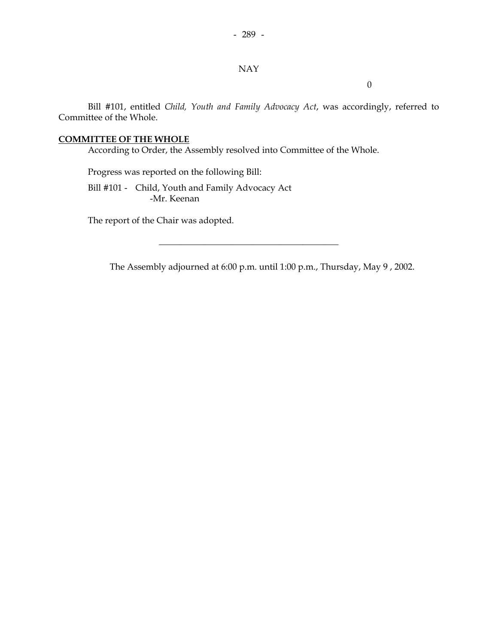## NAY

0

 Bill #101, entitled *Child, Youth and Family Advocacy Act*, was accordingly, referred to Committee of the Whole.

## **COMMITTEE OF THE WHOLE**

According to Order, the Assembly resolved into Committee of the Whole.

Progress was reported on the following Bill:

 Bill #101 - Child, Youth and Family Advocacy Act -Mr. Keenan

The report of the Chair was adopted.

The Assembly adjourned at 6:00 p.m. until 1:00 p.m., Thursday, May 9 , 2002.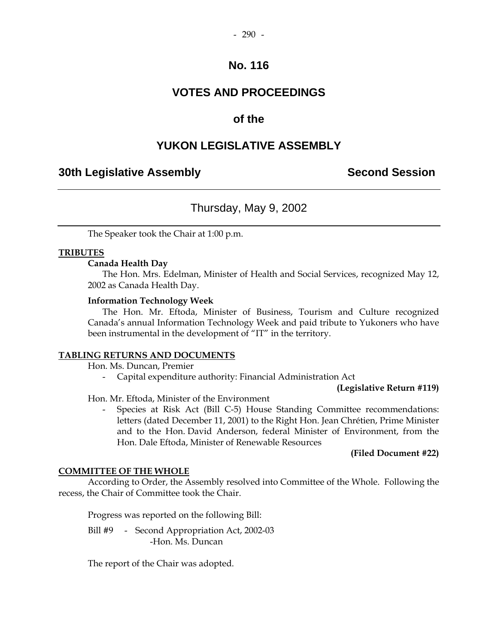# **VOTES AND PROCEEDINGS**

# **of the**

# **YUKON LEGISLATIVE ASSEMBLY**

# **30th Legislative Assembly Second Session**

# Thursday, May 9, 2002

The Speaker took the Chair at 1:00 p.m.

## **TRIBUTES**

## **Canada Health Day**

 The Hon. Mrs. Edelman, Minister of Health and Social Services, recognized May 12, 2002 as Canada Health Day.

## **Information Technology Week**

 The Hon. Mr. Eftoda, Minister of Business, Tourism and Culture recognized Canada's annual Information Technology Week and paid tribute to Yukoners who have been instrumental in the development of "IT" in the territory.

## **TABLING RETURNS AND DOCUMENTS**

Hon. Ms. Duncan, Premier

- Capital expenditure authority: Financial Administration Act

**(Legislative Return #119)** 

Hon. Mr. Eftoda, Minister of the Environment

 - Species at Risk Act (Bill C-5) House Standing Committee recommendations: letters (dated December 11, 2001) to the Right Hon. Jean Chrétien, Prime Minister and to the Hon. David Anderson, federal Minister of Environment, from the Hon. Dale Eftoda, Minister of Renewable Resources

## **(Filed Document #22)**

## **COMMITTEE OF THE WHOLE**

 According to Order, the Assembly resolved into Committee of the Whole. Following the recess, the Chair of Committee took the Chair.

Progress was reported on the following Bill:

Bill #9 - Second Appropriation Act, 2002-03 -Hon. Ms. Duncan

The report of the Chair was adopted.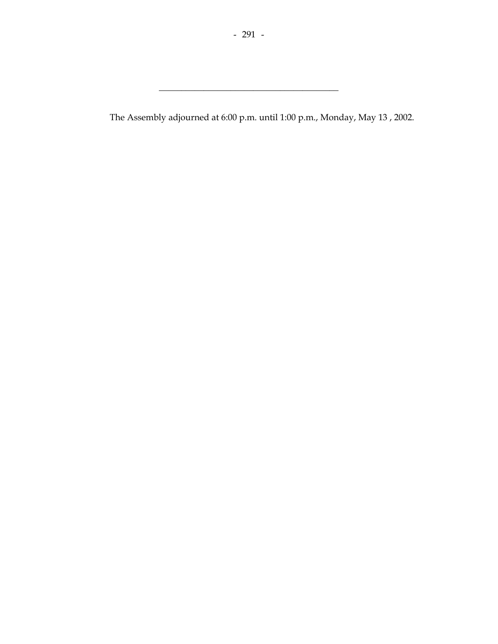\_\_\_\_\_\_\_\_\_\_\_\_\_\_\_\_\_\_\_\_\_\_\_\_\_\_\_\_\_\_\_\_\_\_\_\_\_\_\_\_

The Assembly adjourned at 6:00 p.m. until 1:00 p.m., Monday, May 13 , 2002.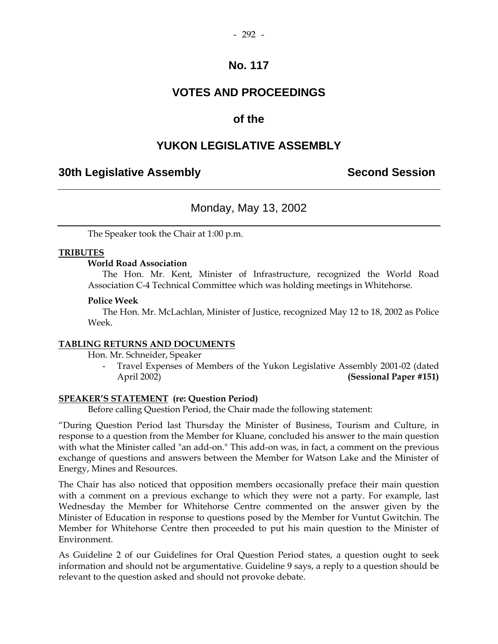# **VOTES AND PROCEEDINGS**

# **of the**

# **YUKON LEGISLATIVE ASSEMBLY**

# **30th Legislative Assembly Second Session**

# Monday, May 13, 2002

The Speaker took the Chair at 1:00 p.m.

## **TRIBUTES**

## **World Road Association**

 The Hon. Mr. Kent, Minister of Infrastructure, recognized the World Road Association C-4 Technical Committee which was holding meetings in Whitehorse.

#### **Police Week**

 The Hon. Mr. McLachlan, Minister of Justice, recognized May 12 to 18, 2002 as Police Week.

## **TABLING RETURNS AND DOCUMENTS**

Hon. Mr. Schneider, Speaker

 - Travel Expenses of Members of the Yukon Legislative Assembly 2001-02 (dated April 2002) **(Sessional Paper #151)** 

## **SPEAKER'S STATEMENT (re: Question Period)**

Before calling Question Period, the Chair made the following statement:

"During Question Period last Thursday the Minister of Business, Tourism and Culture, in response to a question from the Member for Kluane, concluded his answer to the main question with what the Minister called "an add-on." This add-on was, in fact, a comment on the previous exchange of questions and answers between the Member for Watson Lake and the Minister of Energy, Mines and Resources.

The Chair has also noticed that opposition members occasionally preface their main question with a comment on a previous exchange to which they were not a party. For example, last Wednesday the Member for Whitehorse Centre commented on the answer given by the Minister of Education in response to questions posed by the Member for Vuntut Gwitchin. The Member for Whitehorse Centre then proceeded to put his main question to the Minister of Environment.

As Guideline 2 of our Guidelines for Oral Question Period states, a question ought to seek information and should not be argumentative. Guideline 9 says, a reply to a question should be relevant to the question asked and should not provoke debate.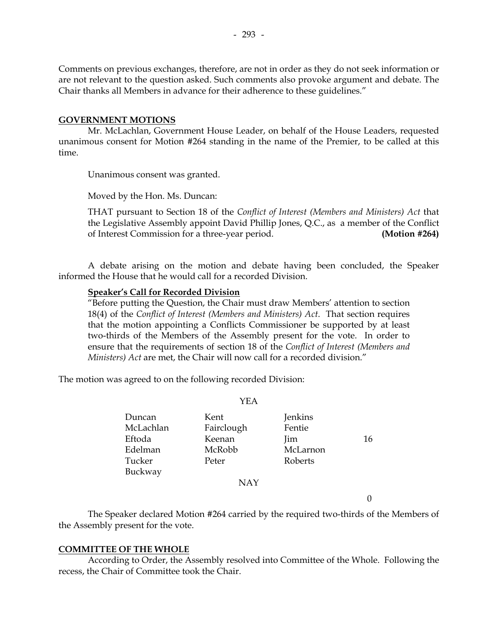Comments on previous exchanges, therefore, are not in order as they do not seek information or are not relevant to the question asked. Such comments also provoke argument and debate. The Chair thanks all Members in advance for their adherence to these guidelines."

#### **GOVERNMENT MOTIONS**

 Mr. McLachlan, Government House Leader, on behalf of the House Leaders, requested unanimous consent for Motion #264 standing in the name of the Premier, to be called at this time.

Unanimous consent was granted.

Moved by the Hon. Ms. Duncan:

THAT pursuant to Section 18 of the *Conflict of Interest (Members and Ministers) Act* that the Legislative Assembly appoint David Phillip Jones, Q.C., as a member of the Conflict of Interest Commission for a three-year period. **(Motion #264)** 

 A debate arising on the motion and debate having been concluded, the Speaker informed the House that he would call for a recorded Division.

#### **Speaker's Call for Recorded Division**

"Before putting the Question, the Chair must draw Members' attention to section 18(4) of the *Conflict of Interest (Members and Ministers) Act*. That section requires that the motion appointing a Conflicts Commissioner be supported by at least two-thirds of the Members of the Assembly present for the vote. In order to ensure that the requirements of section 18 of the *Conflict of Interest (Members and Ministers) Act* are met, the Chair will now call for a recorded division."

The motion was agreed to on the following recorded Division:

Duncan Kent Jenkins McLachlan Fairclough Fentie Eftoda Keenan Iim 16 Edelman McRobb McLarnon Tucker Peter Roberts Buckway NAY

YEA

 $\Omega$ 

 The Speaker declared Motion #264 carried by the required two-thirds of the Members of the Assembly present for the vote.

## **COMMITTEE OF THE WHOLE**

 According to Order, the Assembly resolved into Committee of the Whole. Following the recess, the Chair of Committee took the Chair.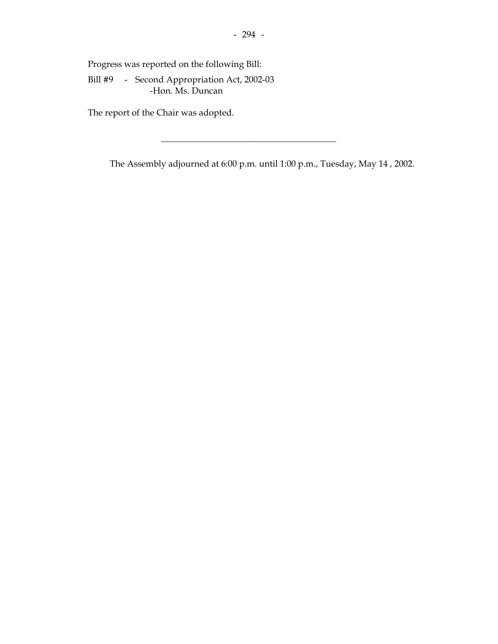Progress was reported on the following Bill:

 Bill #9 - Second Appropriation Act, 2002-03 -Hon. Ms. Duncan

The report of the Chair was adopted.

The Assembly adjourned at 6:00 p.m. until 1:00 p.m., Tuesday, May 14 , 2002.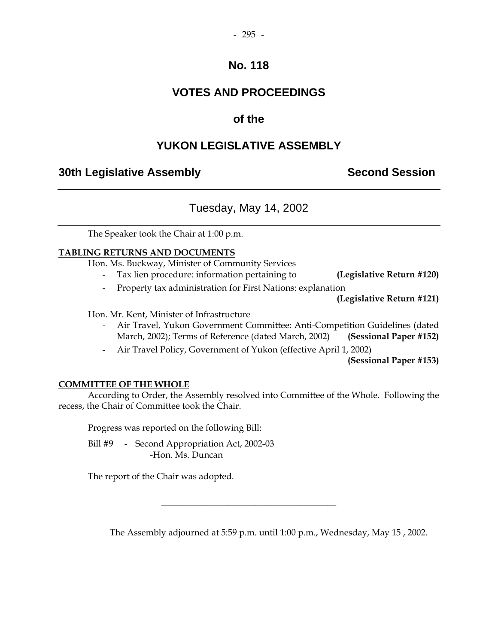# **VOTES AND PROCEEDINGS**

# **of the**

# **YUKON LEGISLATIVE ASSEMBLY**

# **30th Legislative Assembly Second Session**

# Tuesday, May 14, 2002

The Speaker took the Chair at 1:00 p.m.

## **TABLING RETURNS AND DOCUMENTS**

Hon. Ms. Buckway, Minister of Community Services

- Tax lien procedure: information pertaining to **(Legislative Return #120)**
- Property tax administration for First Nations: explanation

**(Legislative Return #121)** 

Hon. Mr. Kent, Minister of Infrastructure

- Air Travel, Yukon Government Committee: Anti-Competition Guidelines (dated March, 2002); Terms of Reference (dated March, 2002) **(Sessional Paper #152)**
- Air Travel Policy, Government of Yukon (effective April 1, 2002)

**(Sessional Paper #153)**

## **COMMITTEE OF THE WHOLE**

 According to Order, the Assembly resolved into Committee of the Whole. Following the recess, the Chair of Committee took the Chair.

\_\_\_\_\_\_\_\_\_\_\_\_\_\_\_\_\_\_\_\_\_\_\_\_\_\_\_\_\_\_\_\_\_\_\_\_\_\_\_

Progress was reported on the following Bill:

Bill #9 - Second Appropriation Act, 2002-03 -Hon. Ms. Duncan

The report of the Chair was adopted.

The Assembly adjourned at 5:59 p.m. until 1:00 p.m., Wednesday, May 15 , 2002.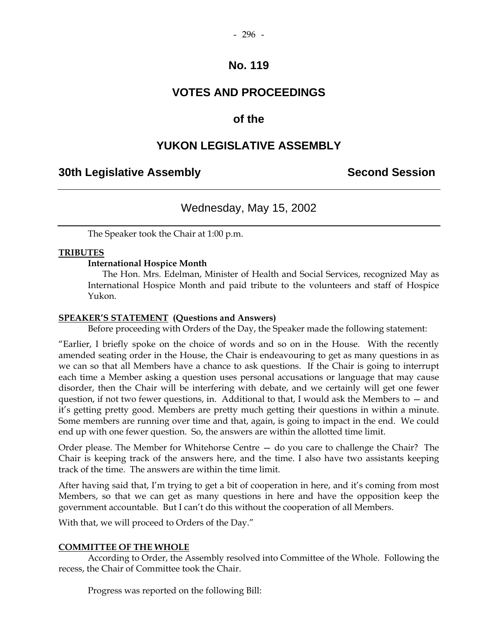# **VOTES AND PROCEEDINGS**

# **of the**

# **YUKON LEGISLATIVE ASSEMBLY**

# **30th Legislative Assembly Second Session**

# Wednesday, May 15, 2002

The Speaker took the Chair at 1:00 p.m.

## **TRIBUTES**

## **International Hospice Month**

The Hon. Mrs. Edelman, Minister of Health and Social Services, recognized May as International Hospice Month and paid tribute to the volunteers and staff of Hospice Yukon.

## **SPEAKER'S STATEMENT (Questions and Answers)**

Before proceeding with Orders of the Day, the Speaker made the following statement:

"Earlier, I briefly spoke on the choice of words and so on in the House. With the recently amended seating order in the House, the Chair is endeavouring to get as many questions in as we can so that all Members have a chance to ask questions. If the Chair is going to interrupt each time a Member asking a question uses personal accusations or language that may cause disorder, then the Chair will be interfering with debate, and we certainly will get one fewer question, if not two fewer questions, in. Additional to that, I would ask the Members to — and it's getting pretty good. Members are pretty much getting their questions in within a minute. Some members are running over time and that, again, is going to impact in the end. We could end up with one fewer question. So, the answers are within the allotted time limit.

Order please. The Member for Whitehorse Centre — do you care to challenge the Chair? The Chair is keeping track of the answers here, and the time. I also have two assistants keeping track of the time. The answers are within the time limit.

After having said that, I'm trying to get a bit of cooperation in here, and it's coming from most Members, so that we can get as many questions in here and have the opposition keep the government accountable. But I can't do this without the cooperation of all Members.

With that, we will proceed to Orders of the Day."

## **COMMITTEE OF THE WHOLE**

 According to Order, the Assembly resolved into Committee of the Whole. Following the recess, the Chair of Committee took the Chair.

Progress was reported on the following Bill: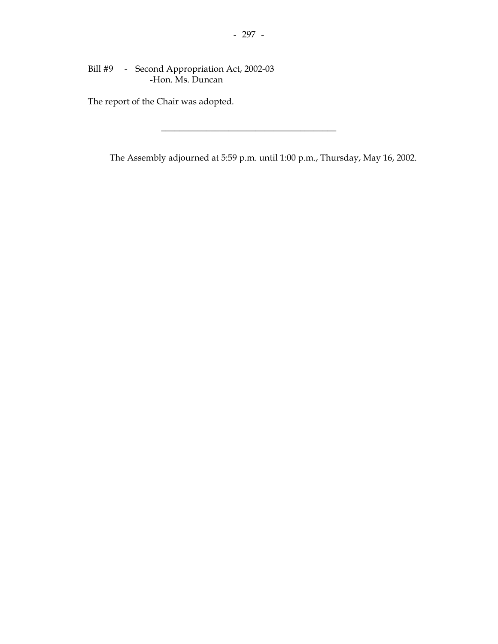Bill #9 - Second Appropriation Act, 2002-03 -Hon. Ms. Duncan

The report of the Chair was adopted.

The Assembly adjourned at 5:59 p.m. until 1:00 p.m., Thursday, May 16, 2002.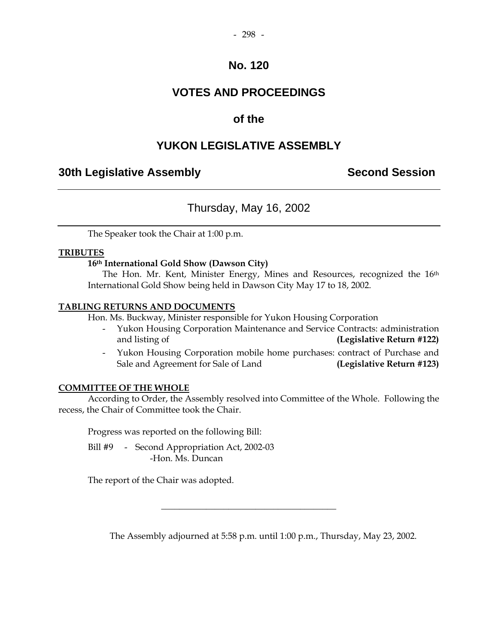# **VOTES AND PROCEEDINGS**

# **of the**

# **YUKON LEGISLATIVE ASSEMBLY**

# **30th Legislative Assembly Second Session**

# Thursday, May 16, 2002

The Speaker took the Chair at 1:00 p.m.

## **TRIBUTES**

## **16th International Gold Show (Dawson City)**

The Hon. Mr. Kent, Minister Energy, Mines and Resources, recognized the 16<sup>th</sup> International Gold Show being held in Dawson City May 17 to 18, 2002.

## **TABLING RETURNS AND DOCUMENTS**

Hon. Ms. Buckway, Minister responsible for Yukon Housing Corporation

- Yukon Housing Corporation Maintenance and Service Contracts: administration and listing of **(Legislative Return #122)**
- Yukon Housing Corporation mobile home purchases: contract of Purchase and Sale and Agreement for Sale of Land **(Legislative Return #123)**

## **COMMITTEE OF THE WHOLE**

 According to Order, the Assembly resolved into Committee of the Whole. Following the recess, the Chair of Committee took the Chair.

Progress was reported on the following Bill:

Bill #9 - Second Appropriation Act, 2002-03 -Hon. Ms. Duncan

The report of the Chair was adopted.

The Assembly adjourned at 5:58 p.m. until 1:00 p.m., Thursday, May 23, 2002.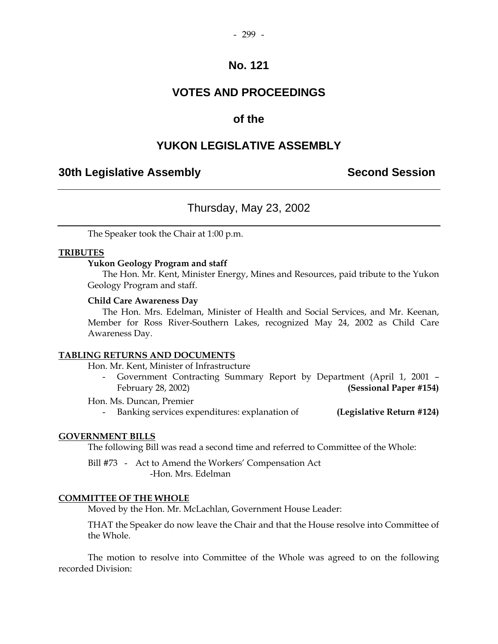# **VOTES AND PROCEEDINGS**

# **of the**

# **YUKON LEGISLATIVE ASSEMBLY**

# **30th Legislative Assembly Second Session**

# Thursday, May 23, 2002

The Speaker took the Chair at 1:00 p.m.

## **TRIBUTES**

## **Yukon Geology Program and staff**

The Hon. Mr. Kent, Minister Energy, Mines and Resources, paid tribute to the Yukon Geology Program and staff.

#### **Child Care Awareness Day**

 The Hon. Mrs. Edelman, Minister of Health and Social Services, and Mr. Keenan, Member for Ross River-Southern Lakes, recognized May 24, 2002 as Child Care Awareness Day.

## **TABLING RETURNS AND DOCUMENTS**

Hon. Mr. Kent, Minister of Infrastructure

 - Government Contracting Summary Report by Department (April 1, 2001 – February 28, 2002) **(Sessional Paper #154)** 

Hon. Ms. Duncan, Premier

- Banking services expenditures: explanation of **(Legislative Return #124)**

## **GOVERNMENT BILLS**

The following Bill was read a second time and referred to Committee of the Whole:

 Bill #73 - Act to Amend the Workers' Compensation Act -Hon. Mrs. Edelman

## **COMMITTEE OF THE WHOLE**

Moved by the Hon. Mr. McLachlan, Government House Leader:

 THAT the Speaker do now leave the Chair and that the House resolve into Committee of the Whole.

 The motion to resolve into Committee of the Whole was agreed to on the following recorded Division: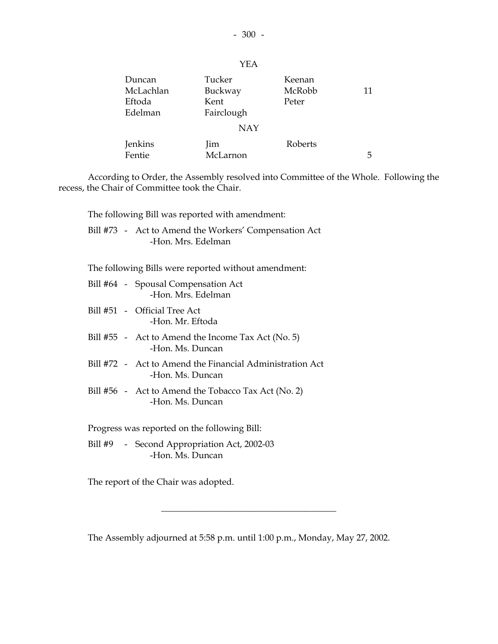| Duncan<br>McLachlan<br>Eftoda<br>Edelman | Tucker<br>Buckway<br>Kent<br>Fairclough | Keenan<br>McRobb<br>Peter | 11 |
|------------------------------------------|-----------------------------------------|---------------------------|----|
|                                          | <b>NAY</b>                              |                           |    |
| Jenkins<br>Fentie                        | <i>lim</i><br>McLarnon                  | Roberts                   | 5  |

 According to Order, the Assembly resolved into Committee of the Whole. Following the recess, the Chair of Committee took the Chair.

The following Bill was reported with amendment:

 Bill #73 - Act to Amend the Workers' Compensation Act -Hon. Mrs. Edelman

The following Bills were reported without amendment:

- Bill #64 Spousal Compensation Act -Hon. Mrs. Edelman
- Bill #51 Official Tree Act -Hon. Mr. Eftoda
- Bill #55 Act to Amend the Income Tax Act (No. 5) -Hon. Ms. Duncan
- Bill #72 Act to Amend the Financial Administration Act -Hon. Ms. Duncan
- Bill #56 Act to Amend the Tobacco Tax Act (No. 2) -Hon. Ms. Duncan

Progress was reported on the following Bill:

Bill #9 - Second Appropriation Act, 2002-03 -Hon. Ms. Duncan

The report of the Chair was adopted.

The Assembly adjourned at 5:58 p.m. until 1:00 p.m., Monday, May 27, 2002.

\_\_\_\_\_\_\_\_\_\_\_\_\_\_\_\_\_\_\_\_\_\_\_\_\_\_\_\_\_\_\_\_\_\_\_\_\_\_\_

YEA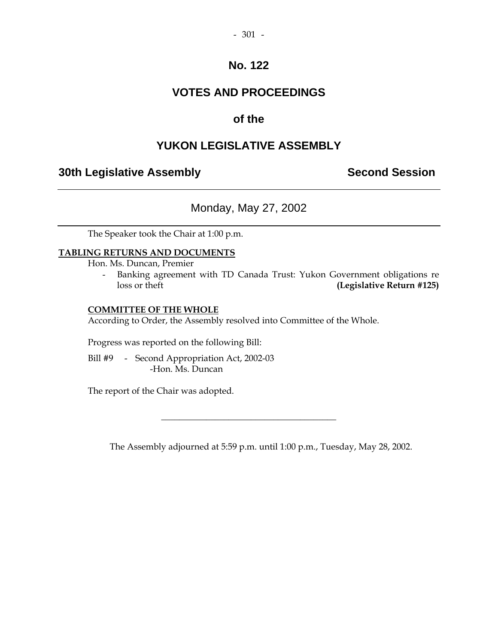# **VOTES AND PROCEEDINGS**

# **of the**

# **YUKON LEGISLATIVE ASSEMBLY**

# **30th Legislative Assembly Second Session**

# Monday, May 27, 2002

The Speaker took the Chair at 1:00 p.m.

## **TABLING RETURNS AND DOCUMENTS**

Hon. Ms. Duncan, Premier

 - Banking agreement with TD Canada Trust: Yukon Government obligations re loss or theft **(Legislative Return #125)** 

## **COMMITTEE OF THE WHOLE**

According to Order, the Assembly resolved into Committee of the Whole.

Progress was reported on the following Bill:

Bill #9 - Second Appropriation Act, 2002-03 -Hon. Ms. Duncan

The report of the Chair was adopted.

The Assembly adjourned at 5:59 p.m. until 1:00 p.m., Tuesday, May 28, 2002.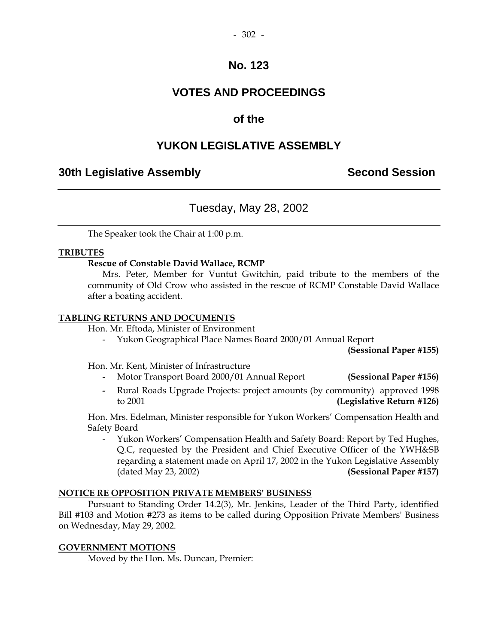# **VOTES AND PROCEEDINGS**

# **of the**

# **YUKON LEGISLATIVE ASSEMBLY**

# **30th Legislative Assembly Second Session**

## Tuesday, May 28, 2002

The Speaker took the Chair at 1:00 p.m.

## **TRIBUTES**

## **Rescue of Constable David Wallace, RCMP**

Mrs. Peter, Member for Vuntut Gwitchin, paid tribute to the members of the community of Old Crow who assisted in the rescue of RCMP Constable David Wallace after a boating accident.

## **TABLING RETURNS AND DOCUMENTS**

Hon. Mr. Eftoda, Minister of Environment

- Yukon Geographical Place Names Board 2000/01 Annual Report

**(Sessional Paper #155)** 

Hon. Mr. Kent, Minister of Infrastructure

- Motor Transport Board 2000/01 Annual Report **(Sessional Paper #156)**
- Rural Roads Upgrade Projects: project amounts (by community) approved 1998 to 2001 **(Legislative Return #126)**

 Hon. Mrs. Edelman, Minister responsible for Yukon Workers' Compensation Health and Safety Board

 - Yukon Workers' Compensation Health and Safety Board: Report by Ted Hughes, Q.C, requested by the President and Chief Executive Officer of the YWH&SB regarding a statement made on April 17, 2002 in the Yukon Legislative Assembly (dated May 23, 2002) **(Sessional Paper #157)** 

## **NOTICE RE OPPOSITION PRIVATE MEMBERS' BUSINESS**

 Pursuant to Standing Order 14.2(3), Mr. Jenkins, Leader of the Third Party, identified Bill #103 and Motion #273 as items to be called during Opposition Private Members' Business on Wednesday, May 29, 2002.

## **GOVERNMENT MOTIONS**

Moved by the Hon. Ms. Duncan, Premier: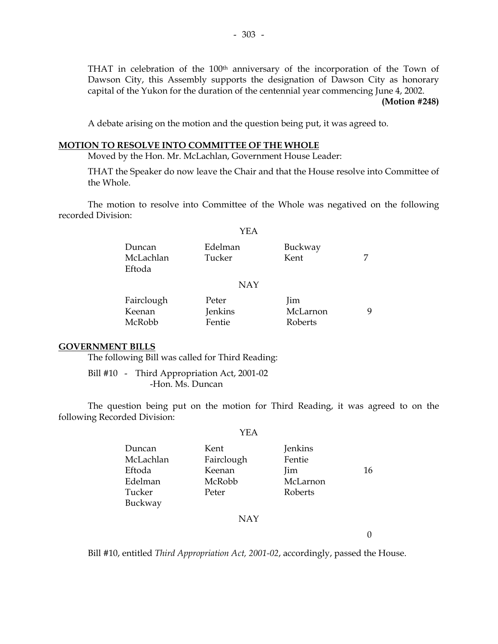THAT in celebration of the 100<sup>th</sup> anniversary of the incorporation of the Town of Dawson City, this Assembly supports the designation of Dawson City as honorary capital of the Yukon for the duration of the centennial year commencing June 4, 2002.

#### **(Motion #248)**

A debate arising on the motion and the question being put, it was agreed to.

#### **MOTION TO RESOLVE INTO COMMITTEE OF THE WHOLE**

Moved by the Hon. Mr. McLachlan, Government House Leader:

 THAT the Speaker do now leave the Chair and that the House resolve into Committee of the Whole.

 The motion to resolve into Committee of the Whole was negatived on the following recorded Division:

YEA

# Duncan Edelman Buckway McLachlan Tucker Kent 7 Eftoda NAY Fairclough Peter Jim Keenan Jenkins McLarnon 9 McRobb Fentie Roberts

#### **GOVERNMENT BILLS**

The following Bill was called for Third Reading:

 Bill #10 - Third Appropriation Act, 2001-02 -Hon. Ms. Duncan

 The question being put on the motion for Third Reading, it was agreed to on the following Recorded Division:

|           | YEA        |          |    |
|-----------|------------|----------|----|
| Duncan    | Kent       | Jenkins  |    |
| McLachlan | Fairclough | Fentie   |    |
| Eftoda    | Keenan     | Jim      | 16 |
| Edelman   | McRobb     | McLarnon |    |
| Tucker    | Peter      | Roberts  |    |
| Buckway   |            |          |    |

## NAY

 $\Omega$ 

Bill #10, entitled *Third Appropriation Act, 2001-02*, accordingly, passed the House.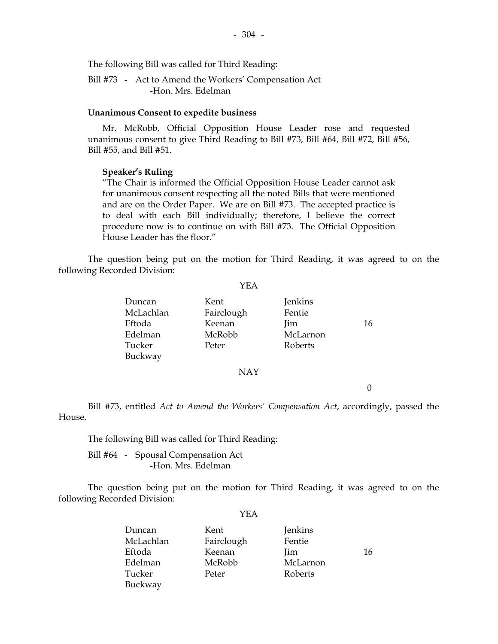The following Bill was called for Third Reading:

 Bill #73 - Act to Amend the Workers' Compensation Act -Hon. Mrs. Edelman

#### **Unanimous Consent to expedite business**

 Mr. McRobb, Official Opposition House Leader rose and requested unanimous consent to give Third Reading to Bill #73, Bill #64, Bill #72, Bill #56, Bill #55, and Bill #51.

 $-304 -$ 

#### **Speaker's Ruling**

"The Chair is informed the Official Opposition House Leader cannot ask for unanimous consent respecting all the noted Bills that were mentioned and are on the Order Paper. We are on Bill #73. The accepted practice is to deal with each Bill individually; therefore, I believe the correct procedure now is to continue on with Bill #73. The Official Opposition House Leader has the floor."

 The question being put on the motion for Third Reading, it was agreed to on the following Recorded Division:

YEA

| Duncan    | Kent       | Jenkins  |    |
|-----------|------------|----------|----|
| McLachlan | Fairclough | Fentie   |    |
| Eftoda    | Keenan     | Jim      | 16 |
| Edelman   | McRobb     | McLarnon |    |
| Tucker    | Peter      | Roberts  |    |
| Buckway   |            |          |    |
|           |            |          |    |

NAY

0

 Bill #73, entitled *Act to Amend the Workers' Compensation Act*, accordingly, passed the House.

The following Bill was called for Third Reading:

 Bill #64 - Spousal Compensation Act -Hon. Mrs. Edelman

 The question being put on the motion for Third Reading, it was agreed to on the following Recorded Division:

| Duncan    | Kent       | Jenkins  |    |
|-----------|------------|----------|----|
| McLachlan | Fairclough | Fentie   |    |
| Eftoda    | Keenan     | Jim      | 16 |
| Edelman   | McRobb     | McLarnon |    |
| Tucker    | Peter      | Roberts  |    |
| Buckway   |            |          |    |
|           |            |          |    |

#### YEA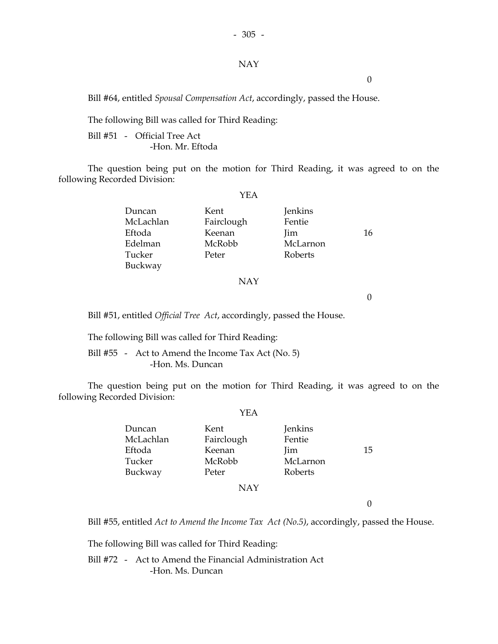#### NAY

0

Bill #64, entitled *Spousal Compensation Act*, accordingly, passed the House.

The following Bill was called for Third Reading:

 Bill #51 - Official Tree Act -Hon. Mr. Eftoda

 The question being put on the motion for Third Reading, it was agreed to on the following Recorded Division:

YEA

| Duncan    | Kent       | Jenkins  |    |
|-----------|------------|----------|----|
| McLachlan | Fairclough | Fentie   |    |
| Eftoda    | Keenan     | Jim      | 16 |
| Edelman   | McRobb     | McLarnon |    |
| Tucker    | Peter      | Roberts  |    |
| Buckway   |            |          |    |
|           |            |          |    |

#### NAY

 $\theta$ 

Bill #51, entitled *Official Tree Act*, accordingly, passed the House.

The following Bill was called for Third Reading:

Bill #55 - Act to Amend the Income Tax Act (No. 5) -Hon. Ms. Duncan

 The question being put on the motion for Third Reading, it was agreed to on the following Recorded Division:

|           | YEA        |          |    |
|-----------|------------|----------|----|
| Duncan    | Kent       | Jenkins  |    |
| McLachlan | Fairclough | Fentie   |    |
| Eftoda    | Keenan     | Jim      | 15 |
| Tucker    | McRobb     | McLarnon |    |
| Buckway   | Peter      | Roberts  |    |
|           | <b>NAY</b> |          |    |

0

Bill #55, entitled *Act to Amend the Income Tax Act (No.5)*, accordingly, passed the House.

The following Bill was called for Third Reading:

 Bill #72 - Act to Amend the Financial Administration Act -Hon. Ms. Duncan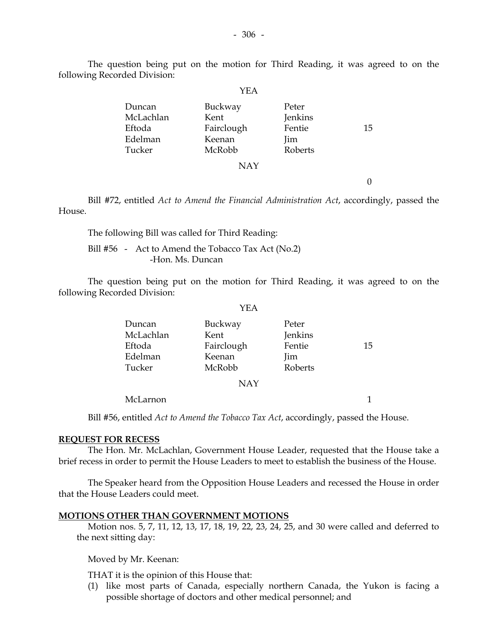The question being put on the motion for Third Reading, it was agreed to on the following Recorded Division:

|           | YEA        |         |    |
|-----------|------------|---------|----|
| Duncan    | Buckway    | Peter   |    |
| McLachlan | Kent       | Jenkins |    |
| Eftoda    | Fairclough | Fentie  | 15 |
| Edelman   | Keenan     | Jim     |    |
| Tucker    | McRobb     | Roberts |    |
|           | <b>NAY</b> |         |    |

0

 Bill #72, entitled *Act to Amend the Financial Administration Act*, accordingly, passed the House.

The following Bill was called for Third Reading:

Bill #56 - Act to Amend the Tobacco Tax Act (No.2) -Hon. Ms. Duncan

 The question being put on the motion for Third Reading, it was agreed to on the following Recorded Division:

| Duncan    | Buckway    | Peter   |    |
|-----------|------------|---------|----|
| McLachlan | Kent       | Jenkins |    |
| Eftoda    | Fairclough | Fentie  | 15 |
| Edelman   | Keenan     | lim     |    |
| Tucker    | McRobb     | Roberts |    |
|           |            |         |    |

NAY

McLarnon 1

Bill #56, entitled *Act to Amend the Tobacco Tax Act*, accordingly, passed the House.

#### **REQUEST FOR RECESS**

 The Hon. Mr. McLachlan, Government House Leader, requested that the House take a brief recess in order to permit the House Leaders to meet to establish the business of the House.

 The Speaker heard from the Opposition House Leaders and recessed the House in order that the House Leaders could meet.

#### **MOTIONS OTHER THAN GOVERNMENT MOTIONS**

 Motion nos. 5, 7, 11, 12, 13, 17, 18, 19, 22, 23, 24, 25, and 30 were called and deferred to the next sitting day:

Moved by Mr. Keenan:

THAT it is the opinion of this House that:

 (1) like most parts of Canada, especially northern Canada, the Yukon is facing a possible shortage of doctors and other medical personnel; and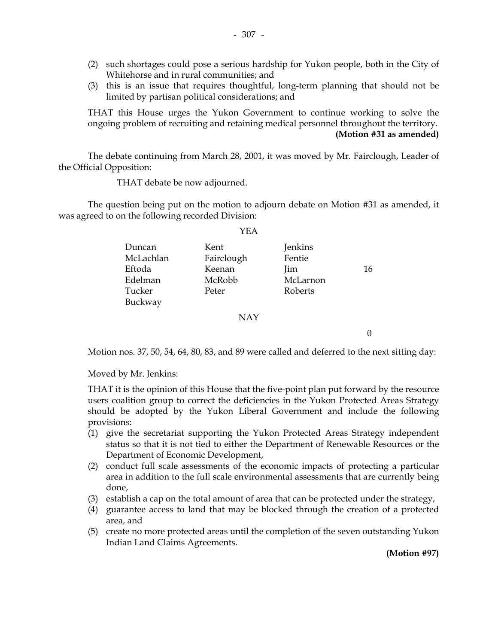- (2) such shortages could pose a serious hardship for Yukon people, both in the City of Whitehorse and in rural communities; and
- (3) this is an issue that requires thoughtful, long-term planning that should not be limited by partisan political considerations; and

 THAT this House urges the Yukon Government to continue working to solve the ongoing problem of recruiting and retaining medical personnel throughout the territory. **(Motion #31 as amended)** 

 The debate continuing from March 28, 2001, it was moved by Mr. Fairclough, Leader of the Official Opposition:

THAT debate be now adjourned.

 The question being put on the motion to adjourn debate on Motion #31 as amended, it was agreed to on the following recorded Division:

 $V\Gamma$   $\Lambda$ 

|           | ⊥ L / L    |          |    |
|-----------|------------|----------|----|
| Duncan    | Kent       | Jenkins  |    |
| McLachlan | Fairclough | Fentie   |    |
| Eftoda    | Keenan     | lim      | 16 |
| Edelman   | McRobb     | McLarnon |    |
| Tucker    | Peter      | Roberts  |    |
| Buckway   |            |          |    |
|           | <b>NAY</b> |          |    |

Motion nos. 37, 50, 54, 64, 80, 83, and 89 were called and deferred to the next sitting day:

Moved by Mr. Jenkins:

 THAT it is the opinion of this House that the five-point plan put forward by the resource users coalition group to correct the deficiencies in the Yukon Protected Areas Strategy should be adopted by the Yukon Liberal Government and include the following provisions:

- (1) give the secretariat supporting the Yukon Protected Areas Strategy independent status so that it is not tied to either the Department of Renewable Resources or the Department of Economic Development,
- (2) conduct full scale assessments of the economic impacts of protecting a particular area in addition to the full scale environmental assessments that are currently being done,
- (3) establish a cap on the total amount of area that can be protected under the strategy,
- (4) guarantee access to land that may be blocked through the creation of a protected area, and
- (5) create no more protected areas until the completion of the seven outstanding Yukon Indian Land Claims Agreements.

**(Motion #97)** 

0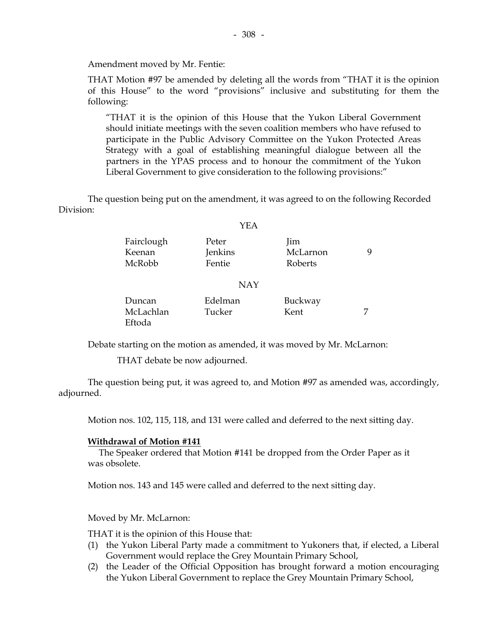Amendment moved by Mr. Fentie:

 THAT Motion #97 be amended by deleting all the words from "THAT it is the opinion of this House" to the word "provisions" inclusive and substituting for them the following:

 "THAT it is the opinion of this House that the Yukon Liberal Government should initiate meetings with the seven coalition members who have refused to participate in the Public Advisory Committee on the Yukon Protected Areas Strategy with a goal of establishing meaningful dialogue between all the partners in the YPAS process and to honour the commitment of the Yukon Liberal Government to give consideration to the following provisions:"

 The question being put on the amendment, it was agreed to on the following Recorded Division:

#### YEA

| Fairclough | Peter   | lim      |  |
|------------|---------|----------|--|
| Keenan     | Jenkins | McLarnon |  |
| McRobb     | Fentie  | Roberts  |  |
|            | NAY     |          |  |

| Duncan    | Edelman | Buckway |  |
|-----------|---------|---------|--|
| McLachlan | Tucker  | Kent    |  |
| Eftoda    |         |         |  |

Debate starting on the motion as amended, it was moved by Mr. McLarnon:

THAT debate be now adjourned.

 The question being put, it was agreed to, and Motion #97 as amended was, accordingly, adjourned.

Motion nos. 102, 115, 118, and 131 were called and deferred to the next sitting day.

#### **Withdrawal of Motion #141**

 The Speaker ordered that Motion #141 be dropped from the Order Paper as it was obsolete.

Motion nos. 143 and 145 were called and deferred to the next sitting day.

Moved by Mr. McLarnon:

THAT it is the opinion of this House that:

- (1) the Yukon Liberal Party made a commitment to Yukoners that, if elected, a Liberal Government would replace the Grey Mountain Primary School,
- (2) the Leader of the Official Opposition has brought forward a motion encouraging the Yukon Liberal Government to replace the Grey Mountain Primary School,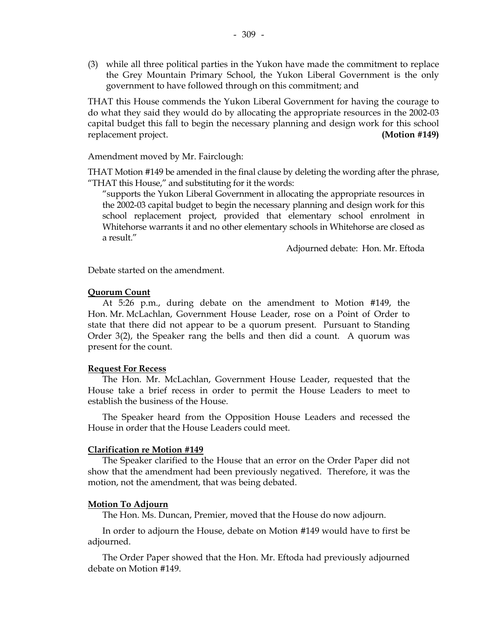(3) while all three political parties in the Yukon have made the commitment to replace the Grey Mountain Primary School, the Yukon Liberal Government is the only government to have followed through on this commitment; and

 THAT this House commends the Yukon Liberal Government for having the courage to do what they said they would do by allocating the appropriate resources in the 2002-03 capital budget this fall to begin the necessary planning and design work for this school replacement project. **(Motion #149)** 

Amendment moved by Mr. Fairclough:

 THAT Motion #149 be amended in the final clause by deleting the wording after the phrase, "THAT this House," and substituting for it the words:

 "supports the Yukon Liberal Government in allocating the appropriate resources in the 2002-03 capital budget to begin the necessary planning and design work for this school replacement project, provided that elementary school enrolment in Whitehorse warrants it and no other elementary schools in Whitehorse are closed as a result."

Adjourned debate: Hon. Mr. Eftoda

Debate started on the amendment.

#### **Quorum Count**

 At 5:26 p.m., during debate on the amendment to Motion #149, the Hon. Mr. McLachlan, Government House Leader, rose on a Point of Order to state that there did not appear to be a quorum present. Pursuant to Standing Order 3(2), the Speaker rang the bells and then did a count. A quorum was present for the count.

#### **Request For Recess**

 The Hon. Mr. McLachlan, Government House Leader, requested that the House take a brief recess in order to permit the House Leaders to meet to establish the business of the House.

 The Speaker heard from the Opposition House Leaders and recessed the House in order that the House Leaders could meet.

#### **Clarification re Motion #149**

 The Speaker clarified to the House that an error on the Order Paper did not show that the amendment had been previously negatived. Therefore, it was the motion, not the amendment, that was being debated.

#### **Motion To Adjourn**

The Hon. Ms. Duncan, Premier, moved that the House do now adjourn.

 In order to adjourn the House, debate on Motion #149 would have to first be adjourned.

 The Order Paper showed that the Hon. Mr. Eftoda had previously adjourned debate on Motion #149.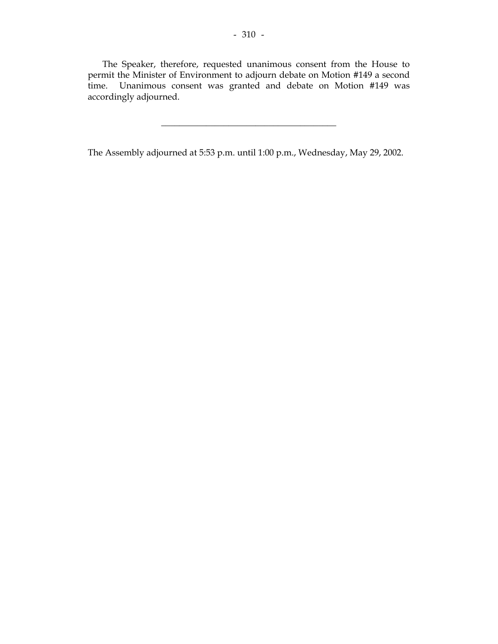The Speaker, therefore, requested unanimous consent from the House to permit the Minister of Environment to adjourn debate on Motion #149 a second time. Unanimous consent was granted and debate on Motion #149 was accordingly adjourned.

\_\_\_\_\_\_\_\_\_\_\_\_\_\_\_\_\_\_\_\_\_\_\_\_\_\_\_\_\_\_\_\_\_\_\_\_\_\_\_

The Assembly adjourned at 5:53 p.m. until 1:00 p.m., Wednesday, May 29, 2002.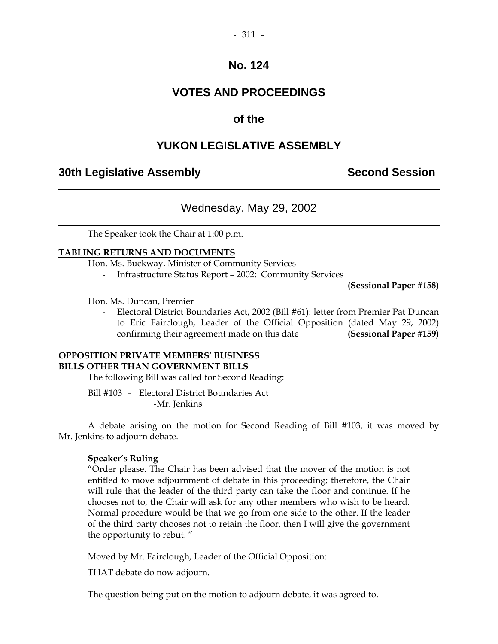# **VOTES AND PROCEEDINGS**

# **of the**

# **YUKON LEGISLATIVE ASSEMBLY**

# **30th Legislative Assembly Second Session**

# Wednesday, May 29, 2002

The Speaker took the Chair at 1:00 p.m.

## **TABLING RETURNS AND DOCUMENTS**

Hon. Ms. Buckway, Minister of Community Services

- Infrastructure Status Report – 2002: Community Services

**(Sessional Paper #158)** 

Hon. Ms. Duncan, Premier

 - Electoral District Boundaries Act, 2002 (Bill #61): letter from Premier Pat Duncan to Eric Fairclough, Leader of the Official Opposition (dated May 29, 2002) confirming their agreement made on this date **(Sessional Paper #159)** 

## **OPPOSITION PRIVATE MEMBERS' BUSINESS BILLS OTHER THAN GOVERNMENT BILLS**

The following Bill was called for Second Reading:

 Bill #103 - Electoral District Boundaries Act -Mr. Jenkins

 A debate arising on the motion for Second Reading of Bill #103, it was moved by Mr. Jenkins to adjourn debate.

## **Speaker's Ruling**

 "Order please. The Chair has been advised that the mover of the motion is not entitled to move adjournment of debate in this proceeding; therefore, the Chair will rule that the leader of the third party can take the floor and continue. If he chooses not to, the Chair will ask for any other members who wish to be heard. Normal procedure would be that we go from one side to the other. If the leader of the third party chooses not to retain the floor, then I will give the government the opportunity to rebut. "

Moved by Mr. Fairclough, Leader of the Official Opposition:

THAT debate do now adjourn.

The question being put on the motion to adjourn debate, it was agreed to.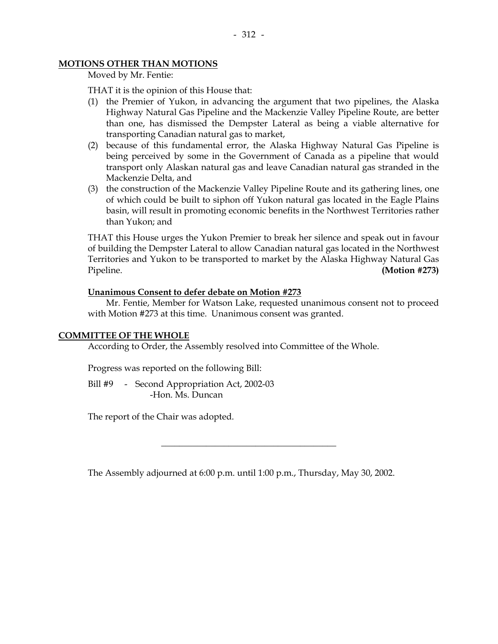## **MOTIONS OTHER THAN MOTIONS**

Moved by Mr. Fentie:

THAT it is the opinion of this House that:

- (1) the Premier of Yukon, in advancing the argument that two pipelines, the Alaska Highway Natural Gas Pipeline and the Mackenzie Valley Pipeline Route, are better than one, has dismissed the Dempster Lateral as being a viable alternative for transporting Canadian natural gas to market,
- (2) because of this fundamental error, the Alaska Highway Natural Gas Pipeline is being perceived by some in the Government of Canada as a pipeline that would transport only Alaskan natural gas and leave Canadian natural gas stranded in the Mackenzie Delta, and
- (3) the construction of the Mackenzie Valley Pipeline Route and its gathering lines, one of which could be built to siphon off Yukon natural gas located in the Eagle Plains basin, will result in promoting economic benefits in the Northwest Territories rather than Yukon; and

 THAT this House urges the Yukon Premier to break her silence and speak out in favour of building the Dempster Lateral to allow Canadian natural gas located in the Northwest Territories and Yukon to be transported to market by the Alaska Highway Natural Gas Pipeline. **(Motion #273)** 

#### **Unanimous Consent to defer debate on Motion #273**

 Mr. Fentie, Member for Watson Lake, requested unanimous consent not to proceed with Motion #273 at this time. Unanimous consent was granted.

## **COMMITTEE OF THE WHOLE**

According to Order, the Assembly resolved into Committee of the Whole.

Progress was reported on the following Bill:

Bill #9 - Second Appropriation Act, 2002-03 -Hon. Ms. Duncan

The report of the Chair was adopted.

The Assembly adjourned at 6:00 p.m. until 1:00 p.m., Thursday, May 30, 2002.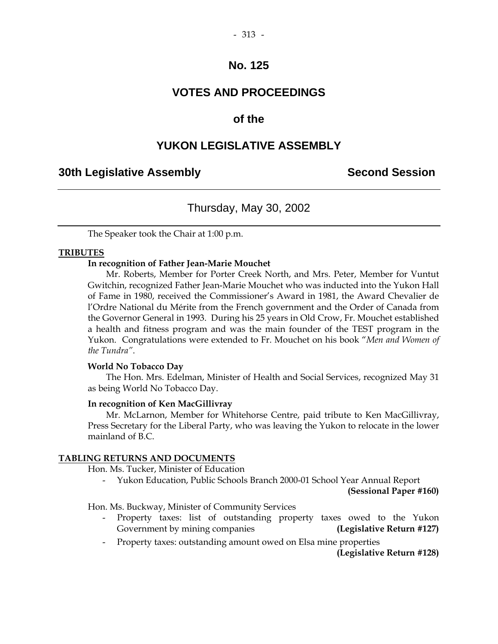# **VOTES AND PROCEEDINGS**

# **of the**

# **YUKON LEGISLATIVE ASSEMBLY**

## **30th Legislative Assembly Second Session**

## Thursday, May 30, 2002

The Speaker took the Chair at 1:00 p.m.

#### **TRIBUTES**

#### **In recognition of Father Jean-Marie Mouchet**

 Mr. Roberts, Member for Porter Creek North, and Mrs. Peter, Member for Vuntut Gwitchin, recognized Father Jean-Marie Mouchet who was inducted into the Yukon Hall of Fame in 1980, received the Commissioner's Award in 1981, the Award Chevalier de l'Ordre National du Mérite from the French government and the Order of Canada from the Governor General in 1993. During his 25 years in Old Crow, Fr. Mouchet established a health and fitness program and was the main founder of the TEST program in the Yukon. Congratulations were extended to Fr. Mouchet on his book "*Men and Women of the Tundra"*.

#### **World No Tobacco Day**

 The Hon. Mrs. Edelman, Minister of Health and Social Services, recognized May 31 as being World No Tobacco Day.

#### **In recognition of Ken MacGillivray**

 Mr. McLarnon, Member for Whitehorse Centre, paid tribute to Ken MacGillivray, Press Secretary for the Liberal Party, who was leaving the Yukon to relocate in the lower mainland of B.C.

#### **TABLING RETURNS AND DOCUMENTS**

Hon. Ms. Tucker, Minister of Education

 - Yukon Education, Public Schools Branch 2000-01 School Year Annual Report **(Sessional Paper #160)** 

Hon. Ms. Buckway, Minister of Community Services

- Property taxes: list of outstanding property taxes owed to the Yukon Government by mining companies **(Legislative Return #127)**
- Property taxes: outstanding amount owed on Elsa mine properties

**(Legislative Return #128)**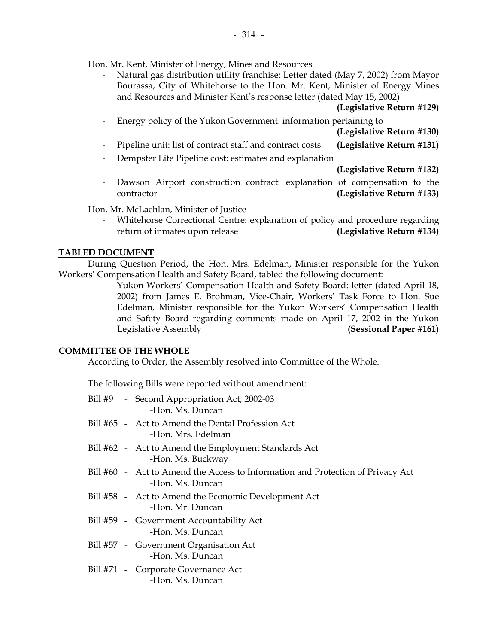Hon. Mr. Kent, Minister of Energy, Mines and Resources

 - Natural gas distribution utility franchise: Letter dated (May 7, 2002) from Mayor Bourassa, City of Whitehorse to the Hon. Mr. Kent, Minister of Energy Mines and Resources and Minister Kent's response letter (dated May 15, 2002)

|                          |                                                                                        | (Legislative Return #129) |
|--------------------------|----------------------------------------------------------------------------------------|---------------------------|
| $\overline{\phantom{a}}$ | Energy policy of the Yukon Government: information pertaining to                       |                           |
|                          |                                                                                        | (Legislative Return #130) |
| $\overline{\phantom{a}}$ | Pipeline unit: list of contract staff and contract costs                               | (Legislative Return #131) |
| $\overline{\phantom{0}}$ | Dempster Lite Pipeline cost: estimates and explanation                                 |                           |
|                          |                                                                                        | (Legislative Return #132) |
| $\overline{\phantom{a}}$ | Dawson Airport construction contract: explanation of compensation to the<br>contractor | (Legislative Return #133) |

Hon. Mr. McLachlan, Minister of Justice

 - Whitehorse Correctional Centre: explanation of policy and procedure regarding return of inmates upon release **(Legislative Return #134)**

### **TABLED DOCUMENT**

 During Question Period, the Hon. Mrs. Edelman, Minister responsible for the Yukon Workers' Compensation Health and Safety Board, tabled the following document:

 - Yukon Workers' Compensation Health and Safety Board: letter (dated April 18, 2002) from James E. Brohman, Vice-Chair, Workers' Task Force to Hon. Sue Edelman, Minister responsible for the Yukon Workers' Compensation Health and Safety Board regarding comments made on April 17, 2002 in the Yukon Legislative Assembly **(Sessional Paper #161)** 

### **COMMITTEE OF THE WHOLE**

According to Order, the Assembly resolved into Committee of the Whole.

The following Bills were reported without amendment:

|  | Bill #9 - Second Appropriation Act, 2002-03<br>-Hon. Ms. Duncan                                     |
|--|-----------------------------------------------------------------------------------------------------|
|  | Bill #65 - Act to Amend the Dental Profession Act<br>-Hon. Mrs. Edelman                             |
|  | Bill #62 - Act to Amend the Employment Standards Act<br>-Hon. Ms. Buckway                           |
|  | Bill #60 - Act to Amend the Access to Information and Protection of Privacy Act<br>-Hon. Ms. Duncan |
|  | Bill #58 - Act to Amend the Economic Development Act<br>-Hon. Mr. Duncan                            |
|  | Bill #59 - Government Accountability Act<br>-Hon. Ms. Duncan                                        |
|  | Bill #57 - Government Organisation Act<br>-Hon. Ms. Duncan                                          |
|  | Bill #71 - Corporate Governance Act<br>-Hon. Ms. Duncan                                             |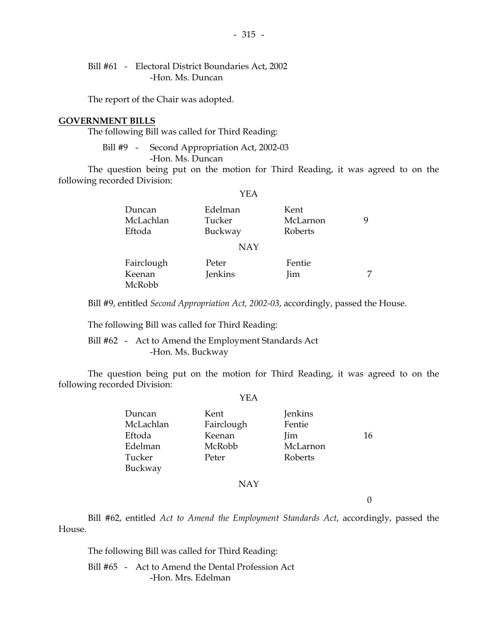Bill #61 - Electoral District Boundaries Act, 2002 -Hon. Ms. Duncan

The report of the Chair was adopted.

### **GOVERNMENT BILLS**

The following Bill was called for Third Reading:

Bill #9 - Second Appropriation Act, 2002-03 -Hon. Ms. Duncan

 The question being put on the motion for Third Reading, it was agreed to on the following recorded Division:

YEA

| Duncan<br>McLachlan<br>Eftoda  | Edelman<br>Tucker<br>Buckway | Kent<br>McLarnon<br>Roberts | 9 |
|--------------------------------|------------------------------|-----------------------------|---|
|                                | <b>NAY</b>                   |                             |   |
| Fairclough<br>Keenan<br>McRobb | Peter<br>Jenkins             | Fentie<br>Jim               | 7 |

Bill #9, entitled *Second Appropriation Act, 2002-03*, accordingly, passed the House.

The following Bill was called for Third Reading:

 Bill #62 - Act to Amend the Employment Standards Act -Hon. Ms. Buckway

 The question being put on the motion for Third Reading, it was agreed to on the following recorded Division:

YEA

| Duncan    | Kent       | Jenkins  |    |
|-----------|------------|----------|----|
| McLachlan | Fairclough | Fentie   |    |
| Eftoda    | Keenan     | Jim      | 16 |
| Edelman   | McRobb     | McLarnon |    |
| Tucker    | Peter      | Roberts  |    |
| Buckway   |            |          |    |
|           |            |          |    |

NAY

0

 Bill #62, entitled *Act to Amend the Employment Standards Act*, accordingly, passed the House.

The following Bill was called for Third Reading:

 Bill #65 - Act to Amend the Dental Profession Act -Hon. Mrs. Edelman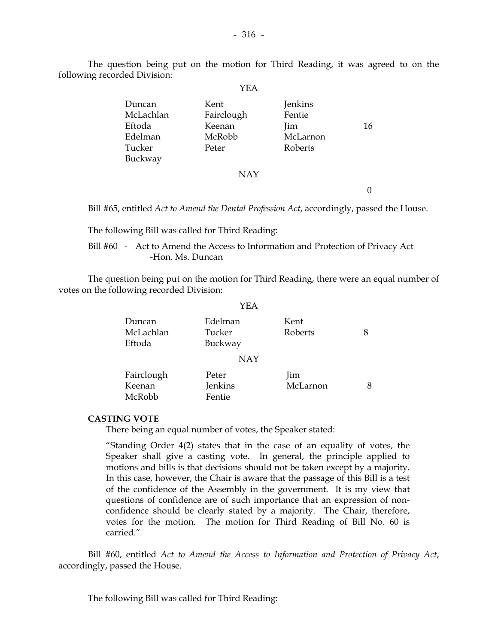$-316 -$ 

 The question being put on the motion for Third Reading, it was agreed to on the following recorded Division:

|           | .          |          |    |
|-----------|------------|----------|----|
| Duncan    | Kent       | Jenkins  |    |
| McLachlan | Fairclough | Fentie   |    |
| Eftoda    | Keenan     | lim      | 16 |
| Edelman   | McRobb     | McLarnon |    |
| Tucker    | Peter      | Roberts  |    |
| Buckway   |            |          |    |
|           | <b>NAY</b> |          |    |
|           |            |          |    |

Bill #65, entitled *Act to Amend the Dental Profession Act*, accordingly, passed the House.

The following Bill was called for Third Reading:

 Bill #60 - Act to Amend the Access to Information and Protection of Privacy Act -Hon. Ms. Duncan

 The question being put on the motion for Third Reading, there were an equal number of votes on the following recorded Division:

 $Y_{\rm ET}$ 

|                                | YEA                          |                        |   |
|--------------------------------|------------------------------|------------------------|---|
| Duncan<br>McLachlan<br>Eftoda  | Edelman<br>Tucker<br>Buckway | Kent<br>Roberts        | 8 |
|                                | <b>NAY</b>                   |                        |   |
| Fairclough<br>Keenan<br>McRobb | Peter<br>Jenkins<br>Fentie   | <i>lim</i><br>McLarnon | 8 |

### **CASTING VOTE**

There being an equal number of votes, the Speaker stated:

 "Standing Order 4(2) states that in the case of an equality of votes, the Speaker shall give a casting vote. In general, the principle applied to motions and bills is that decisions should not be taken except by a majority. In this case, however, the Chair is aware that the passage of this Bill is a test of the confidence of the Assembly in the government. It is my view that questions of confidence are of such importance that an expression of nonconfidence should be clearly stated by a majority. The Chair, therefore, votes for the motion. The motion for Third Reading of Bill No. 60 is carried."

 Bill #60, entitled *Act to Amend the Access to Information and Protection of Privacy Act*, accordingly, passed the House.

The following Bill was called for Third Reading:

## YEA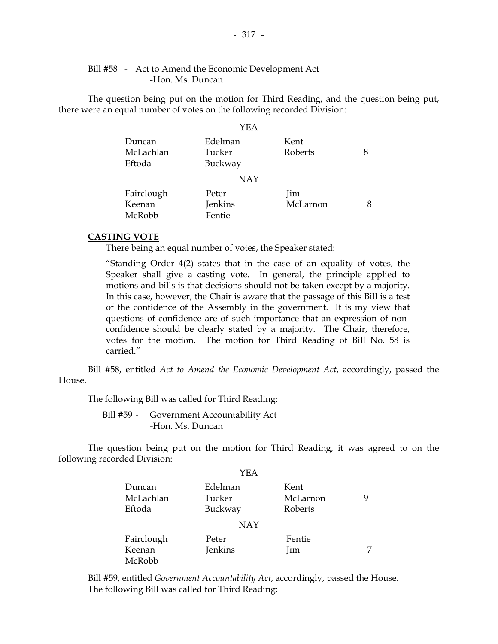### Bill #58 - Act to Amend the Economic Development Act -Hon. Ms. Duncan

 The question being put on the motion for Third Reading, and the question being put, there were an equal number of votes on the following recorded Division:

|                               | YEA                          |                 |   |
|-------------------------------|------------------------------|-----------------|---|
| Duncan<br>McLachlan<br>Eftoda | Edelman<br>Tucker<br>Buckway | Kent<br>Roberts | 8 |
|                               | <b>NAY</b>                   |                 |   |
| Fairclough                    | Peter                        | lim             |   |
| Keenan                        | Jenkins                      | McLarnon        | 8 |
| McRobb                        | Fentie                       |                 |   |

### **CASTING VOTE**

There being an equal number of votes, the Speaker stated:

 "Standing Order 4(2) states that in the case of an equality of votes, the Speaker shall give a casting vote. In general, the principle applied to motions and bills is that decisions should not be taken except by a majority. In this case, however, the Chair is aware that the passage of this Bill is a test of the confidence of the Assembly in the government. It is my view that questions of confidence are of such importance that an expression of nonconfidence should be clearly stated by a majority. The Chair, therefore, votes for the motion. The motion for Third Reading of Bill No. 58 is carried."

 Bill #58, entitled *Act to Amend the Economic Development Act*, accordingly, passed the House.

The following Bill was called for Third Reading:

 Bill #59 - Government Accountability Act -Hon. Ms. Duncan

 The question being put on the motion for Third Reading, it was agreed to on the following recorded Division:

YEA

|                                | 1 L L                        |                             |   |
|--------------------------------|------------------------------|-----------------------------|---|
| Duncan<br>McLachlan<br>Eftoda  | Edelman<br>Tucker<br>Buckway | Kent<br>McLarnon<br>Roberts | 9 |
|                                | <b>NAY</b>                   |                             |   |
| Fairclough<br>Keenan<br>McRobb | Peter<br>Jenkins             | Fentie<br><i>lim</i>        |   |

 Bill #59, entitled *Government Accountability Act*, accordingly, passed the House. The following Bill was called for Third Reading: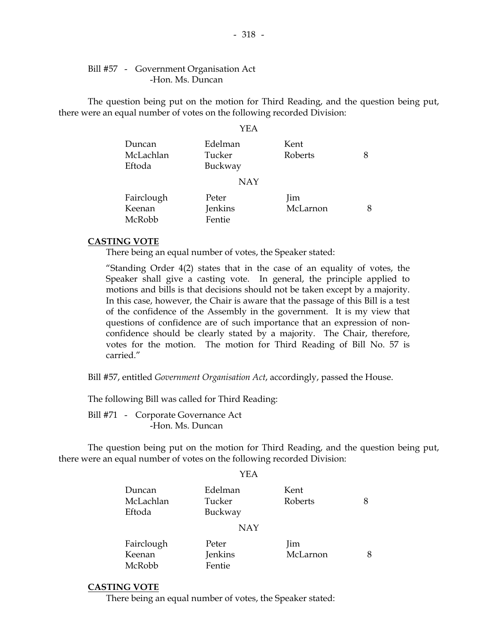### Bill #57 - Government Organisation Act -Hon. Ms. Duncan

 The question being put on the motion for Third Reading, and the question being put, there were an equal number of votes on the following recorded Division:

#### YEA

| Duncan<br>McLachlan<br>Eftoda | Edelman<br>Tucker<br>Buckway | Kent<br>Roberts | 8 |
|-------------------------------|------------------------------|-----------------|---|
|                               | <b>NAY</b>                   |                 |   |
| Fairclough                    | Peter                        | Jim             |   |
| Keenan                        | Jenkins                      | McLarnon        | 8 |
| McRobb                        | Fentie                       |                 |   |

### **CASTING VOTE**

There being an equal number of votes, the Speaker stated:

 "Standing Order 4(2) states that in the case of an equality of votes, the Speaker shall give a casting vote. In general, the principle applied to motions and bills is that decisions should not be taken except by a majority. In this case, however, the Chair is aware that the passage of this Bill is a test of the confidence of the Assembly in the government. It is my view that questions of confidence are of such importance that an expression of nonconfidence should be clearly stated by a majority. The Chair, therefore, votes for the motion. The motion for Third Reading of Bill No. 57 is carried."

Bill #57, entitled *Government Organisation Act*, accordingly, passed the House.

The following Bill was called for Third Reading:

 Bill #71 - Corporate Governance Act -Hon. Ms. Duncan

 The question being put on the motion for Third Reading, and the question being put, there were an equal number of votes on the following recorded Division:

YEA

| Duncan<br>McLachlan<br>Eftoda | Edelman<br>Tucker<br>Buckway | Kent<br>Roberts | 8 |
|-------------------------------|------------------------------|-----------------|---|
|                               | <b>NAY</b>                   |                 |   |
| Fairclough                    | Peter                        | Jim             |   |
| Keenan                        | Jenkins                      | McLarnon        |   |
| McRobb                        | Fentie                       |                 |   |

### **CASTING VOTE**

There being an equal number of votes, the Speaker stated: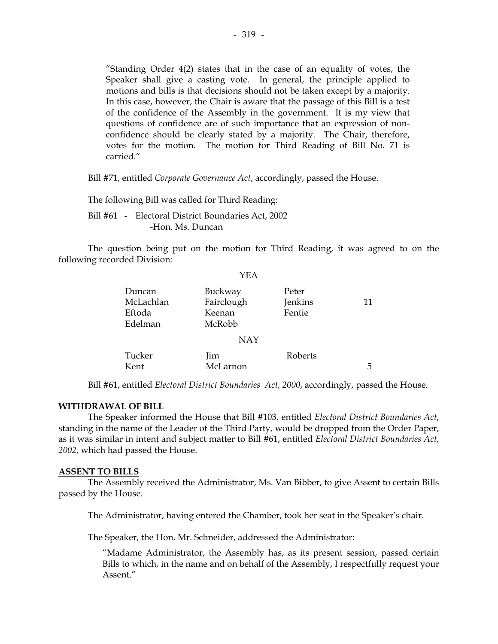"Standing Order 4(2) states that in the case of an equality of votes, the Speaker shall give a casting vote. In general, the principle applied to motions and bills is that decisions should not be taken except by a majority. In this case, however, the Chair is aware that the passage of this Bill is a test of the confidence of the Assembly in the government. It is my view that questions of confidence are of such importance that an expression of nonconfidence should be clearly stated by a majority. The Chair, therefore, votes for the motion. The motion for Third Reading of Bill No. 71 is carried."

Bill #71, entitled *Corporate Governance Act*, accordingly, passed the House.

The following Bill was called for Third Reading:

 Bill #61 - Electoral District Boundaries Act, 2002 -Hon. Ms. Duncan

 The question being put on the motion for Third Reading, it was agreed to on the following recorded Division:

|                                          | <b>YEA</b>                                |                            |    |
|------------------------------------------|-------------------------------------------|----------------------------|----|
| Duncan<br>McLachlan<br>Eftoda<br>Edelman | Buckway<br>Fairclough<br>Keenan<br>McRobb | Peter<br>Jenkins<br>Fentie | 11 |
|                                          | <b>NAY</b>                                |                            |    |
| Tucker<br>Kent                           | Jim<br>McLarnon                           | Roberts                    | 5  |

Bill #61, entitled *Electoral District Boundaries Act, 2000*, accordingly, passed the House.

### **WITHDRAWAL OF BILL**

 The Speaker informed the House that Bill #103, entitled *Electoral District Boundaries Act*, standing in the name of the Leader of the Third Party, would be dropped from the Order Paper, as it was similar in intent and subject matter to Bill #61, entitled *Electoral District Boundaries Act, 2002*, which had passed the House.

### **ASSENT TO BILLS**

 The Assembly received the Administrator, Ms. Van Bibber, to give Assent to certain Bills passed by the House.

The Administrator, having entered the Chamber, took her seat in the Speaker's chair.

The Speaker, the Hon. Mr. Schneider, addressed the Administrator:

 "Madame Administrator, the Assembly has, as its present session, passed certain Bills to which, in the name and on behalf of the Assembly, I respectfully request your Assent"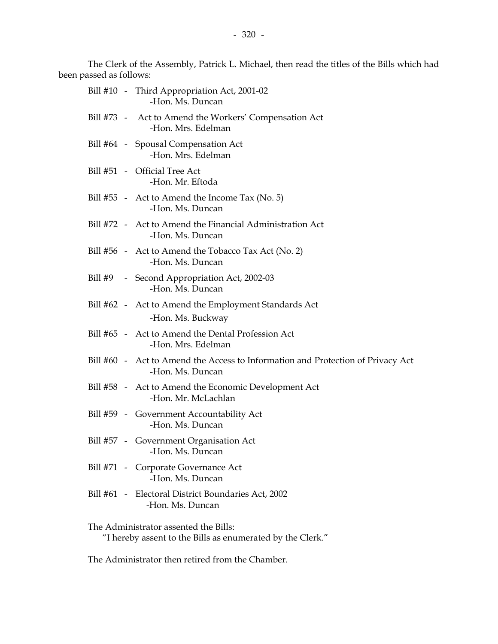The Clerk of the Assembly, Patrick L. Michael, then read the titles of the Bills which had been passed as follows:

|  | Bill #10 - Third Appropriation Act, 2001-02<br>-Hon. Ms. Duncan                                     |
|--|-----------------------------------------------------------------------------------------------------|
|  | Bill #73 - Act to Amend the Workers' Compensation Act<br>-Hon. Mrs. Edelman                         |
|  | Bill #64 - Spousal Compensation Act<br>-Hon. Mrs. Edelman                                           |
|  | Bill #51 - Official Tree Act<br>-Hon. Mr. Eftoda                                                    |
|  | Bill $#55$ - Act to Amend the Income Tax (No. 5)<br>-Hon. Ms. Duncan                                |
|  | Bill #72 - Act to Amend the Financial Administration Act<br>-Hon. Ms. Duncan                        |
|  | Bill #56 - Act to Amend the Tobacco Tax Act (No. 2)<br>-Hon. Ms. Duncan                             |
|  | Bill #9 - Second Appropriation Act, 2002-03<br>-Hon. Ms. Duncan                                     |
|  | Bill #62 - Act to Amend the Employment Standards Act<br>-Hon. Ms. Buckway                           |
|  | Bill #65 - Act to Amend the Dental Profession Act<br>-Hon. Mrs. Edelman                             |
|  | Bill #60 - Act to Amend the Access to Information and Protection of Privacy Act<br>-Hon. Ms. Duncan |
|  | Bill #58 - Act to Amend the Economic Development Act<br>-Hon. Mr. McLachlan                         |
|  | Bill #59 - Government Accountability Act<br>-Hon. Ms. Duncan                                        |
|  | Bill #57 - Government Organisation Act<br>-Hon. Ms. Duncan                                          |
|  | Bill #71 - Corporate Governance Act<br>-Hon. Ms. Duncan                                             |
|  | Bill #61 - Electoral District Boundaries Act, 2002<br>-Hon. Ms. Duncan                              |
|  | The Administrator assented the Bills:                                                               |

"I hereby assent to the Bills as enumerated by the Clerk."

The Administrator then retired from the Chamber.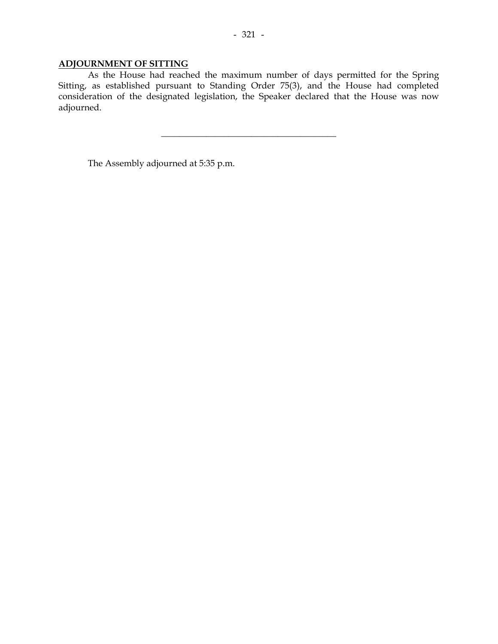## **ADJOURNMENT OF SITTING**

 As the House had reached the maximum number of days permitted for the Spring Sitting, as established pursuant to Standing Order 75(3), and the House had completed consideration of the designated legislation, the Speaker declared that the House was now adjourned.

\_\_\_\_\_\_\_\_\_\_\_\_\_\_\_\_\_\_\_\_\_\_\_\_\_\_\_\_\_\_\_\_\_\_\_\_\_\_\_

The Assembly adjourned at 5:35 p.m.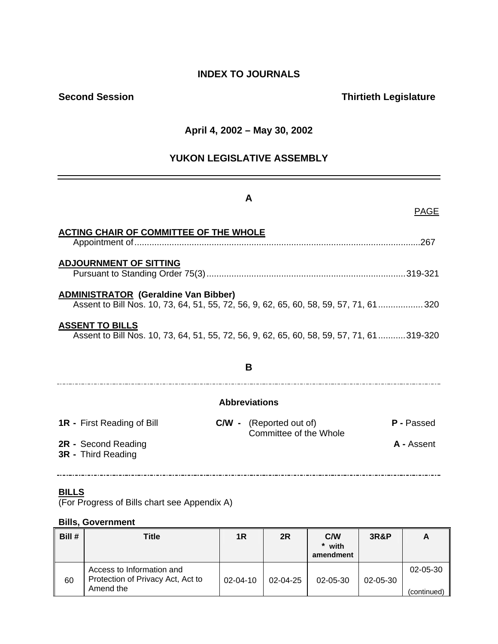## **INDEX TO JOURNALS**

## **Second Session Contract Contract Contract Contract Contract Contract Contract Contract Contract Contract Contract Contract Contract Contract Contract Contract Contract Contract Contract Contract Contract Contract Contract**

## **April 4, 2002 – May 30, 2002**

## **YUKON LEGISLATIVE ASSEMBLY**

## **A**

PAGE

| <b>ACTING CHAIR OF COMMITTEE OF THE WHOLE</b>                                                                                       |                                                          |                   |
|-------------------------------------------------------------------------------------------------------------------------------------|----------------------------------------------------------|-------------------|
| <b>ADJOURNMENT OF SITTING</b>                                                                                                       |                                                          |                   |
| <b>ADMINISTRATOR (Geraldine Van Bibber)</b><br>Assent to Bill Nos. 10, 73, 64, 51, 55, 72, 56, 9, 62, 65, 60, 58, 59, 57, 71, 61320 |                                                          |                   |
| <b>ASSENT TO BILLS</b><br>Assent to Bill Nos. 10, 73, 64, 51, 55, 72, 56, 9, 62, 65, 60, 58, 59, 57, 71, 61319-320                  |                                                          |                   |
|                                                                                                                                     | B                                                        |                   |
|                                                                                                                                     | <b>Abbreviations</b>                                     |                   |
| <b>1R</b> - First Reading of Bill                                                                                                   | <b>C/W</b> - (Reported out of)<br>Committee of the Whole | <b>P</b> - Passed |
| 2R - Second Reading<br><b>3R</b> - Third Reading                                                                                    |                                                          | A - Assent        |

### **BILLS**

(For Progress of Bills chart see Appendix A)

## **Bills, Government**

| Bill # | Title                                                                       | 1R             | 2R             | C/W<br>* with<br>amendment | <b>3R&amp;P</b> | A                             |
|--------|-----------------------------------------------------------------------------|----------------|----------------|----------------------------|-----------------|-------------------------------|
| 60     | Access to Information and<br>Protection of Privacy Act, Act to<br>Amend the | $02 - 04 - 10$ | $02 - 04 - 25$ | $02 - 05 - 30$             | $02 - 05 - 30$  | $02 - 05 - 30$<br>(continued) |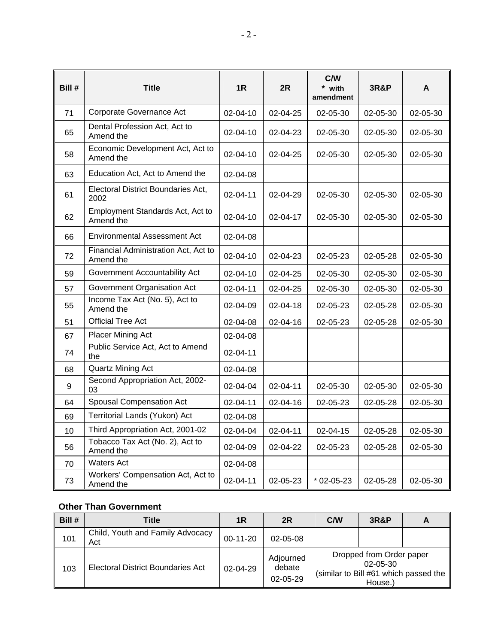| Bill # | Title                                             | 1R             | 2R             | C/W<br>* with<br>amendment | <b>3R&amp;P</b> | A        |
|--------|---------------------------------------------------|----------------|----------------|----------------------------|-----------------|----------|
| 71     | Corporate Governance Act                          | 02-04-10       | 02-04-25       | 02-05-30                   | 02-05-30        | 02-05-30 |
| 65     | Dental Profession Act, Act to<br>Amend the        | 02-04-10       | 02-04-23       | $02 - 05 - 30$             | $02 - 05 - 30$  | 02-05-30 |
| 58     | Economic Development Act, Act to<br>Amend the     | 02-04-10       | 02-04-25       | 02-05-30                   | 02-05-30        | 02-05-30 |
| 63     | Education Act, Act to Amend the                   | 02-04-08       |                |                            |                 |          |
| 61     | Electoral District Boundaries Act.<br>2002        | 02-04-11       | 02-04-29       | 02-05-30                   | 02-05-30        | 02-05-30 |
| 62     | Employment Standards Act, Act to<br>Amend the     | $02 - 04 - 10$ | 02-04-17       | $02 - 05 - 30$             | $02 - 05 - 30$  | 02-05-30 |
| 66     | Environmental Assessment Act                      | 02-04-08       |                |                            |                 |          |
| 72     | Financial Administration Act, Act to<br>Amend the | $02 - 04 - 10$ | 02-04-23       | $02 - 05 - 23$             | $02 - 05 - 28$  | 02-05-30 |
| 59     | Government Accountability Act                     | $02 - 04 - 10$ | 02-04-25       | $02 - 05 - 30$             | $02 - 05 - 30$  | 02-05-30 |
| 57     | Government Organisation Act                       | 02-04-11       | 02-04-25       | 02-05-30                   | 02-05-30        | 02-05-30 |
| 55     | Income Tax Act (No. 5), Act to<br>Amend the       | 02-04-09       | 02-04-18       | 02-05-23                   | 02-05-28        | 02-05-30 |
| 51     | <b>Official Tree Act</b>                          | 02-04-08       | $02 - 04 - 16$ | $02 - 05 - 23$             | $02 - 05 - 28$  | 02-05-30 |
| 67     | <b>Placer Mining Act</b>                          | 02-04-08       |                |                            |                 |          |
| 74     | Public Service Act, Act to Amend<br>the           | $02 - 04 - 11$ |                |                            |                 |          |
| 68     | Quartz Mining Act                                 | 02-04-08       |                |                            |                 |          |
| 9      | Second Appropriation Act, 2002-<br>03             | 02-04-04       | 02-04-11       | 02-05-30                   | 02-05-30        | 02-05-30 |
| 64     | Spousal Compensation Act                          | $02 - 04 - 11$ | 02-04-16       | 02-05-23                   | $02 - 05 - 28$  | 02-05-30 |
| 69     | Territorial Lands (Yukon) Act                     | 02-04-08       |                |                            |                 |          |
| 10     | Third Appropriation Act, 2001-02                  | 02-04-04       | 02-04-11       | $02 - 04 - 15$             | 02-05-28        | 02-05-30 |
| 56     | Tobacco Tax Act (No. 2), Act to<br>Amend the      | 02-04-09       | 02-04-22       | 02-05-23                   | 02-05-28        | 02-05-30 |
| 70     | <b>Waters Act</b>                                 | 02-04-08       |                |                            |                 |          |
| 73     | Workers' Compensation Act, Act to<br>Amend the    | $02 - 04 - 11$ | 02-05-23       | $*$ 02-05-23               | 02-05-28        | 02-05-30 |

## **Other Than Government**

| Bill # | Title                                   | 1R             | 2R                              | C/W | <b>3R&amp;P</b>                                       |                                       |
|--------|-----------------------------------------|----------------|---------------------------------|-----|-------------------------------------------------------|---------------------------------------|
| 101    | Child, Youth and Family Advocacy<br>Act | $00-11-20$     | 02-05-08                        |     |                                                       |                                       |
| 103    | Electoral District Boundaries Act       | $02 - 04 - 29$ | Adjourned<br>debate<br>02-05-29 |     | Dropped from Order paper<br>$02 - 05 - 30$<br>House.) | (similar to Bill #61 which passed the |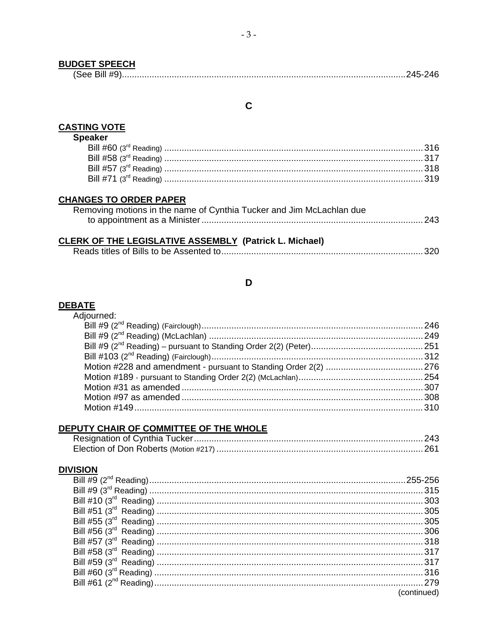## **BUDGET SPEECH**

| I OGG. |  |  |  |  |  |  |  |  |  |  |  |  |  |  |  |  |  |  |  |  |  |  |  |  |  |  |  |  |  |  |  |  |  |  |  |  |  |  |  |  |  |  |  |  |  |  |  |  |  |  |  |  |  |  |  |  |  |  |  |  |  |  |  |  |  |  |  |  |  |  |  |  |  |  |  |  |  |  |  |  |  |  |  |  |  |  |  |  |  |  |  |  |  |  |  |  |  |  |  |  |  |  |  |  |  |  |  |  |  |  |  |  |  |  |  |  |  |  |  |  |  |  |  |  |  |  |  |  |  |  |  |  |  |  |  |  |  |  |  |  |  |  |  |  |  |  |
|--------|--|--|--|--|--|--|--|--|--|--|--|--|--|--|--|--|--|--|--|--|--|--|--|--|--|--|--|--|--|--|--|--|--|--|--|--|--|--|--|--|--|--|--|--|--|--|--|--|--|--|--|--|--|--|--|--|--|--|--|--|--|--|--|--|--|--|--|--|--|--|--|--|--|--|--|--|--|--|--|--|--|--|--|--|--|--|--|--|--|--|--|--|--|--|--|--|--|--|--|--|--|--|--|--|--|--|--|--|--|--|--|--|--|--|--|--|--|--|--|--|--|--|--|--|--|--|--|--|--|--|--|--|--|--|--|--|--|--|--|--|--|--|--|--|--|--|
|--------|--|--|--|--|--|--|--|--|--|--|--|--|--|--|--|--|--|--|--|--|--|--|--|--|--|--|--|--|--|--|--|--|--|--|--|--|--|--|--|--|--|--|--|--|--|--|--|--|--|--|--|--|--|--|--|--|--|--|--|--|--|--|--|--|--|--|--|--|--|--|--|--|--|--|--|--|--|--|--|--|--|--|--|--|--|--|--|--|--|--|--|--|--|--|--|--|--|--|--|--|--|--|--|--|--|--|--|--|--|--|--|--|--|--|--|--|--|--|--|--|--|--|--|--|--|--|--|--|--|--|--|--|--|--|--|--|--|--|--|--|--|--|--|--|--|--|

## $\mathbf C$

# **CASTING VOTE**<br>Speaker

| peaker |  |
|--------|--|
|        |  |
|        |  |
|        |  |
|        |  |
|        |  |

## **CHANGES TO ORDER PAPER**

| Removing motions in the name of Cynthia Tucker and Jim McLachlan due |  |
|----------------------------------------------------------------------|--|
|                                                                      |  |

## **CLERK OF THE LEGISLATIVE ASSEMBLY (Patrick L. Michael)**

## D

## DEBATE<br>Adjourned:

| djourned: |  |
|-----------|--|
|           |  |
|           |  |
|           |  |
|           |  |
|           |  |
|           |  |
|           |  |
|           |  |
|           |  |
|           |  |

## DEPUTY CHAIR OF COMMITTEE OF THE WHOLE

### **DIVISION**

| (continued) |
|-------------|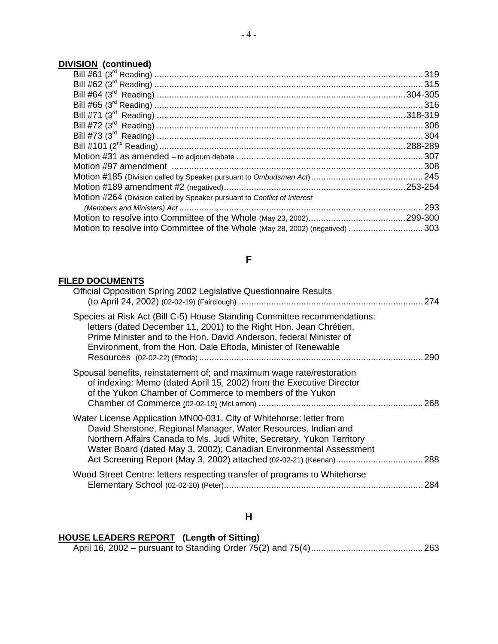## **DIVISION (continued)**

| Motion #264 (Division called by Speaker pursuant to Conflict of Interest      |  |
|-------------------------------------------------------------------------------|--|
|                                                                               |  |
|                                                                               |  |
| Motion to resolve into Committee of the Whole (May 28, 2002) (negatived)  303 |  |
|                                                                               |  |

## **F**

## **FILED DOCUMENTS**

| Official Opposition Spring 2002 Legislative Questionnaire Results                                                                                                                                                                                                                     |     |
|---------------------------------------------------------------------------------------------------------------------------------------------------------------------------------------------------------------------------------------------------------------------------------------|-----|
| Species at Risk Act (Bill C-5) House Standing Committee recommendations:<br>letters (dated December 11, 2001) to the Right Hon. Jean Chrétien,<br>Prime Minister and to the Hon. David Anderson, federal Minister of<br>Environment, from the Hon. Dale Eftoda, Minister of Renewable | 290 |
| Spousal benefits, reinstatement of; and maximum wage rate/restoration<br>of indexing: Memo (dated April 15, 2002) from the Executive Director<br>of the Yukon Chamber of Commerce to members of the Yukon                                                                             | 268 |
| Water License Application MN00-031, City of Whitehorse: letter from<br>David Sherstone, Regional Manager, Water Resources, Indian and<br>Northern Affairs Canada to Ms. Judi White, Secretary, Yukon Territory<br>Water Board (dated May 3, 2002); Canadian Environmental Assessment  |     |
| Wood Street Centre: letters respecting transfer of programs to Whitehorse                                                                                                                                                                                                             | 284 |

## **H**

## **HOUSE LEADERS REPORT (Length of Sitting)**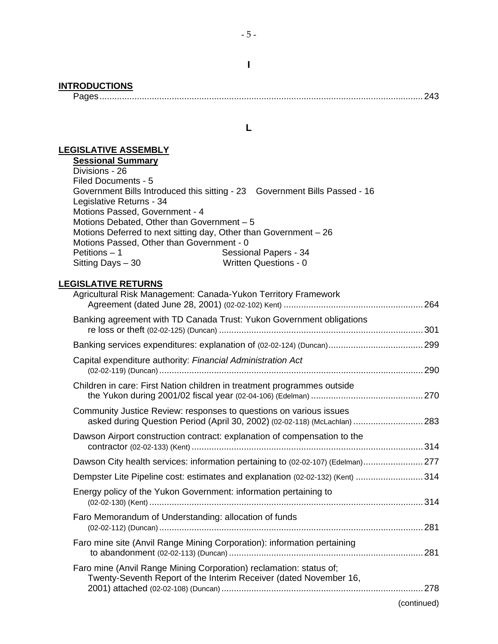| <b>INTRODUCTIONS</b>                                                                                                                                                                                                                                                                                                                                                                                                                               |                                                                                  |
|----------------------------------------------------------------------------------------------------------------------------------------------------------------------------------------------------------------------------------------------------------------------------------------------------------------------------------------------------------------------------------------------------------------------------------------------------|----------------------------------------------------------------------------------|
|                                                                                                                                                                                                                                                                                                                                                                                                                                                    | L                                                                                |
| <b>LEGISLATIVE ASSEMBLY</b><br><b>Sessional Summary</b><br>Divisions - 26<br>Filed Documents - 5<br>Government Bills Introduced this sitting - 23  Government Bills Passed - 16<br>Legislative Returns - 34<br>Motions Passed, Government - 4<br>Motions Debated, Other than Government - 5<br>Motions Deferred to next sitting day, Other than Government - 26<br>Motions Passed, Other than Government - 0<br>Petitions - 1<br>Sitting Days - 30 | Sessional Papers - 34<br><b>Written Questions - 0</b>                            |
| <b>LEGISLATIVE RETURNS</b><br>Agricultural Risk Management: Canada-Yukon Territory Framework                                                                                                                                                                                                                                                                                                                                                       |                                                                                  |
| Banking agreement with TD Canada Trust: Yukon Government obligations                                                                                                                                                                                                                                                                                                                                                                               |                                                                                  |
|                                                                                                                                                                                                                                                                                                                                                                                                                                                    |                                                                                  |
| Capital expenditure authority: Financial Administration Act                                                                                                                                                                                                                                                                                                                                                                                        |                                                                                  |
| Children in care: First Nation children in treatment programmes outside                                                                                                                                                                                                                                                                                                                                                                            |                                                                                  |
| Community Justice Review: responses to questions on various issues                                                                                                                                                                                                                                                                                                                                                                                 | asked during Question Period (April 30, 2002) (02-02-118) (McLachlan) 283        |
| Dawson Airport construction contract: explanation of compensation to the                                                                                                                                                                                                                                                                                                                                                                           |                                                                                  |
|                                                                                                                                                                                                                                                                                                                                                                                                                                                    | Dawson City health services: information pertaining to (02-02-107) (Edelman) 277 |
|                                                                                                                                                                                                                                                                                                                                                                                                                                                    | Dempster Lite Pipeline cost: estimates and explanation (02-02-132) (Kent)  314   |
| Energy policy of the Yukon Government: information pertaining to                                                                                                                                                                                                                                                                                                                                                                                   |                                                                                  |
| Faro Memorandum of Understanding: allocation of funds                                                                                                                                                                                                                                                                                                                                                                                              |                                                                                  |
| Faro mine site (Anvil Range Mining Corporation): information pertaining                                                                                                                                                                                                                                                                                                                                                                            |                                                                                  |
| Faro mine (Anvil Range Mining Corporation) reclamation: status of;<br>Twenty-Seventh Report of the Interim Receiver (dated November 16,                                                                                                                                                                                                                                                                                                            |                                                                                  |

(continued)

**I**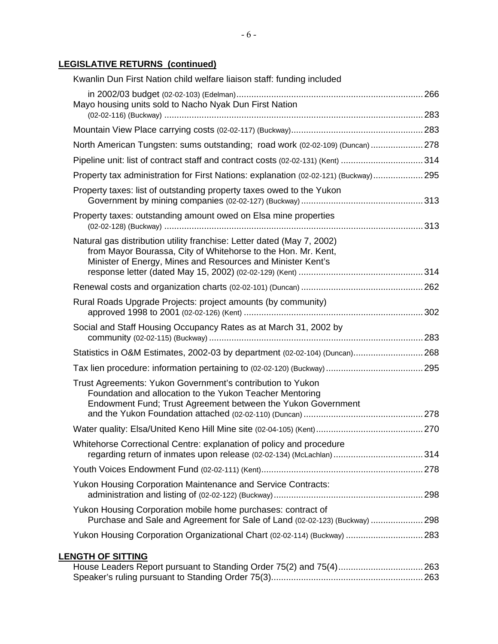## **LEGISLATIVE RETURNS (continued)**

| Kwanlin Dun First Nation child welfare liaison staff: funding included                                                                                                                                 |  |
|--------------------------------------------------------------------------------------------------------------------------------------------------------------------------------------------------------|--|
| Mayo housing units sold to Nacho Nyak Dun First Nation                                                                                                                                                 |  |
|                                                                                                                                                                                                        |  |
| North American Tungsten: sums outstanding; road work (02-02-109) (Duncan) 278                                                                                                                          |  |
| Pipeline unit: list of contract staff and contract costs (02-02-131) (Kent) 314                                                                                                                        |  |
| Property tax administration for First Nations: explanation (02-02-121) (Buckway) 295                                                                                                                   |  |
| Property taxes: list of outstanding property taxes owed to the Yukon                                                                                                                                   |  |
| Property taxes: outstanding amount owed on Elsa mine properties                                                                                                                                        |  |
| Natural gas distribution utility franchise: Letter dated (May 7, 2002)<br>from Mayor Bourassa, City of Whitehorse to the Hon. Mr. Kent,<br>Minister of Energy, Mines and Resources and Minister Kent's |  |
|                                                                                                                                                                                                        |  |
| Rural Roads Upgrade Projects: project amounts (by community)                                                                                                                                           |  |
| Social and Staff Housing Occupancy Rates as at March 31, 2002 by                                                                                                                                       |  |
| Statistics in O&M Estimates, 2002-03 by department (02-02-104) (Duncan) 268                                                                                                                            |  |
|                                                                                                                                                                                                        |  |
| Trust Agreements: Yukon Government's contribution to Yukon<br>Foundation and allocation to the Yukon Teacher Mentoring<br>Endowment Fund; Trust Agreement between the Yukon Government                 |  |
|                                                                                                                                                                                                        |  |
| Whitehorse Correctional Centre: explanation of policy and procedure<br>regarding return of inmates upon release (02-02-134) (McLachlan)  314                                                           |  |
|                                                                                                                                                                                                        |  |
| <b>Yukon Housing Corporation Maintenance and Service Contracts:</b>                                                                                                                                    |  |
| Yukon Housing Corporation mobile home purchases: contract of<br>Purchase and Sale and Agreement for Sale of Land (02-02-123) (Buckway)  298                                                            |  |
| Yukon Housing Corporation Organizational Chart (02-02-114) (Buckway)  283                                                                                                                              |  |
| <b>LENGTH OF SITTING</b>                                                                                                                                                                               |  |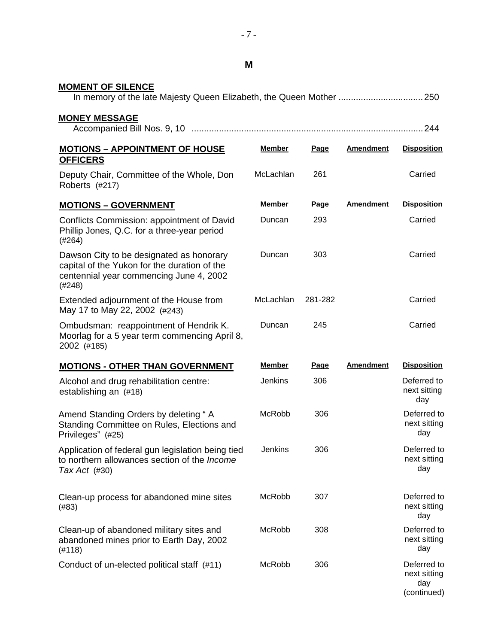| M                                                                                                                                             |                |             |                  |                                                   |
|-----------------------------------------------------------------------------------------------------------------------------------------------|----------------|-------------|------------------|---------------------------------------------------|
| <b>MOMENT OF SILENCE</b>                                                                                                                      |                |             |                  |                                                   |
| <b>MONEY MESSAGE</b>                                                                                                                          |                |             |                  |                                                   |
| <b>MOTIONS - APPOINTMENT OF HOUSE</b><br><b>OFFICERS</b>                                                                                      | <b>Member</b>  | <b>Page</b> | Amendment        | <b>Disposition</b>                                |
| Deputy Chair, Committee of the Whole, Don<br>Roberts (#217)                                                                                   | McLachlan      | 261         |                  | Carried                                           |
| <b>MOTIONS - GOVERNMENT</b>                                                                                                                   | <b>Member</b>  | <b>Page</b> | <b>Amendment</b> | <b>Disposition</b>                                |
| Conflicts Commission: appointment of David<br>Phillip Jones, Q.C. for a three-year period<br>(#264)                                           | Duncan         | 293         |                  | Carried                                           |
| Dawson City to be designated as honorary<br>capital of the Yukon for the duration of the<br>centennial year commencing June 4, 2002<br>(#248) | Duncan         | 303         |                  | Carried                                           |
| Extended adjournment of the House from<br>May 17 to May 22, 2002 (#243)                                                                       | McLachlan      | 281-282     |                  | Carried                                           |
| Ombudsman: reappointment of Hendrik K.<br>Moorlag for a 5 year term commencing April 8,<br>2002 (#185)                                        | Duncan         | 245         |                  | Carried                                           |
| <b>MOTIONS - OTHER THAN GOVERNMENT</b>                                                                                                        | <b>Member</b>  | Page        | <b>Amendment</b> | <b>Disposition</b>                                |
| Alcohol and drug rehabilitation centre:<br>establishing an (#18)                                                                              | <b>Jenkins</b> | 306         |                  | Deferred to<br>next sitting<br>day                |
| Amend Standing Orders by deleting "A<br>Standing Committee on Rules, Elections and<br>Privileges" (#25)                                       | McRobb         | 306         |                  | Deferred to<br>next sitting<br>day                |
| Application of federal gun legislation being tied<br>to northern allowances section of the Income<br>Tax Act $(#30)$                          | Jenkins        | 306         |                  | Deferred to<br>next sitting<br>day                |
| Clean-up process for abandoned mine sites<br>(#83)                                                                                            | <b>McRobb</b>  | 307         |                  | Deferred to<br>next sitting<br>day                |
| Clean-up of abandoned military sites and<br>abandoned mines prior to Earth Day, 2002<br>(#118)                                                | McRobb         | 308         |                  | Deferred to<br>next sitting<br>day                |
| Conduct of un-elected political staff (#11)                                                                                                   | McRobb         | 306         |                  | Deferred to<br>next sitting<br>day<br>(continued) |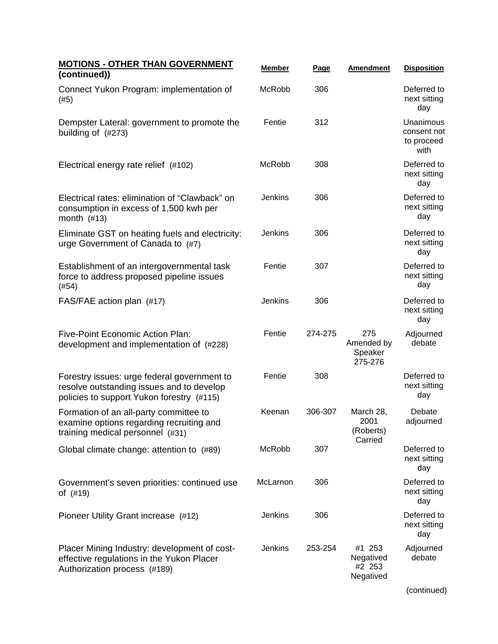| <b>MOTIONS - OTHER THAN GOVERNMENT</b><br>(continued))                                                                                | <b>Member</b>  | Page    | <b>Amendment</b>                           | <b>Disposition</b>                             |
|---------------------------------------------------------------------------------------------------------------------------------------|----------------|---------|--------------------------------------------|------------------------------------------------|
| Connect Yukon Program: implementation of<br>(#5)                                                                                      | <b>McRobb</b>  | 306     |                                            | Deferred to<br>next sitting<br>day             |
| Dempster Lateral: government to promote the<br>building of (#273)                                                                     | Fentie         | 312     |                                            | Unanimous<br>consent not<br>to proceed<br>with |
| Electrical energy rate relief (#102)                                                                                                  | McRobb         | 308     |                                            | Deferred to<br>next sitting<br>day             |
| Electrical rates: elimination of "Clawback" on<br>consumption in excess of 1,500 kwh per<br>month $(\#13)$                            | Jenkins        | 306     |                                            | Deferred to<br>next sitting<br>day             |
| Eliminate GST on heating fuels and electricity:<br>urge Government of Canada to (#7)                                                  | <b>Jenkins</b> | 306     |                                            | Deferred to<br>next sitting<br>day             |
| Establishment of an intergovernmental task<br>force to address proposed pipeline issues<br>(#54)                                      | Fentie         | 307     |                                            | Deferred to<br>next sitting<br>day             |
| FAS/FAE action plan (#17)                                                                                                             | Jenkins        | 306     |                                            | Deferred to<br>next sitting<br>day             |
| Five-Point Economic Action Plan:<br>development and implementation of (#228)                                                          | Fentie         | 274-275 | 275<br>Amended by<br>Speaker<br>275-276    | Adjourned<br>debate                            |
| Forestry issues: urge federal government to<br>resolve outstanding issues and to develop<br>policies to support Yukon forestry (#115) | Fentie         | 308     |                                            | Deferred to<br>next sitting<br>day             |
| Formation of an all-party committee to<br>examine options regarding recruiting and<br>training medical personnel (#31)                | Keenan         | 306-307 | March 28,<br>2001<br>(Roberts)<br>Carried  | Debate<br>adjourned                            |
| Global climate change: attention to (#89)                                                                                             | McRobb         | 307     |                                            | Deferred to<br>next sitting<br>day             |
| Government's seven priorities: continued use<br>of (#19)                                                                              | McLarnon       | 306     |                                            | Deferred to<br>next sitting<br>day             |
| Pioneer Utility Grant increase (#12)                                                                                                  | Jenkins        | 306     |                                            | Deferred to<br>next sitting<br>day             |
| Placer Mining Industry: development of cost-<br>effective regulations in the Yukon Placer<br>Authorization process (#189)             | Jenkins        | 253-254 | #1 253<br>Negatived<br>#2 253<br>Negatived | Adjourned<br>debate                            |
|                                                                                                                                       |                |         |                                            | (continued)                                    |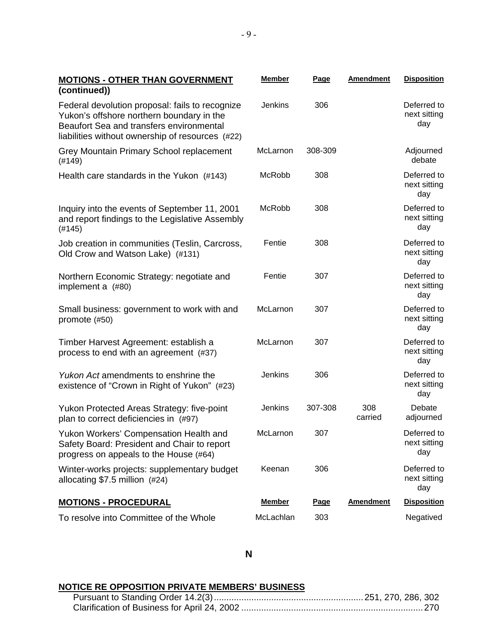| <b>MOTIONS - OTHER THAN GOVERNMENT</b><br>(continued))                                                                                                                                       | <b>Member</b>  | Page    | <b>Amendment</b> | <b>Disposition</b>                 |
|----------------------------------------------------------------------------------------------------------------------------------------------------------------------------------------------|----------------|---------|------------------|------------------------------------|
| Federal devolution proposal: fails to recognize<br>Yukon's offshore northern boundary in the<br>Beaufort Sea and transfers environmental<br>liabilities without ownership of resources (#22) | <b>Jenkins</b> | 306     |                  | Deferred to<br>next sitting<br>day |
| Grey Mountain Primary School replacement<br>(#149)                                                                                                                                           | McLarnon       | 308-309 |                  | Adjourned<br>debate                |
| Health care standards in the Yukon (#143)                                                                                                                                                    | McRobb         | 308     |                  | Deferred to<br>next sitting<br>day |
| Inquiry into the events of September 11, 2001<br>and report findings to the Legislative Assembly<br>(#145)                                                                                   | McRobb         | 308     |                  | Deferred to<br>next sitting<br>day |
| Job creation in communities (Teslin, Carcross,<br>Old Crow and Watson Lake) (#131)                                                                                                           | Fentie         | 308     |                  | Deferred to<br>next sitting<br>day |
| Northern Economic Strategy: negotiate and<br>implement a (#80)                                                                                                                               | Fentie         | 307     |                  | Deferred to<br>next sitting<br>day |
| Small business: government to work with and<br>promote (#50)                                                                                                                                 | McLarnon       | 307     |                  | Deferred to<br>next sitting<br>day |
| Timber Harvest Agreement: establish a<br>process to end with an agreement (#37)                                                                                                              | McLarnon       | 307     |                  | Deferred to<br>next sitting<br>day |
| Yukon Act amendments to enshrine the<br>existence of "Crown in Right of Yukon" (#23)                                                                                                         | <b>Jenkins</b> | 306     |                  | Deferred to<br>next sitting<br>day |
| Yukon Protected Areas Strategy: five-point<br>plan to correct deficiencies in (#97)                                                                                                          | <b>Jenkins</b> | 307-308 | 308<br>carried   | Debate<br>adjourned                |
| Yukon Workers' Compensation Health and<br>Safety Board: President and Chair to report<br>progress on appeals to the House (#64)                                                              | McLarnon       | 307     |                  | Deferred to<br>next sitting<br>day |
| Winter-works projects: supplementary budget<br>allocating \$7.5 million (#24)                                                                                                                | Keenan         | 306     |                  | Deferred to<br>next sitting<br>day |
| <u> MOTIONS - PROCEDURAL</u>                                                                                                                                                                 | <b>Member</b>  | Page    | <b>Amendment</b> | <b>Disposition</b>                 |
| To resolve into Committee of the Whole                                                                                                                                                       | McLachlan      | 303     |                  | Negatived                          |

## **NOTICE RE OPPOSITION PRIVATE MEMBERS' BUSINESS**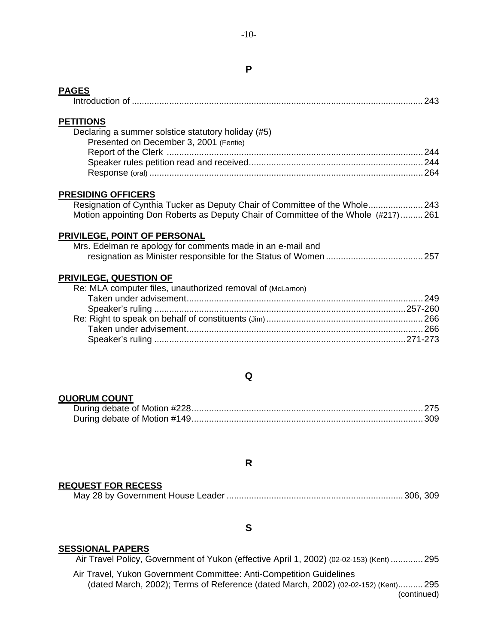### **P**

### **PAGES**

|--|--|

### **PETITIONS**

| Declaring a summer solstice statutory holiday (#5) |  |
|----------------------------------------------------|--|
| Presented on December 3, 2001 (Fentie)             |  |
|                                                    |  |
|                                                    |  |
|                                                    |  |

### **PRESIDING OFFICERS**

 Resignation of Cynthia Tucker as Deputy Chair of Committee of the Whole......................243 Motion appointing Don Roberts as Deputy Chair of Committee of the Whole (#217).........261

### **PRIVILEGE, POINT OF PERSONAL**

| Mrs. Edelman re apology for comments made in an e-mail and |  |
|------------------------------------------------------------|--|
|                                                            |  |

### **PRIVILEGE, QUESTION OF**

| Re: MLA computer files, unauthorized removal of (McLarnon) |  |
|------------------------------------------------------------|--|
|                                                            |  |
|                                                            |  |
|                                                            |  |
|                                                            |  |
|                                                            |  |

### **Q**

### **QUORUM COUNT**

### **R**

### **REQUEST FOR RECESS**

|--|--|--|--|--|--|--|--|

## **S**

### **SESSIONAL PAPERS**

Air Travel Policy, Government of Yukon (effective April 1, 2002) (02-02-153) (Kent) .............295

 Air Travel, Yukon Government Committee: Anti-Competition Guidelines (dated March, 2002); Terms of Reference (dated March, 2002) (02-02-152) (Kent)..........295 (continued)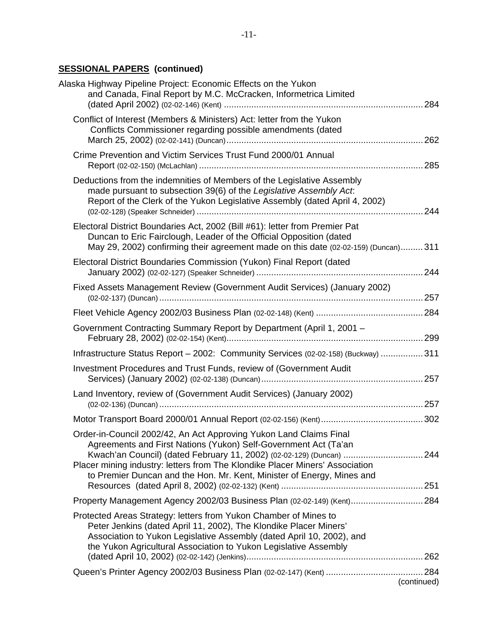## **SESSIONAL PAPERS (continued)**

| Alaska Highway Pipeline Project: Economic Effects on the Yukon<br>and Canada, Final Report by M.C. McCracken, Informetrica Limited                                                                                                                                                 |             |
|------------------------------------------------------------------------------------------------------------------------------------------------------------------------------------------------------------------------------------------------------------------------------------|-------------|
| Conflict of Interest (Members & Ministers) Act: letter from the Yukon<br>Conflicts Commissioner regarding possible amendments (dated                                                                                                                                               |             |
| Crime Prevention and Victim Services Trust Fund 2000/01 Annual                                                                                                                                                                                                                     |             |
| Deductions from the indemnities of Members of the Legislative Assembly<br>made pursuant to subsection 39(6) of the Legislative Assembly Act.<br>Report of the Clerk of the Yukon Legislative Assembly (dated April 4, 2002)                                                        |             |
| Electoral District Boundaries Act, 2002 (Bill #61): letter from Premier Pat<br>Duncan to Eric Fairclough, Leader of the Official Opposition (dated<br>May 29, 2002) confirming their agreement made on this date (02-02-159) (Duncan) 311                                          |             |
| Electoral District Boundaries Commission (Yukon) Final Report (dated                                                                                                                                                                                                               |             |
| Fixed Assets Management Review (Government Audit Services) (January 2002)                                                                                                                                                                                                          |             |
|                                                                                                                                                                                                                                                                                    |             |
| Government Contracting Summary Report by Department (April 1, 2001 -                                                                                                                                                                                                               |             |
| Infrastructure Status Report - 2002: Community Services (02-02-158) (Buckway)  311                                                                                                                                                                                                 |             |
| Investment Procedures and Trust Funds, review of (Government Audit                                                                                                                                                                                                                 |             |
| Land Inventory, review of (Government Audit Services) (January 2002)                                                                                                                                                                                                               |             |
|                                                                                                                                                                                                                                                                                    |             |
| Order-in-Council 2002/42, An Act Approving Yukon Land Claims Final<br>Agreements and First Nations (Yukon) Self-Government Act (Ta'an<br>Kwach'an Council) (dated February 11, 2002) (02-02-129) (Duncan) 244                                                                      |             |
| Placer mining industry: letters from The Klondike Placer Miners' Association<br>to Premier Duncan and the Hon. Mr. Kent, Minister of Energy, Mines and                                                                                                                             |             |
| Property Management Agency 2002/03 Business Plan (02-02-149) (Kent) 284                                                                                                                                                                                                            |             |
| Protected Areas Strategy: letters from Yukon Chamber of Mines to<br>Peter Jenkins (dated April 11, 2002), The Klondike Placer Miners'<br>Association to Yukon Legislative Assembly (dated April 10, 2002), and<br>the Yukon Agricultural Association to Yukon Legislative Assembly |             |
|                                                                                                                                                                                                                                                                                    |             |
|                                                                                                                                                                                                                                                                                    | (continued) |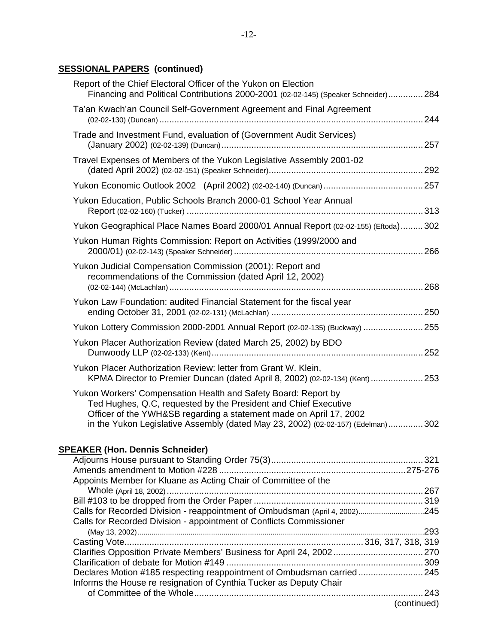### **SESSIONAL PAPERS (continued)**

| Report of the Chief Electoral Officer of the Yukon on Election<br>Financing and Political Contributions 2000-2001 (02-02-145) (Speaker Schneider) 284                                                                                                                                      |             |
|--------------------------------------------------------------------------------------------------------------------------------------------------------------------------------------------------------------------------------------------------------------------------------------------|-------------|
| Ta'an Kwach'an Council Self-Government Agreement and Final Agreement                                                                                                                                                                                                                       |             |
| Trade and Investment Fund, evaluation of (Government Audit Services)                                                                                                                                                                                                                       |             |
| Travel Expenses of Members of the Yukon Legislative Assembly 2001-02                                                                                                                                                                                                                       |             |
|                                                                                                                                                                                                                                                                                            |             |
| Yukon Education, Public Schools Branch 2000-01 School Year Annual                                                                                                                                                                                                                          |             |
| Yukon Geographical Place Names Board 2000/01 Annual Report (02-02-155) (Eftoda) 302                                                                                                                                                                                                        |             |
| Yukon Human Rights Commission: Report on Activities (1999/2000 and                                                                                                                                                                                                                         |             |
| Yukon Judicial Compensation Commission (2001): Report and<br>recommendations of the Commission (dated April 12, 2002)                                                                                                                                                                      |             |
| Yukon Law Foundation: audited Financial Statement for the fiscal year                                                                                                                                                                                                                      |             |
| Yukon Lottery Commission 2000-2001 Annual Report (02-02-135) (Buckway)  255                                                                                                                                                                                                                |             |
| Yukon Placer Authorization Review (dated March 25, 2002) by BDO                                                                                                                                                                                                                            |             |
| Yukon Placer Authorization Review: letter from Grant W. Klein,<br>KPMA Director to Premier Duncan (dated April 8, 2002) (02-02-134) (Kent)  253                                                                                                                                            |             |
| Yukon Workers' Compensation Health and Safety Board: Report by<br>Ted Hughes, Q.C, requested by the President and Chief Executive<br>Officer of the YWH&SB regarding a statement made on April 17, 2002<br>in the Yukon Legislative Assembly (dated May 23, 2002) (02-02-157) (Edelman)302 |             |
| <b>SPEAKER (Hon. Dennis Schneider)</b>                                                                                                                                                                                                                                                     |             |
|                                                                                                                                                                                                                                                                                            |             |
|                                                                                                                                                                                                                                                                                            |             |
| Appoints Member for Kluane as Acting Chair of Committee of the                                                                                                                                                                                                                             |             |
|                                                                                                                                                                                                                                                                                            |             |
| Calls for Recorded Division - reappointment of Ombudsman (April 4, 2002)245                                                                                                                                                                                                                |             |
| Calls for Recorded Division - appointment of Conflicts Commissioner                                                                                                                                                                                                                        |             |
|                                                                                                                                                                                                                                                                                            |             |
|                                                                                                                                                                                                                                                                                            |             |
|                                                                                                                                                                                                                                                                                            |             |
| Declares Motion #185 respecting reappointment of Ombudsman carried 245                                                                                                                                                                                                                     |             |
| Informs the House re resignation of Cynthia Tucker as Deputy Chair                                                                                                                                                                                                                         |             |
|                                                                                                                                                                                                                                                                                            |             |
|                                                                                                                                                                                                                                                                                            | (continued) |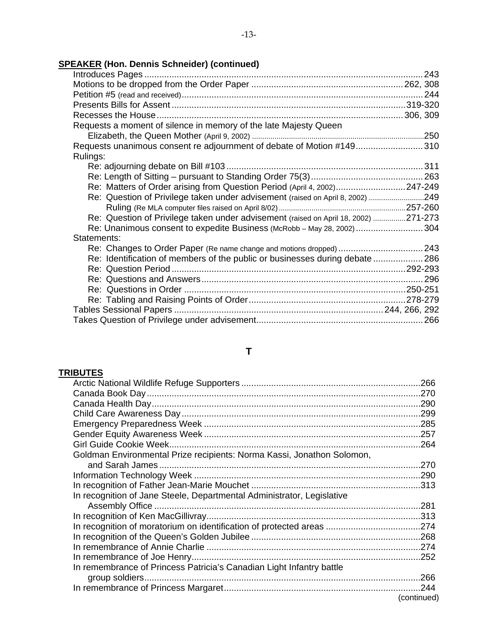## **SPEAKER (Hon. Dennis Schneider) (continued)**

| Requests a moment of silence in memory of the late Majesty Queen                    |  |
|-------------------------------------------------------------------------------------|--|
|                                                                                     |  |
| Requests unanimous consent re adjournment of debate of Motion #149310               |  |
| Rulings:                                                                            |  |
|                                                                                     |  |
|                                                                                     |  |
| Re: Matters of Order arising from Question Period (April 4, 2002)247-249            |  |
| Re: Question of Privilege taken under advisement (raised on April 8, 2002) 249      |  |
|                                                                                     |  |
| Re: Question of Privilege taken under advisement (raised on April 18, 2002) 271-273 |  |
| Re: Unanimous consent to expedite Business (McRobb – May 28, 2002)  304             |  |
| Statements:                                                                         |  |
| Re: Changes to Order Paper (Re name change and motions dropped)  243                |  |
| Re: Identification of members of the public or businesses during debate286          |  |
|                                                                                     |  |
|                                                                                     |  |
|                                                                                     |  |
|                                                                                     |  |
|                                                                                     |  |
|                                                                                     |  |

## **TRIBUTES**

| Goldman Environmental Prize recipients: Norma Kassi, Jonathon Solomon, |             |
|------------------------------------------------------------------------|-------------|
|                                                                        |             |
|                                                                        |             |
|                                                                        |             |
| In recognition of Jane Steele, Departmental Administrator, Legislative |             |
|                                                                        |             |
|                                                                        |             |
|                                                                        |             |
|                                                                        |             |
|                                                                        |             |
|                                                                        |             |
| In remembrance of Princess Patricia's Canadian Light Infantry battle   |             |
|                                                                        |             |
|                                                                        |             |
|                                                                        | (continued) |
|                                                                        |             |

**T**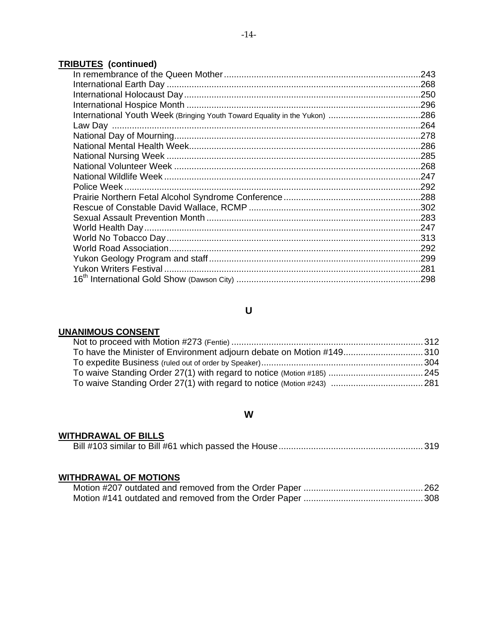## **TRIBUTES (continued)**

| Police Week. |  |
|--------------|--|
|              |  |
|              |  |
|              |  |
|              |  |
|              |  |
|              |  |
|              |  |
|              |  |
|              |  |
|              |  |

## **U**

### **UNANIMOUS CONSENT**

| To have the Minister of Environment adjourn debate on Motion #149310   |  |
|------------------------------------------------------------------------|--|
|                                                                        |  |
|                                                                        |  |
| To waive Standing Order 27(1) with regard to notice (Motion #243)  281 |  |

## **W**

## **WITHDRAWAL OF BILLS**

|--|--|

## **WITHDRAWAL OF MOTIONS**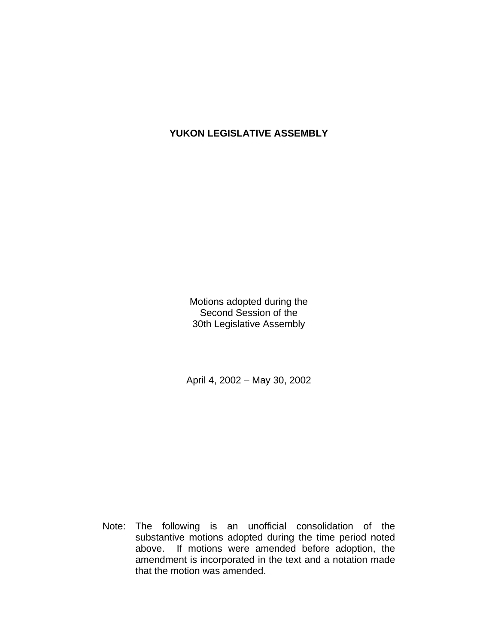## **YUKON LEGISLATIVE ASSEMBLY**

Motions adopted during the Second Session of the 30th Legislative Assembly

April 4, 2002 – May 30, 2002

 Note: The following is an unofficial consolidation of the substantive motions adopted during the time period noted above. If motions were amended before adoption, the amendment is incorporated in the text and a notation made that the motion was amended.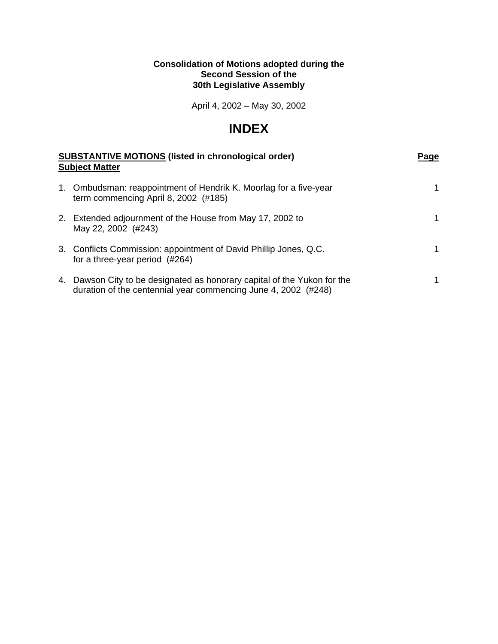### **Consolidation of Motions adopted during the Second Session of the 30th Legislative Assembly**

April 4, 2002 – May 30, 2002

## **INDEX**

| <b>SUBSTANTIVE MOTIONS (listed in chronological order)</b><br><b>Subject Matter</b>                                                        | Page |
|--------------------------------------------------------------------------------------------------------------------------------------------|------|
| 1. Ombudsman: reappointment of Hendrik K. Moorlag for a five-year<br>term commencing April 8, 2002 (#185)                                  |      |
| 2. Extended adjournment of the House from May 17, 2002 to<br>May 22, 2002 (#243)                                                           |      |
| 3. Conflicts Commission: appointment of David Phillip Jones, Q.C.<br>for a three-year period $(\#264)$                                     |      |
| 4. Dawson City to be designated as honorary capital of the Yukon for the<br>duration of the centennial year commencing June 4, 2002 (#248) |      |